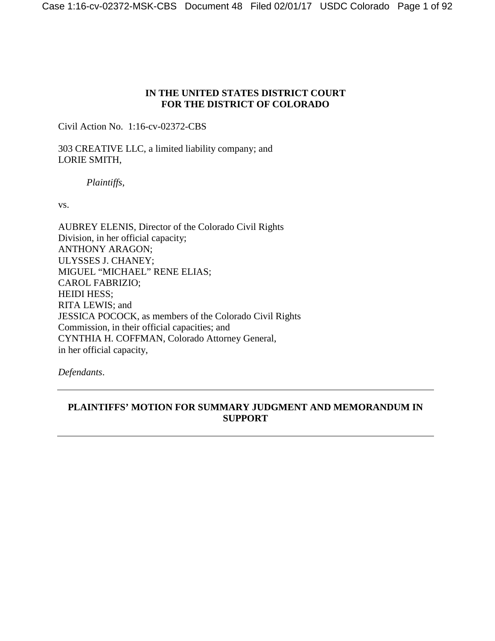## **IN THE UNITED STATES DISTRICT COURT FOR THE DISTRICT OF COLORADO**

Civil Action No. 1:16-cv-02372-CBS

303 CREATIVE LLC, a limited liability company; and LORIE SMITH,

*Plaintiffs*,

vs.

AUBREY ELENIS, Director of the Colorado Civil Rights Division, in her official capacity; ANTHONY ARAGON; ULYSSES J. CHANEY; MIGUEL "MICHAEL" RENE ELIAS; CAROL FABRIZIO; HEIDI HESS; RITA LEWIS; and JESSICA POCOCK, as members of the Colorado Civil Rights Commission, in their official capacities; and CYNTHIA H. COFFMAN, Colorado Attorney General, in her official capacity,

*Defendants*.

# **PLAINTIFFS' MOTION FOR SUMMARY JUDGMENT AND MEMORANDUM IN SUPPORT**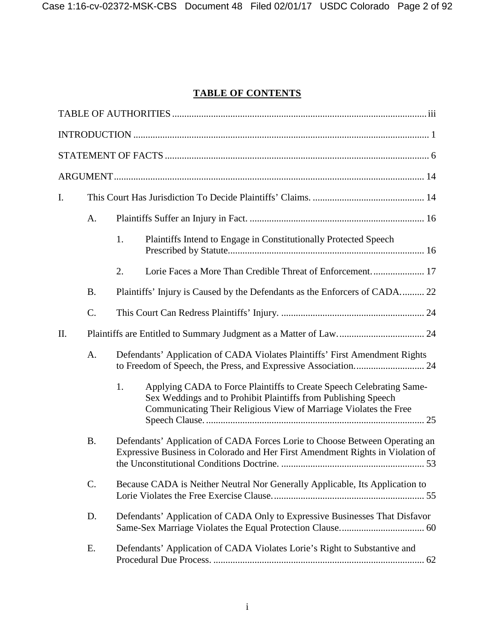# **TABLE OF CONTENTS**

| I. |           |                                                                                                                                                               |                                                                                                                                                                                                            |  |
|----|-----------|---------------------------------------------------------------------------------------------------------------------------------------------------------------|------------------------------------------------------------------------------------------------------------------------------------------------------------------------------------------------------------|--|
|    | A.        |                                                                                                                                                               |                                                                                                                                                                                                            |  |
|    |           | 1.                                                                                                                                                            | Plaintiffs Intend to Engage in Constitutionally Protected Speech                                                                                                                                           |  |
|    |           | 2.                                                                                                                                                            |                                                                                                                                                                                                            |  |
|    | <b>B.</b> | Plaintiffs' Injury is Caused by the Defendants as the Enforcers of CADA 22                                                                                    |                                                                                                                                                                                                            |  |
|    | C.        |                                                                                                                                                               |                                                                                                                                                                                                            |  |
| Π. |           |                                                                                                                                                               |                                                                                                                                                                                                            |  |
|    | A.        | Defendants' Application of CADA Violates Plaintiffs' First Amendment Rights                                                                                   |                                                                                                                                                                                                            |  |
|    |           | 1.                                                                                                                                                            | Applying CADA to Force Plaintiffs to Create Speech Celebrating Same-<br>Sex Weddings and to Prohibit Plaintiffs from Publishing Speech<br>Communicating Their Religious View of Marriage Violates the Free |  |
|    | <b>B.</b> | Defendants' Application of CADA Forces Lorie to Choose Between Operating an<br>Expressive Business in Colorado and Her First Amendment Rights in Violation of |                                                                                                                                                                                                            |  |
|    | C.        | Because CADA is Neither Neutral Nor Generally Applicable, Its Application to                                                                                  |                                                                                                                                                                                                            |  |
|    | D.        | Defendants' Application of CADA Only to Expressive Businesses That Disfavor                                                                                   |                                                                                                                                                                                                            |  |
|    | E.        |                                                                                                                                                               | Defendants' Application of CADA Violates Lorie's Right to Substantive and                                                                                                                                  |  |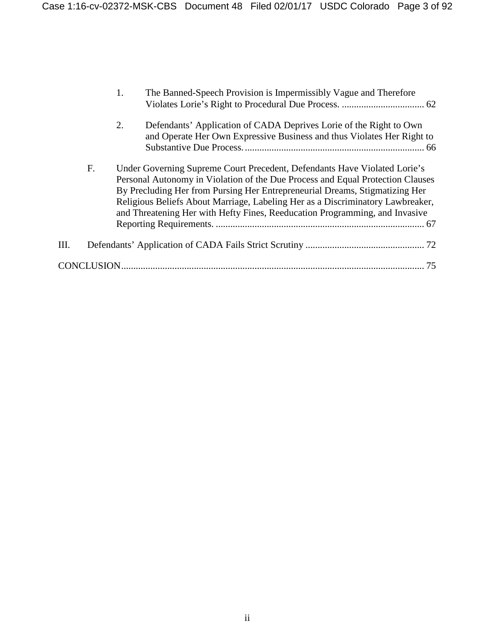|      |    | 1. | The Banned-Speech Provision is Impermissibly Vague and Therefore                                                                                                                                                                                                                                                                                                                                            |  |
|------|----|----|-------------------------------------------------------------------------------------------------------------------------------------------------------------------------------------------------------------------------------------------------------------------------------------------------------------------------------------------------------------------------------------------------------------|--|
|      |    | 2. | Defendants' Application of CADA Deprives Lorie of the Right to Own<br>and Operate Her Own Expressive Business and thus Violates Her Right to                                                                                                                                                                                                                                                                |  |
|      | F. |    | Under Governing Supreme Court Precedent, Defendants Have Violated Lorie's<br>Personal Autonomy in Violation of the Due Process and Equal Protection Clauses<br>By Precluding Her from Pursing Her Entrepreneurial Dreams, Stigmatizing Her<br>Religious Beliefs About Marriage, Labeling Her as a Discriminatory Lawbreaker,<br>and Threatening Her with Hefty Fines, Reeducation Programming, and Invasive |  |
| III. |    |    |                                                                                                                                                                                                                                                                                                                                                                                                             |  |
|      |    |    | 75                                                                                                                                                                                                                                                                                                                                                                                                          |  |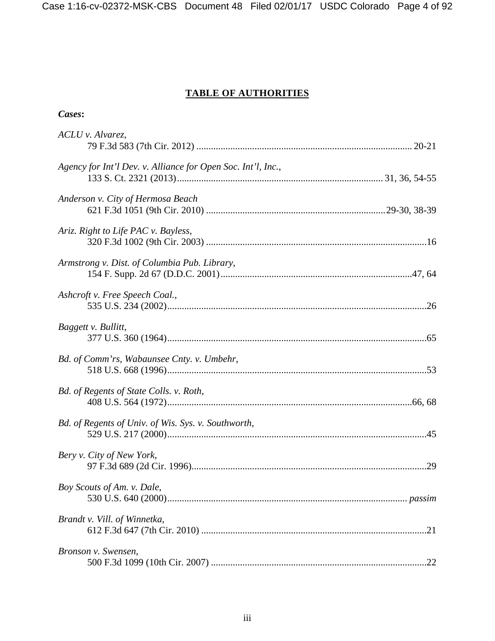# **TABLE OF AUTHORITIES**

| ases: |  |
|-------|--|
|       |  |

| ACLU v. Alvarez,                                             |
|--------------------------------------------------------------|
| Agency for Int'l Dev. v. Alliance for Open Soc. Int'l, Inc., |
| Anderson v. City of Hermosa Beach                            |
| Ariz. Right to Life PAC v. Bayless,                          |
| Armstrong v. Dist. of Columbia Pub. Library,                 |
| Ashcroft v. Free Speech Coal.,                               |
| Baggett v. Bullitt,                                          |
| Bd. of Comm'rs, Wabaunsee Cnty. v. Umbehr,                   |
| Bd. of Regents of State Colls. v. Roth,                      |
| Bd. of Regents of Univ. of Wis. Sys. v. Southworth,          |
| Bery v. City of New York,                                    |
| Boy Scouts of Am. v. Dale,                                   |
| Brandt v. Vill. of Winnetka,                                 |
| Bronson v. Swensen,                                          |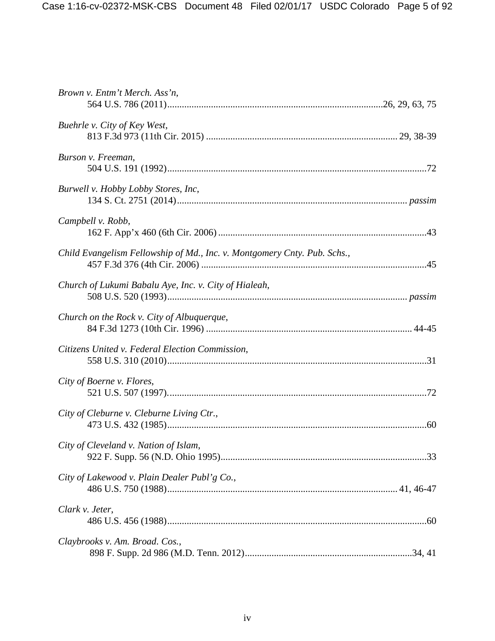| Brown v. Entm't Merch. Ass'n,                                            |
|--------------------------------------------------------------------------|
| Buehrle v. City of Key West,                                             |
| Burson v. Freeman,                                                       |
| Burwell v. Hobby Lobby Stores, Inc,                                      |
| Campbell v. Robb,                                                        |
| Child Evangelism Fellowship of Md., Inc. v. Montgomery Cnty. Pub. Schs., |
| Church of Lukumi Babalu Aye, Inc. v. City of Hialeah,                    |
| Church on the Rock v. City of Albuquerque,                               |
| Citizens United v. Federal Election Commission,                          |
| City of Boerne v. Flores,                                                |
| City of Cleburne v. Cleburne Living Ctr.,                                |
| City of Cleveland v. Nation of Islam,                                    |
| City of Lakewood v. Plain Dealer Publ'g Co.,                             |
| Clark v. Jeter,                                                          |
| Claybrooks v. Am. Broad. Cos.,                                           |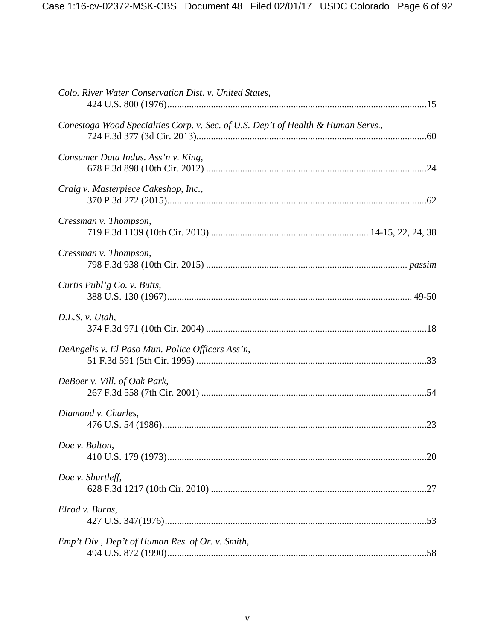| Colo. River Water Conservation Dist. v. United States,                           |
|----------------------------------------------------------------------------------|
| Conestoga Wood Specialties Corp. v. Sec. of U.S. Dep't of Health & Human Servs., |
| Consumer Data Indus. Ass'n v. King,                                              |
| Craig v. Masterpiece Cakeshop, Inc.,                                             |
| Cressman v. Thompson,                                                            |
| Cressman v. Thompson,                                                            |
| Curtis Publ'g Co. v. Butts,                                                      |
| D.L.S. v. Utah,                                                                  |
| DeAngelis v. El Paso Mun. Police Officers Ass'n,                                 |
| DeBoer v. Vill. of Oak Park,                                                     |
| Diamond v. Charles,                                                              |
| Doe v. Bolton,                                                                   |
| Doe v. Shurtleff,                                                                |
| Elrod v. Burns,                                                                  |
| Emp't Div., Dep't of Human Res. of Or. v. Smith,                                 |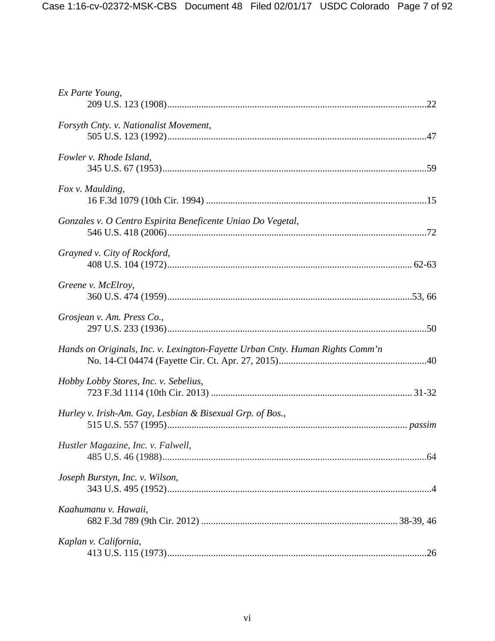| Ex Parte Young,                                                               |
|-------------------------------------------------------------------------------|
| Forsyth Cnty. v. Nationalist Movement,                                        |
| Fowler v. Rhode Island,                                                       |
| Fox v. Maulding,                                                              |
| Gonzales v. O Centro Espirita Beneficente Uniao Do Vegetal,                   |
| Grayned v. City of Rockford,                                                  |
| Greene v. McElroy,                                                            |
| Grosjean v. Am. Press Co.,                                                    |
| Hands on Originals, Inc. v. Lexington-Fayette Urban Cnty. Human Rights Comm'n |
| Hobby Lobby Stores, Inc. v. Sebelius,                                         |
| Hurley v. Irish-Am. Gay, Lesbian & Bisexual Grp. of Bos.,                     |
| Hustler Magazine, Inc. v. Falwell,                                            |
| Joseph Burstyn, Inc. v. Wilson,                                               |
| Kaahumanu v. Hawaii,                                                          |
| Kaplan v. California,                                                         |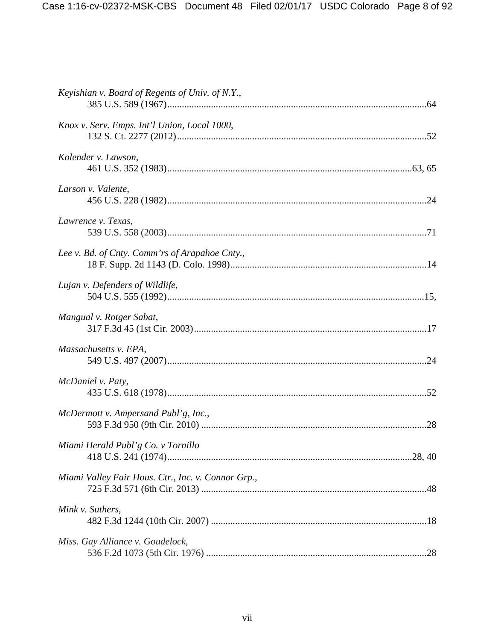| Keyishian v. Board of Regents of Univ. of N.Y.,    |
|----------------------------------------------------|
| Knox v. Serv. Emps. Int'l Union, Local 1000,       |
| Kolender v. Lawson,                                |
| Larson v. Valente,                                 |
| Lawrence v. Texas,                                 |
| Lee v. Bd. of Cnty. Comm'rs of Arapahoe Cnty.,     |
| Lujan v. Defenders of Wildlife,                    |
| Mangual v. Rotger Sabat,                           |
| Massachusetts v. EPA,                              |
| McDaniel v. Paty,                                  |
| McDermott v. Ampersand Publ'g, Inc.,               |
| Miami Herald Publ'g Co. v Tornillo                 |
| Miami Valley Fair Hous. Ctr., Inc. v. Connor Grp., |
| Mink v. Suthers,                                   |
| Miss. Gay Alliance v. Goudelock,                   |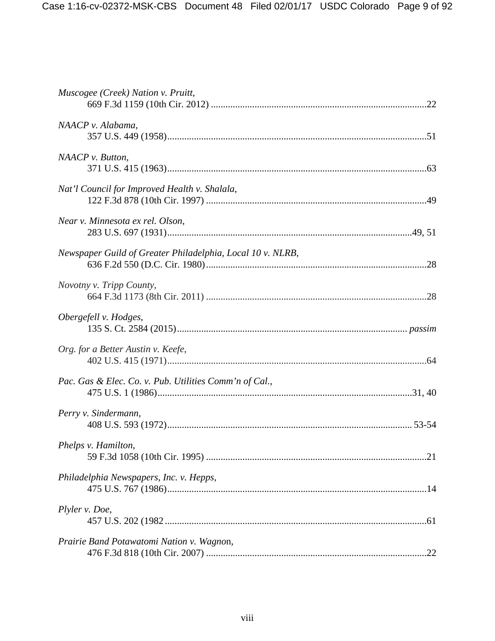| Muscogee (Creek) Nation v. Pruitt,                         |
|------------------------------------------------------------|
| NAACP v. Alabama,                                          |
| NAACP v. Button,                                           |
| Nat'l Council for Improved Health v. Shalala,              |
| Near v. Minnesota ex rel. Olson,                           |
| Newspaper Guild of Greater Philadelphia, Local 10 v. NLRB, |
| Novotny v. Tripp County,                                   |
| Obergefell v. Hodges,                                      |
| Org. for a Better Austin v. Keefe,                         |
| Pac. Gas & Elec. Co. v. Pub. Utilities Comm'n of Cal.,     |
| Perry v. Sindermann,                                       |
| Phelps v. Hamilton,                                        |
| Philadelphia Newspapers, Inc. v. Hepps,                    |
| Plyler v. Doe,                                             |
| Prairie Band Potawatomi Nation v. Wagnon,                  |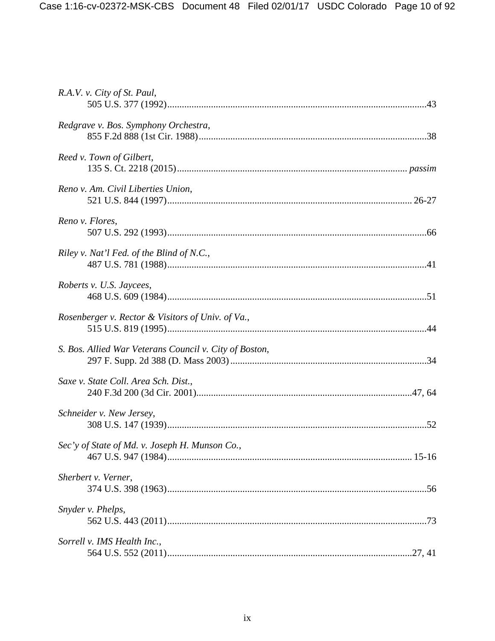| R.A.V. v. City of St. Paul,                            |  |
|--------------------------------------------------------|--|
| Redgrave v. Bos. Symphony Orchestra,                   |  |
| Reed v. Town of Gilbert,                               |  |
| Reno v. Am. Civil Liberties Union,                     |  |
| Reno v. Flores,                                        |  |
| Riley v. Nat'l Fed. of the Blind of N.C.,              |  |
| Roberts v. U.S. Jaycees,                               |  |
| Rosenberger v. Rector & Visitors of Univ. of Va.,      |  |
| S. Bos. Allied War Veterans Council v. City of Boston, |  |
| Saxe v. State Coll. Area Sch. Dist.,                   |  |
| Schneider v. New Jersey,                               |  |
| Sec'y of State of Md. v. Joseph H. Munson Co.,         |  |
| Sherbert v. Verner,                                    |  |
| Snyder v. Phelps,                                      |  |
| Sorrell v. IMS Health Inc.,                            |  |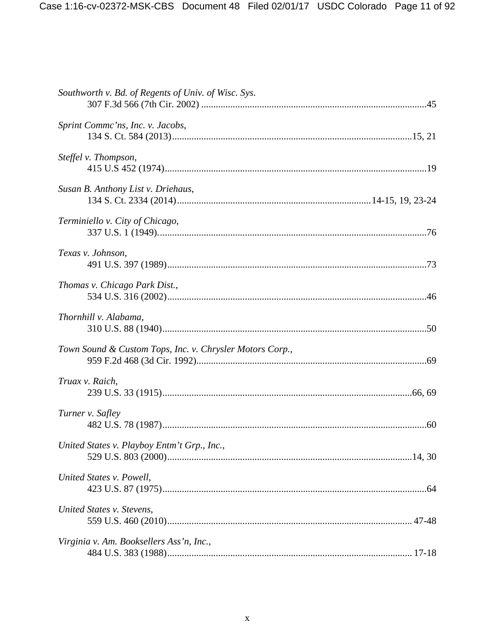| Southworth v. Bd. of Regents of Univ. of Wisc. Sys.      |  |
|----------------------------------------------------------|--|
| Sprint Commc'ns, Inc. v. Jacobs,                         |  |
| Steffel v. Thompson,                                     |  |
| Susan B. Anthony List v. Driehaus,                       |  |
| Terminiello v. City of Chicago,                          |  |
| Texas v. Johnson,                                        |  |
| Thomas v. Chicago Park Dist.,                            |  |
| Thornhill v. Alabama,                                    |  |
| Town Sound & Custom Tops, Inc. v. Chrysler Motors Corp., |  |
| Truax v. Raich,                                          |  |
| Turner v. Safley                                         |  |
| United States v. Playboy Entm't Grp., Inc.,              |  |
| United States v. Powell,                                 |  |
| United States v. Stevens,                                |  |
| Virginia v. Am. Booksellers Ass'n, Inc.,                 |  |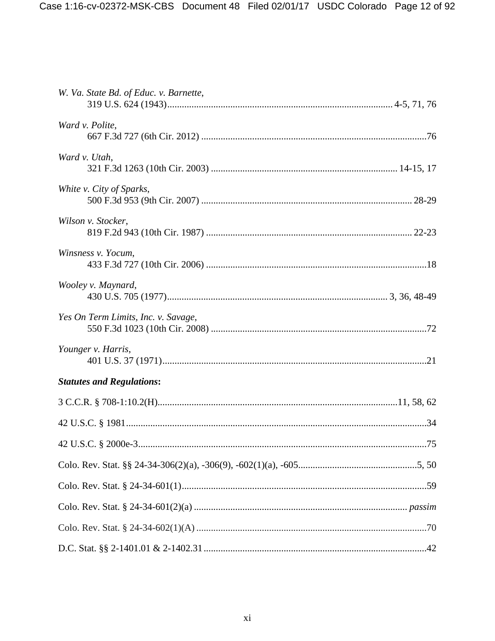| W. Va. State Bd. of Educ. v. Barnette, |  |
|----------------------------------------|--|
| Ward v. Polite,                        |  |
| Ward v. Utah,                          |  |
| White v. City of Sparks,               |  |
| Wilson v. Stocker,                     |  |
| Winsness v. Yocum,                     |  |
| Wooley v. Maynard,                     |  |
| Yes On Term Limits, Inc. v. Savage,    |  |
| Younger v. Harris,                     |  |
| <b>Statutes and Regulations:</b>       |  |
|                                        |  |
|                                        |  |
|                                        |  |
|                                        |  |
|                                        |  |
|                                        |  |
|                                        |  |
|                                        |  |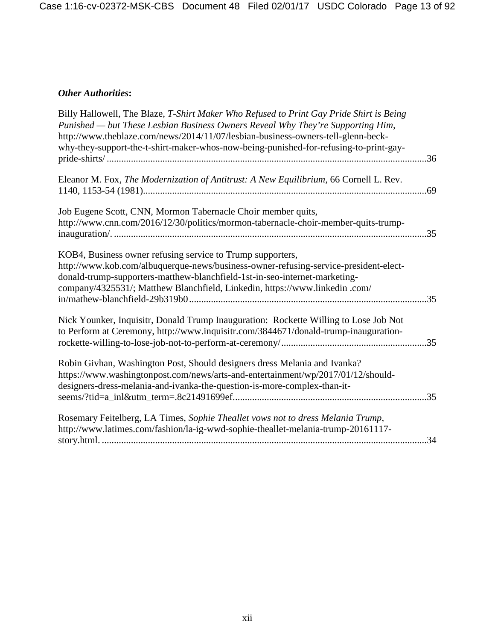# *Other Authorities***:**

| Billy Hallowell, The Blaze, T-Shirt Maker Who Refused to Print Gay Pride Shirt is Being<br>Punished - but These Lesbian Business Owners Reveal Why They're Supporting Him,<br>http://www.theblaze.com/news/2014/11/07/lesbian-business-owners-tell-glenn-beck-<br>why-they-support-the-t-shirt-maker-whos-now-being-punished-for-refusing-to-print-gay- | 36  |
|---------------------------------------------------------------------------------------------------------------------------------------------------------------------------------------------------------------------------------------------------------------------------------------------------------------------------------------------------------|-----|
| Eleanor M. Fox, The Modernization of Antitrust: A New Equilibrium, 66 Cornell L. Rev.                                                                                                                                                                                                                                                                   |     |
| Job Eugene Scott, CNN, Mormon Tabernacle Choir member quits,<br>http://www.cnn.com/2016/12/30/politics/mormon-tabernacle-choir-member-quits-trump-                                                                                                                                                                                                      | 35  |
| KOB4, Business owner refusing service to Trump supporters,<br>http://www.kob.com/albuquerque-news/business-owner-refusing-service-president-elect-<br>donald-trump-supporters-matthew-blanchfield-1st-in-seo-internet-marketing-<br>company/4325531/; Matthew Blanchfield, Linkedin, https://www.linkedin.com/                                          | .35 |
| Nick Younker, Inquisitr, Donald Trump Inauguration: Rockette Willing to Lose Job Not<br>to Perform at Ceremony, http://www.inquisitr.com/3844671/donald-trump-inauguration-                                                                                                                                                                             |     |
| Robin Givhan, Washington Post, Should designers dress Melania and Ivanka?<br>https://www.washingtonpost.com/news/arts-and-entertainment/wp/2017/01/12/should-<br>designers-dress-melania-and-ivanka-the-question-is-more-complex-than-it-                                                                                                               |     |
| Rosemary Feitelberg, LA Times, Sophie Theallet vows not to dress Melania Trump,<br>http://www.latimes.com/fashion/la-ig-wwd-sophie-theallet-melania-trump-20161117-                                                                                                                                                                                     |     |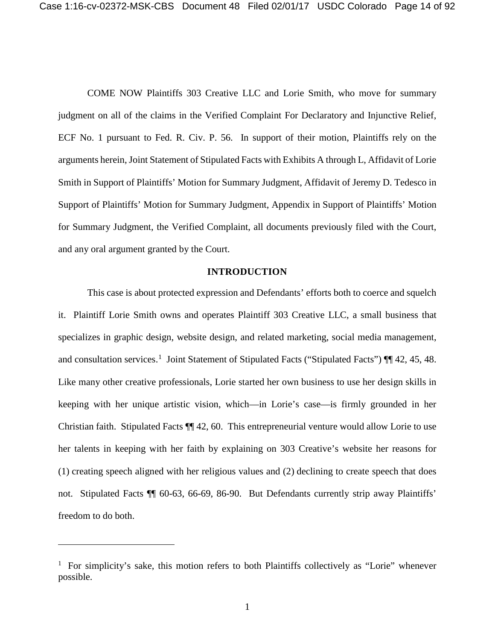COME NOW Plaintiffs 303 Creative LLC and Lorie Smith, who move for summary judgment on all of the claims in the Verified Complaint For Declaratory and Injunctive Relief, ECF No. 1 pursuant to Fed. R. Civ. P. 56. In support of their motion, Plaintiffs rely on the arguments herein, Joint Statement of Stipulated Facts with Exhibits A through L, Affidavit of Lorie Smith in Support of Plaintiffs' Motion for Summary Judgment, Affidavit of Jeremy D. Tedesco in Support of Plaintiffs' Motion for Summary Judgment, Appendix in Support of Plaintiffs' Motion for Summary Judgment, the Verified Complaint, all documents previously filed with the Court, and any oral argument granted by the Court.

#### **INTRODUCTION**

This case is about protected expression and Defendants' efforts both to coerce and squelch it. Plaintiff Lorie Smith owns and operates Plaintiff 303 Creative LLC, a small business that specializes in graphic design, website design, and related marketing, social media management, and consultation services.<sup>1</sup> Joint Statement of Stipulated Facts ("Stipulated Facts") ¶ 42, 45, 48. Like many other creative professionals, Lorie started her own business to use her design skills in keeping with her unique artistic vision, which—in Lorie's case—is firmly grounded in her Christian faith. Stipulated Facts ¶¶ 42, 60. This entrepreneurial venture would allow Lorie to use her talents in keeping with her faith by explaining on 303 Creative's website her reasons for (1) creating speech aligned with her religious values and (2) declining to create speech that does not. Stipulated Facts ¶¶ 60-63, 66-69, 86-90. But Defendants currently strip away Plaintiffs' freedom to do both.

 $\overline{a}$ 

<sup>&</sup>lt;sup>1</sup> For simplicity's sake, this motion refers to both Plaintiffs collectively as "Lorie" whenever possible.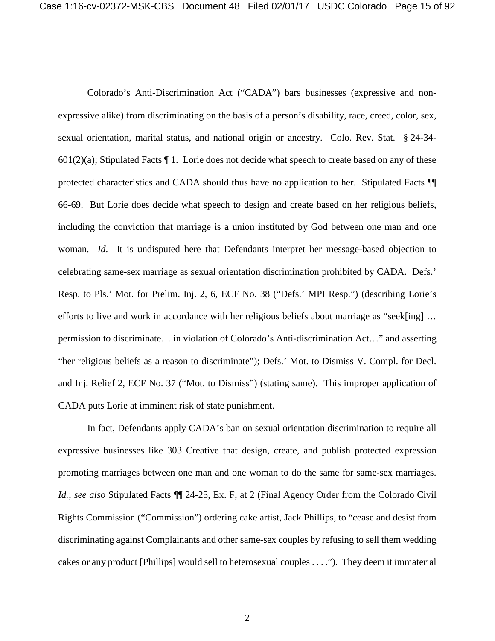Colorado's Anti-Discrimination Act ("CADA") bars businesses (expressive and nonexpressive alike) from discriminating on the basis of a person's disability, race, creed, color, sex, sexual orientation, marital status, and national origin or ancestry. Colo. Rev. Stat. § 24-34-  $601(2)(a)$ ; Stipulated Facts  $\P 1$ . Lorie does not decide what speech to create based on any of these protected characteristics and CADA should thus have no application to her. Stipulated Facts ¶¶ 66-69. But Lorie does decide what speech to design and create based on her religious beliefs, including the conviction that marriage is a union instituted by God between one man and one woman. *Id*. It is undisputed here that Defendants interpret her message-based objection to celebrating same-sex marriage as sexual orientation discrimination prohibited by CADA. Defs.' Resp. to Pls.' Mot. for Prelim. Inj. 2, 6, ECF No. 38 ("Defs.' MPI Resp.") (describing Lorie's efforts to live and work in accordance with her religious beliefs about marriage as "seek[ing] … permission to discriminate… in violation of Colorado's Anti-discrimination Act…" and asserting "her religious beliefs as a reason to discriminate"); Defs.' Mot. to Dismiss V. Compl. for Decl. and Inj. Relief 2, ECF No. 37 ("Mot. to Dismiss") (stating same). This improper application of CADA puts Lorie at imminent risk of state punishment.

In fact, Defendants apply CADA's ban on sexual orientation discrimination to require all expressive businesses like 303 Creative that design, create, and publish protected expression promoting marriages between one man and one woman to do the same for same-sex marriages. *Id.*; *see also* Stipulated Facts  $\P\P$  24-25, Ex. F, at 2 (Final Agency Order from the Colorado Civil Rights Commission ("Commission") ordering cake artist, Jack Phillips, to "cease and desist from discriminating against Complainants and other same-sex couples by refusing to sell them wedding cakes or any product [Phillips] would sell to heterosexual couples . . . ."). They deem it immaterial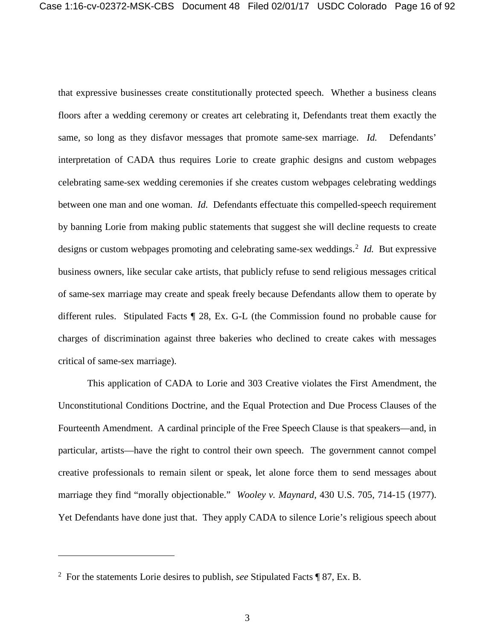that expressive businesses create constitutionally protected speech. Whether a business cleans floors after a wedding ceremony or creates art celebrating it, Defendants treat them exactly the same, so long as they disfavor messages that promote same-sex marriage. *Id.* Defendants' interpretation of CADA thus requires Lorie to create graphic designs and custom webpages celebrating same-sex wedding ceremonies if she creates custom webpages celebrating weddings between one man and one woman. *Id.* Defendants effectuate this compelled-speech requirement by banning Lorie from making public statements that suggest she will decline requests to create designs or custom webpages promoting and celebrating same-sex weddings.<sup>2</sup> Id. But expressive business owners, like secular cake artists, that publicly refuse to send religious messages critical of same-sex marriage may create and speak freely because Defendants allow them to operate by different rules. Stipulated Facts ¶ 28, Ex. G-L (the Commission found no probable cause for charges of discrimination against three bakeries who declined to create cakes with messages critical of same-sex marriage).

This application of CADA to Lorie and 303 Creative violates the First Amendment, the Unconstitutional Conditions Doctrine, and the Equal Protection and Due Process Clauses of the Fourteenth Amendment. A cardinal principle of the Free Speech Clause is that speakers—and, in particular, artists—have the right to control their own speech. The government cannot compel creative professionals to remain silent or speak, let alone force them to send messages about marriage they find "morally objectionable." *Wooley v. Maynard*, 430 U.S. 705, 714-15 (1977). Yet Defendants have done just that. They apply CADA to silence Lorie's religious speech about

 $\overline{a}$ 

<sup>2</sup> For the statements Lorie desires to publish, *see* Stipulated Facts ¶ 87, Ex. B.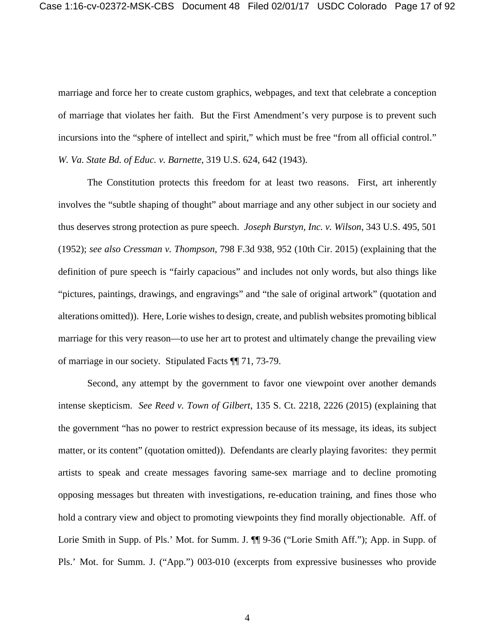marriage and force her to create custom graphics, webpages, and text that celebrate a conception of marriage that violates her faith. But the First Amendment's very purpose is to prevent such incursions into the "sphere of intellect and spirit," which must be free "from all official control." *W. Va. State Bd. of Educ. v. Barnette*, 319 U.S. 624, 642 (1943).

The Constitution protects this freedom for at least two reasons. First, art inherently involves the "subtle shaping of thought" about marriage and any other subject in our society and thus deserves strong protection as pure speech. *Joseph Burstyn, Inc. v. Wilson*, 343 U.S. 495, 501 (1952); *see also Cressman v. Thompson*, 798 F.3d 938, 952 (10th Cir. 2015) (explaining that the definition of pure speech is "fairly capacious" and includes not only words, but also things like "pictures, paintings, drawings, and engravings" and "the sale of original artwork" (quotation and alterations omitted)). Here, Lorie wishes to design, create, and publish websites promoting biblical marriage for this very reason—to use her art to protest and ultimately change the prevailing view of marriage in our society. Stipulated Facts ¶¶ 71, 73-79.

Second, any attempt by the government to favor one viewpoint over another demands intense skepticism. *See Reed v. Town of Gilbert*, 135 S. Ct. 2218, 2226 (2015) (explaining that the government "has no power to restrict expression because of its message, its ideas, its subject matter, or its content" (quotation omitted)). Defendants are clearly playing favorites: they permit artists to speak and create messages favoring same-sex marriage and to decline promoting opposing messages but threaten with investigations, re-education training, and fines those who hold a contrary view and object to promoting viewpoints they find morally objectionable. Aff. of Lorie Smith in Supp. of Pls.' Mot. for Summ. J.  $\P$  9-36 ("Lorie Smith Aff."); App. in Supp. of Pls.' Mot. for Summ. J. ("App.") 003-010 (excerpts from expressive businesses who provide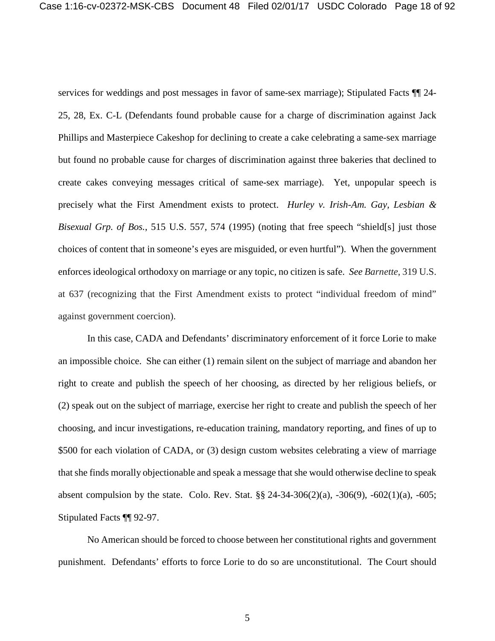services for weddings and post messages in favor of same-sex marriage); Stipulated Facts  $\P$  24-25, 28, Ex. C-L (Defendants found probable cause for a charge of discrimination against Jack Phillips and Masterpiece Cakeshop for declining to create a cake celebrating a same-sex marriage but found no probable cause for charges of discrimination against three bakeries that declined to create cakes conveying messages critical of same-sex marriage). Yet, unpopular speech is precisely what the First Amendment exists to protect. *Hurley v. Irish-Am. Gay, Lesbian & Bisexual Grp. of Bos.*, 515 U.S. 557, 574 (1995) (noting that free speech "shield[s] just those choices of content that in someone's eyes are misguided, or even hurtful"). When the government enforces ideological orthodoxy on marriage or any topic, no citizen is safe. *See Barnette*, 319 U.S. at 637 (recognizing that the First Amendment exists to protect "individual freedom of mind" against government coercion).

In this case, CADA and Defendants' discriminatory enforcement of it force Lorie to make an impossible choice. She can either (1) remain silent on the subject of marriage and abandon her right to create and publish the speech of her choosing, as directed by her religious beliefs, or (2) speak out on the subject of marriage, exercise her right to create and publish the speech of her choosing, and incur investigations, re-education training, mandatory reporting, and fines of up to \$500 for each violation of CADA, or (3) design custom websites celebrating a view of marriage that she finds morally objectionable and speak a message that she would otherwise decline to speak absent compulsion by the state. Colo. Rev. Stat. §§ 24-34-306(2)(a), -306(9), -602(1)(a), -605; Stipulated Facts ¶¶ 92-97.

No American should be forced to choose between her constitutional rights and government punishment. Defendants' efforts to force Lorie to do so are unconstitutional. The Court should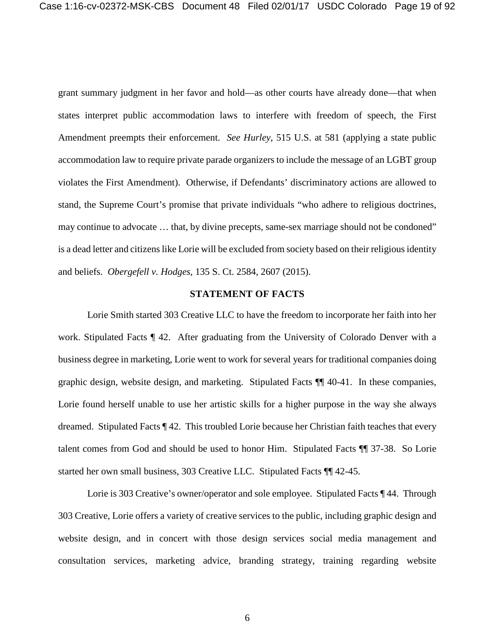grant summary judgment in her favor and hold—as other courts have already done—that when states interpret public accommodation laws to interfere with freedom of speech, the First Amendment preempts their enforcement. *See Hurley*, 515 U.S. at 581 (applying a state public accommodation law to require private parade organizers to include the message of an LGBT group violates the First Amendment). Otherwise, if Defendants' discriminatory actions are allowed to stand, the Supreme Court's promise that private individuals "who adhere to religious doctrines, may continue to advocate ... that, by divine precepts, same-sex marriage should not be condoned" is a dead letter and citizens like Lorie will be excluded from society based on their religious identity and beliefs. *Obergefell v. Hodges*, 135 S. Ct. 2584, 2607 (2015).

#### **STATEMENT OF FACTS**

Lorie Smith started 303 Creative LLC to have the freedom to incorporate her faith into her work. Stipulated Facts ¶ 42. After graduating from the University of Colorado Denver with a business degree in marketing, Lorie went to work for several years for traditional companies doing graphic design, website design, and marketing. Stipulated Facts ¶¶ 40-41. In these companies, Lorie found herself unable to use her artistic skills for a higher purpose in the way she always dreamed. Stipulated Facts ¶ 42. This troubled Lorie because her Christian faith teaches that every talent comes from God and should be used to honor Him. Stipulated Facts ¶¶ 37-38. So Lorie started her own small business, 303 Creative LLC. Stipulated Facts ¶¶ 42-45.

Lorie is 303 Creative's owner/operator and sole employee. Stipulated Facts ¶ 44. Through 303 Creative, Lorie offers a variety of creative services to the public, including graphic design and website design, and in concert with those design services social media management and consultation services, marketing advice, branding strategy, training regarding website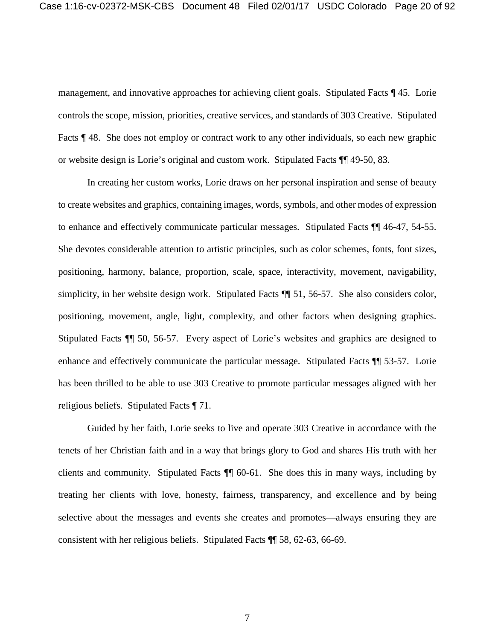management, and innovative approaches for achieving client goals. Stipulated Facts ¶ 45. Lorie controls the scope, mission, priorities, creative services, and standards of 303 Creative. Stipulated Facts ¶ 48. She does not employ or contract work to any other individuals, so each new graphic or website design is Lorie's original and custom work. Stipulated Facts ¶¶ 49-50, 83.

In creating her custom works, Lorie draws on her personal inspiration and sense of beauty to create websites and graphics, containing images, words, symbols, and other modes of expression to enhance and effectively communicate particular messages. Stipulated Facts ¶¶ 46-47, 54-55. She devotes considerable attention to artistic principles, such as color schemes, fonts, font sizes, positioning, harmony, balance, proportion, scale, space, interactivity, movement, navigability, simplicity, in her website design work. Stipulated Facts ¶¶ 51, 56-57. She also considers color, positioning, movement, angle, light, complexity, and other factors when designing graphics. Stipulated Facts ¶¶ 50, 56-57. Every aspect of Lorie's websites and graphics are designed to enhance and effectively communicate the particular message. Stipulated Facts ¶¶ 53-57. Lorie has been thrilled to be able to use 303 Creative to promote particular messages aligned with her religious beliefs. Stipulated Facts ¶ 71.

Guided by her faith, Lorie seeks to live and operate 303 Creative in accordance with the tenets of her Christian faith and in a way that brings glory to God and shares His truth with her clients and community. Stipulated Facts ¶¶ 60-61. She does this in many ways, including by treating her clients with love, honesty, fairness, transparency, and excellence and by being selective about the messages and events she creates and promotes—always ensuring they are consistent with her religious beliefs. Stipulated Facts ¶¶ 58, 62-63, 66-69.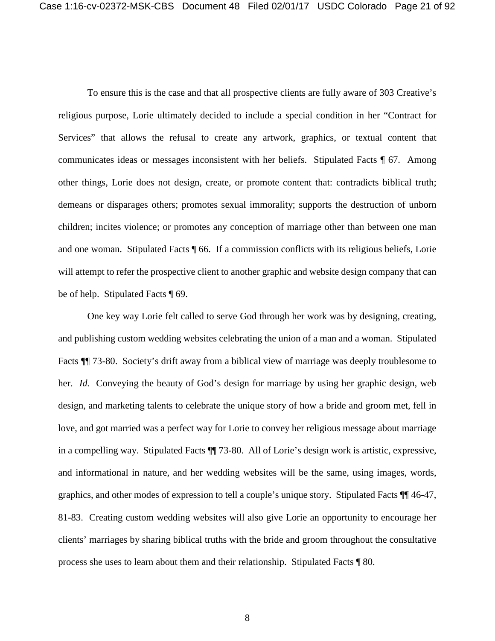To ensure this is the case and that all prospective clients are fully aware of 303 Creative's religious purpose, Lorie ultimately decided to include a special condition in her "Contract for Services" that allows the refusal to create any artwork, graphics, or textual content that communicates ideas or messages inconsistent with her beliefs. Stipulated Facts ¶ 67. Among other things, Lorie does not design, create, or promote content that: contradicts biblical truth; demeans or disparages others; promotes sexual immorality; supports the destruction of unborn children; incites violence; or promotes any conception of marriage other than between one man and one woman. Stipulated Facts ¶ 66. If a commission conflicts with its religious beliefs, Lorie will attempt to refer the prospective client to another graphic and website design company that can be of help. Stipulated Facts ¶ 69.

One key way Lorie felt called to serve God through her work was by designing, creating, and publishing custom wedding websites celebrating the union of a man and a woman. Stipulated Facts ¶¶ 73-80. Society's drift away from a biblical view of marriage was deeply troublesome to her. *Id.* Conveying the beauty of God's design for marriage by using her graphic design, web design, and marketing talents to celebrate the unique story of how a bride and groom met, fell in love, and got married was a perfect way for Lorie to convey her religious message about marriage in a compelling way. Stipulated Facts ¶¶ 73-80. All of Lorie's design work is artistic, expressive, and informational in nature, and her wedding websites will be the same, using images, words, graphics, and other modes of expression to tell a couple's unique story. Stipulated Facts ¶¶ 46-47, 81-83. Creating custom wedding websites will also give Lorie an opportunity to encourage her clients' marriages by sharing biblical truths with the bride and groom throughout the consultative process she uses to learn about them and their relationship. Stipulated Facts ¶ 80.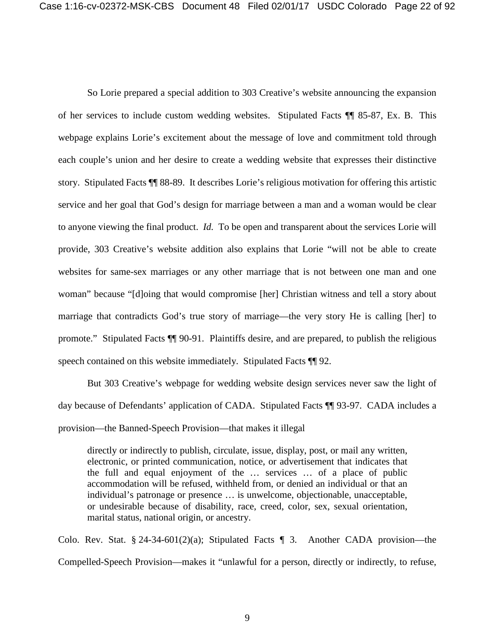So Lorie prepared a special addition to 303 Creative's website announcing the expansion of her services to include custom wedding websites. Stipulated Facts ¶¶ 85-87, Ex. B. This webpage explains Lorie's excitement about the message of love and commitment told through each couple's union and her desire to create a wedding website that expresses their distinctive story. Stipulated Facts ¶¶ 88-89. It describes Lorie's religious motivation for offering this artistic service and her goal that God's design for marriage between a man and a woman would be clear to anyone viewing the final product. *Id.* To be open and transparent about the services Lorie will provide, 303 Creative's website addition also explains that Lorie "will not be able to create websites for same-sex marriages or any other marriage that is not between one man and one woman" because "[d]oing that would compromise [her] Christian witness and tell a story about marriage that contradicts God's true story of marriage—the very story He is calling [her] to promote." Stipulated Facts ¶¶ 90-91. Plaintiffs desire, and are prepared, to publish the religious speech contained on this website immediately. Stipulated Facts  $\P\P$  92.

But 303 Creative's webpage for wedding website design services never saw the light of day because of Defendants' application of CADA. Stipulated Facts ¶¶ 93-97. CADA includes a provision—the Banned-Speech Provision—that makes it illegal

directly or indirectly to publish, circulate, issue, display, post, or mail any written, electronic, or printed communication, notice, or advertisement that indicates that the full and equal enjoyment of the … services … of a place of public accommodation will be refused, withheld from, or denied an individual or that an individual's patronage or presence … is unwelcome, objectionable, unacceptable, or undesirable because of disability, race, creed, color, sex, sexual orientation, marital status, national origin, or ancestry.

Colo. Rev. Stat. § 24-34-601(2)(a); Stipulated Facts  $\P$  3. Another CADA provision—the Compelled-Speech Provision—makes it "unlawful for a person, directly or indirectly, to refuse,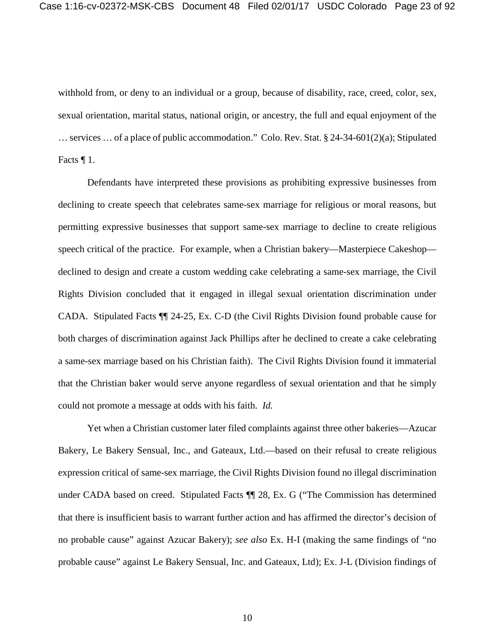withhold from, or deny to an individual or a group, because of disability, race, creed, color, sex, sexual orientation, marital status, national origin, or ancestry, the full and equal enjoyment of the … services … of a place of public accommodation." Colo. Rev. Stat. § 24-34-601(2)(a); Stipulated Facts  $\P$  1.

Defendants have interpreted these provisions as prohibiting expressive businesses from declining to create speech that celebrates same-sex marriage for religious or moral reasons, but permitting expressive businesses that support same-sex marriage to decline to create religious speech critical of the practice. For example, when a Christian bakery—Masterpiece Cakeshop declined to design and create a custom wedding cake celebrating a same-sex marriage, the Civil Rights Division concluded that it engaged in illegal sexual orientation discrimination under CADA. Stipulated Facts ¶¶ 24-25, Ex. C-D (the Civil Rights Division found probable cause for both charges of discrimination against Jack Phillips after he declined to create a cake celebrating a same-sex marriage based on his Christian faith). The Civil Rights Division found it immaterial that the Christian baker would serve anyone regardless of sexual orientation and that he simply could not promote a message at odds with his faith. *Id.*

Yet when a Christian customer later filed complaints against three other bakeries—Azucar Bakery, Le Bakery Sensual, Inc., and Gateaux, Ltd.—based on their refusal to create religious expression critical of same-sex marriage, the Civil Rights Division found no illegal discrimination under CADA based on creed. Stipulated Facts ¶¶ 28, Ex. G ("The Commission has determined that there is insufficient basis to warrant further action and has affirmed the director's decision of no probable cause" against Azucar Bakery); *see also* Ex. H-I (making the same findings of "no probable cause" against Le Bakery Sensual, Inc. and Gateaux, Ltd); Ex. J-L (Division findings of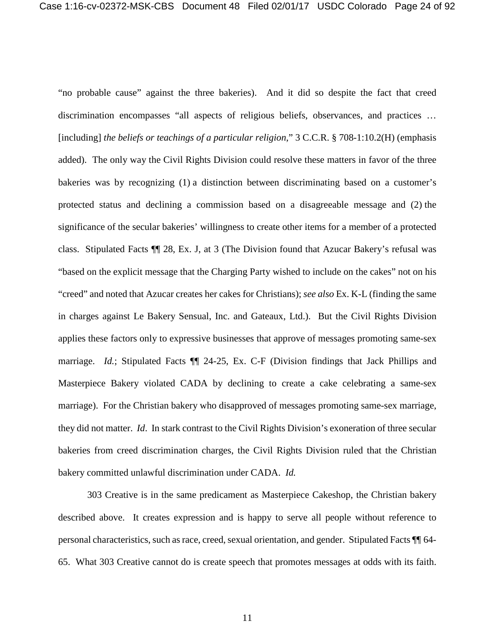"no probable cause" against the three bakeries). And it did so despite the fact that creed discrimination encompasses "all aspects of religious beliefs, observances, and practices … [including] *the beliefs or teachings of a particular religion*," 3 C.C.R. § 708-1:10.2(H) (emphasis added). The only way the Civil Rights Division could resolve these matters in favor of the three bakeries was by recognizing (1) a distinction between discriminating based on a customer's protected status and declining a commission based on a disagreeable message and (2) the significance of the secular bakeries' willingness to create other items for a member of a protected class. Stipulated Facts ¶¶ 28, Ex. J, at 3 (The Division found that Azucar Bakery's refusal was "based on the explicit message that the Charging Party wished to include on the cakes" not on his "creed" and noted that Azucar creates her cakes for Christians); *see also* Ex. K-L (finding the same in charges against Le Bakery Sensual, Inc. and Gateaux, Ltd.). But the Civil Rights Division applies these factors only to expressive businesses that approve of messages promoting same-sex marriage. *Id.*; Stipulated Facts ¶¶ 24-25, Ex. C-F (Division findings that Jack Phillips and Masterpiece Bakery violated CADA by declining to create a cake celebrating a same-sex marriage). For the Christian bakery who disapproved of messages promoting same-sex marriage, they did not matter. *Id*. In stark contrast to the Civil Rights Division's exoneration of three secular bakeries from creed discrimination charges, the Civil Rights Division ruled that the Christian bakery committed unlawful discrimination under CADA. *Id.*

303 Creative is in the same predicament as Masterpiece Cakeshop, the Christian bakery described above. It creates expression and is happy to serve all people without reference to personal characteristics, such as race, creed, sexual orientation, and gender. Stipulated Facts ¶¶ 64- 65. What 303 Creative cannot do is create speech that promotes messages at odds with its faith.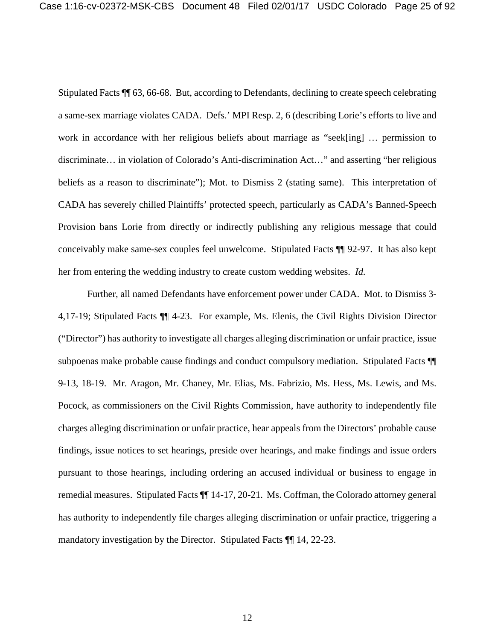Stipulated Facts ¶¶ 63, 66-68. But, according to Defendants, declining to create speech celebrating a same-sex marriage violates CADA. Defs.' MPI Resp. 2, 6 (describing Lorie's efforts to live and work in accordance with her religious beliefs about marriage as "seek[ing] … permission to discriminate… in violation of Colorado's Anti-discrimination Act…" and asserting "her religious beliefs as a reason to discriminate"); Mot. to Dismiss 2 (stating same). This interpretation of CADA has severely chilled Plaintiffs' protected speech, particularly as CADA's Banned-Speech Provision bans Lorie from directly or indirectly publishing any religious message that could conceivably make same-sex couples feel unwelcome. Stipulated Facts ¶¶ 92-97. It has also kept her from entering the wedding industry to create custom wedding websites. *Id.* 

Further, all named Defendants have enforcement power under CADA. Mot. to Dismiss 3- 4,17-19; Stipulated Facts ¶¶ 4-23. For example, Ms. Elenis, the Civil Rights Division Director ("Director") has authority to investigate all charges alleging discrimination or unfair practice, issue subpoenas make probable cause findings and conduct compulsory mediation. Stipulated Facts ¶¶ 9-13, 18-19. Mr. Aragon, Mr. Chaney, Mr. Elias, Ms. Fabrizio, Ms. Hess, Ms. Lewis, and Ms. Pocock, as commissioners on the Civil Rights Commission, have authority to independently file charges alleging discrimination or unfair practice, hear appeals from the Directors' probable cause findings, issue notices to set hearings, preside over hearings, and make findings and issue orders pursuant to those hearings, including ordering an accused individual or business to engage in remedial measures. Stipulated Facts ¶¶ 14-17, 20-21. Ms. Coffman, the Colorado attorney general has authority to independently file charges alleging discrimination or unfair practice, triggering a mandatory investigation by the Director. Stipulated Facts ¶¶ 14, 22-23.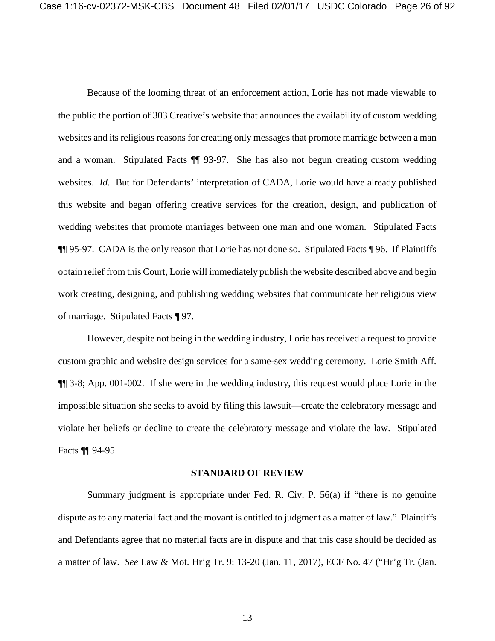Because of the looming threat of an enforcement action, Lorie has not made viewable to the public the portion of 303 Creative's website that announces the availability of custom wedding websites and its religious reasons for creating only messages that promote marriage between a man and a woman. Stipulated Facts ¶¶ 93-97. She has also not begun creating custom wedding websites. *Id.* But for Defendants' interpretation of CADA, Lorie would have already published this website and began offering creative services for the creation, design, and publication of wedding websites that promote marriages between one man and one woman. Stipulated Facts ¶¶ 95-97. CADA is the only reason that Lorie has not done so. Stipulated Facts ¶ 96. If Plaintiffs obtain relief from this Court, Lorie will immediately publish the website described above and begin work creating, designing, and publishing wedding websites that communicate her religious view of marriage. Stipulated Facts ¶ 97.

However, despite not being in the wedding industry, Lorie has received a request to provide custom graphic and website design services for a same-sex wedding ceremony. Lorie Smith Aff. ¶¶ 3-8; App. 001-002. If she were in the wedding industry, this request would place Lorie in the impossible situation she seeks to avoid by filing this lawsuit—create the celebratory message and violate her beliefs or decline to create the celebratory message and violate the law. Stipulated Facts ¶¶ 94-95.

#### **STANDARD OF REVIEW**

Summary judgment is appropriate under Fed. R. Civ. P. 56(a) if "there is no genuine dispute as to any material fact and the movant is entitled to judgment as a matter of law." Plaintiffs and Defendants agree that no material facts are in dispute and that this case should be decided as a matter of law. *See* Law & Mot. Hr'g Tr. 9: 13-20 (Jan. 11, 2017), ECF No. 47 ("Hr'g Tr. (Jan.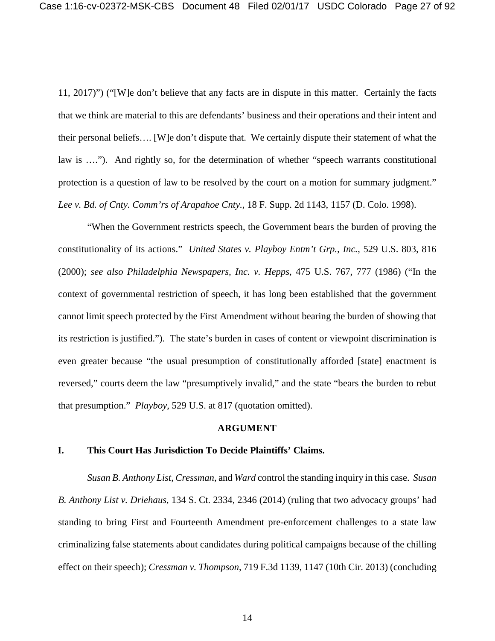11, 2017)") ("[W]e don't believe that any facts are in dispute in this matter. Certainly the facts that we think are material to this are defendants' business and their operations and their intent and their personal beliefs…. [W]e don't dispute that. We certainly dispute their statement of what the law is …."). And rightly so, for the determination of whether "speech warrants constitutional protection is a question of law to be resolved by the court on a motion for summary judgment." *Lee v. Bd. of Cnty. Comm'rs of Arapahoe Cnty.*, 18 F. Supp. 2d 1143, 1157 (D. Colo. 1998).

"When the Government restricts speech, the Government bears the burden of proving the constitutionality of its actions." *United States v. Playboy Entm't Grp., Inc.*, 529 U.S. 803, 816 (2000); *see also Philadelphia Newspapers, Inc. v. Hepps*, 475 U.S. 767, 777 (1986) ("In the context of governmental restriction of speech, it has long been established that the government cannot limit speech protected by the First Amendment without bearing the burden of showing that its restriction is justified."). The state's burden in cases of content or viewpoint discrimination is even greater because "the usual presumption of constitutionally afforded [state] enactment is reversed," courts deem the law "presumptively invalid," and the state "bears the burden to rebut that presumption." *Playboy*, 529 U.S. at 817 (quotation omitted).

#### **ARGUMENT**

### **I. This Court Has Jurisdiction To Decide Plaintiffs' Claims.**

*Susan B. Anthony List*, *Cressman*, and *Ward* control the standing inquiry in this case. *Susan B. Anthony List v. Driehaus*, 134 S. Ct. 2334, 2346 (2014) (ruling that two advocacy groups' had standing to bring First and Fourteenth Amendment pre-enforcement challenges to a state law criminalizing false statements about candidates during political campaigns because of the chilling effect on their speech); *Cressman v. Thompson*, 719 F.3d 1139, 1147 (10th Cir. 2013) (concluding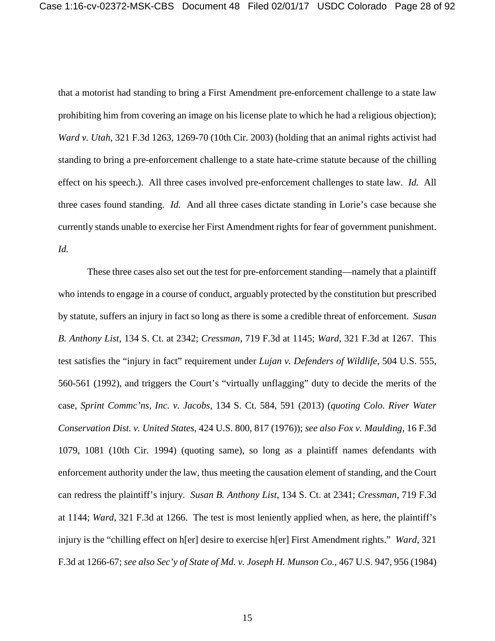that a motorist had standing to bring a First Amendment pre-enforcement challenge to a state law prohibiting him from covering an image on his license plate to which he had a religious objection); *Ward v. Utah*, 321 F.3d 1263, 1269-70 (10th Cir. 2003) (holding that an animal rights activist had standing to bring a pre-enforcement challenge to a state hate-crime statute because of the chilling effect on his speech.). All three cases involved pre-enforcement challenges to state law. *Id.* All three cases found standing. *Id.* And all three cases dictate standing in Lorie's case because she currently stands unable to exercise her First Amendment rights for fear of government punishment. *Id.*

These three cases also set out the test for pre-enforcement standing—namely that a plaintiff who intends to engage in a course of conduct, arguably protected by the constitution but prescribed by statute, suffers an injury in fact so long as there is some a credible threat of enforcement. *Susan B. Anthony List*, 134 S. Ct. at 2342; *Cressman*, 719 F.3d at 1145; *Ward*, 321 F.3d at 1267. This test satisfies the "injury in fact" requirement under *Lujan v. Defenders of Wildlife*, 504 U.S. 555, 560-561 (1992), and triggers the Court's "virtually unflagging" duty to decide the merits of the case, *Sprint Commc'ns, Inc. v. Jacobs*, 134 S. Ct. 584, 591 (2013) (*quoting Colo. River Water Conservation Dist. v. United States*, 424 U.S. 800, 817 (1976)); *see also Fox v. Maulding*, 16 F.3d 1079, 1081 (10th Cir. 1994) (quoting same), so long as a plaintiff names defendants with enforcement authority under the law, thus meeting the causation element of standing, and the Court can redress the plaintiff's injury. *Susan B. Anthony List*, 134 S. Ct. at 2341; *Cressman*, 719 F.3d at 1144; *Ward*, 321 F.3d at 1266. The test is most leniently applied when, as here, the plaintiff's injury is the "chilling effect on h[er] desire to exercise h[er] First Amendment rights." *Ward*, 321 F.3d at 1266-67; *see also Sec'y of State of Md. v. Joseph H. Munson Co.*, 467 U.S. 947, 956 (1984)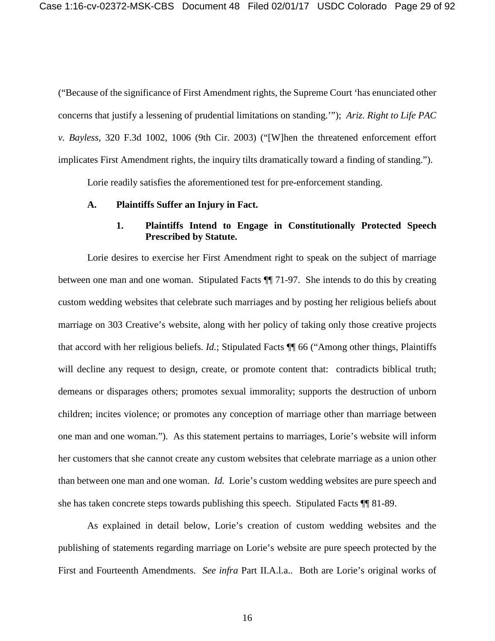("Because of the significance of First Amendment rights, the Supreme Court 'has enunciated other concerns that justify a lessening of prudential limitations on standing.'"); *Ariz. Right to Life PAC v. Bayless*, 320 F.3d 1002, 1006 (9th Cir. 2003) ("[W]hen the threatened enforcement effort implicates First Amendment rights, the inquiry tilts dramatically toward a finding of standing.").

Lorie readily satisfies the aforementioned test for pre-enforcement standing.

#### **A. Plaintiffs Suffer an Injury in Fact.**

## **1. Plaintiffs Intend to Engage in Constitutionally Protected Speech Prescribed by Statute.**

Lorie desires to exercise her First Amendment right to speak on the subject of marriage between one man and one woman. Stipulated Facts ¶¶ 71-97. She intends to do this by creating custom wedding websites that celebrate such marriages and by posting her religious beliefs about marriage on 303 Creative's website, along with her policy of taking only those creative projects that accord with her religious beliefs. *Id.*; Stipulated Facts ¶¶ 66 ("Among other things, Plaintiffs will decline any request to design, create, or promote content that: contradicts biblical truth; demeans or disparages others; promotes sexual immorality; supports the destruction of unborn children; incites violence; or promotes any conception of marriage other than marriage between one man and one woman."). As this statement pertains to marriages, Lorie's website will inform her customers that she cannot create any custom websites that celebrate marriage as a union other than between one man and one woman. *Id.* Lorie's custom wedding websites are pure speech and she has taken concrete steps towards publishing this speech. Stipulated Facts ¶¶ 81-89.

As explained in detail below, Lorie's creation of custom wedding websites and the publishing of statements regarding marriage on Lorie's website are pure speech protected by the First and Fourteenth Amendments. *See infra* Part II.A.l.a.. Both are Lorie's original works of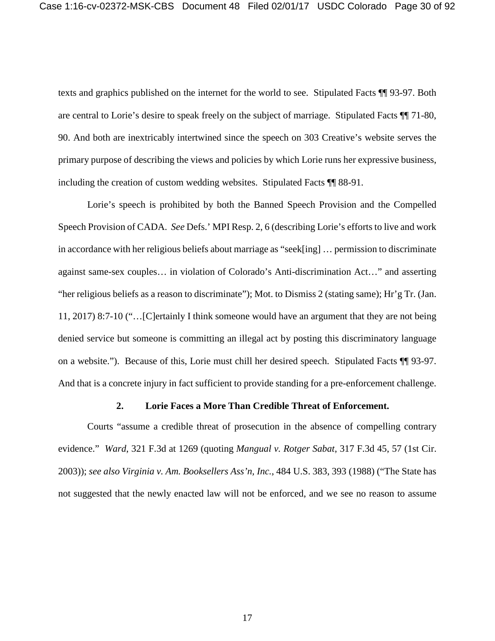texts and graphics published on the internet for the world to see. Stipulated Facts ¶¶ 93-97. Both are central to Lorie's desire to speak freely on the subject of marriage. Stipulated Facts ¶¶ 71-80, 90. And both are inextricably intertwined since the speech on 303 Creative's website serves the primary purpose of describing the views and policies by which Lorie runs her expressive business, including the creation of custom wedding websites. Stipulated Facts ¶¶ 88-91.

Lorie's speech is prohibited by both the Banned Speech Provision and the Compelled Speech Provision of CADA. *See* Defs.' MPI Resp. 2, 6 (describing Lorie's efforts to live and work in accordance with her religious beliefs about marriage as "seek[ing] … permission to discriminate against same-sex couples… in violation of Colorado's Anti-discrimination Act…" and asserting "her religious beliefs as a reason to discriminate"); Mot. to Dismiss 2 (stating same); Hr'g Tr. (Jan. 11, 2017) 8:7-10 ("…[C]ertainly I think someone would have an argument that they are not being denied service but someone is committing an illegal act by posting this discriminatory language on a website."). Because of this, Lorie must chill her desired speech. Stipulated Facts ¶¶ 93-97. And that is a concrete injury in fact sufficient to provide standing for a pre-enforcement challenge.

### **2. Lorie Faces a More Than Credible Threat of Enforcement.**

Courts "assume a credible threat of prosecution in the absence of compelling contrary evidence." *Ward*, 321 F.3d at 1269 (quoting *Mangual v. Rotger Sabat*, 317 F.3d 45, 57 (1st Cir. 2003)); *see also Virginia v. Am. Booksellers Ass'n, Inc.*, 484 U.S. 383, 393 (1988) ("The State has not suggested that the newly enacted law will not be enforced, and we see no reason to assume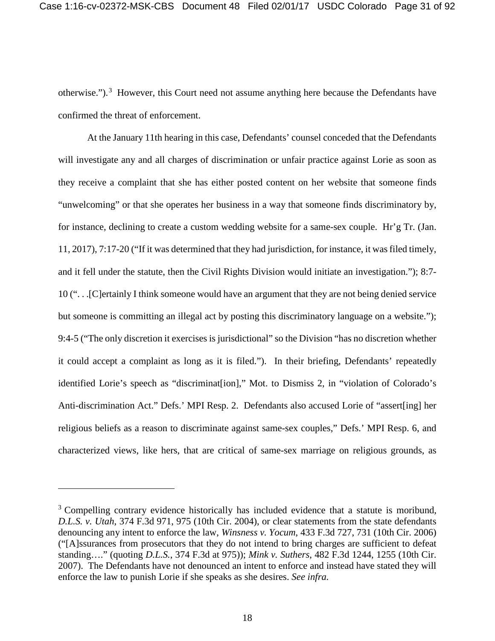otherwise."). $3$  However, this Court need not assume anything here because the Defendants have confirmed the threat of enforcement.

At the January 11th hearing in this case, Defendants' counsel conceded that the Defendants will investigate any and all charges of discrimination or unfair practice against Lorie as soon as they receive a complaint that she has either posted content on her website that someone finds "unwelcoming" or that she operates her business in a way that someone finds discriminatory by, for instance, declining to create a custom wedding website for a same-sex couple. Hr'g Tr. (Jan. 11, 2017), 7:17-20 ("If it was determined that they had jurisdiction, for instance, it was filed timely, and it fell under the statute, then the Civil Rights Division would initiate an investigation."); 8:7- 10 (". . .[C]ertainly I think someone would have an argument that they are not being denied service but someone is committing an illegal act by posting this discriminatory language on a website."); 9:4-5 ("The only discretion it exercises is jurisdictional" so the Division "has no discretion whether it could accept a complaint as long as it is filed."). In their briefing, Defendants' repeatedly identified Lorie's speech as "discriminat[ion]," Mot. to Dismiss 2, in "violation of Colorado's Anti-discrimination Act." Defs.' MPI Resp. 2. Defendants also accused Lorie of "assert[ing] her religious beliefs as a reason to discriminate against same-sex couples," Defs.' MPI Resp. 6, and characterized views, like hers, that are critical of same-sex marriage on religious grounds, as

 $\overline{a}$ 

<sup>&</sup>lt;sup>3</sup> Compelling contrary evidence historically has included evidence that a statute is moribund, *D.L.S. v. Utah*, 374 F.3d 971, 975 (10th Cir. 2004), or clear statements from the state defendants denouncing any intent to enforce the law, *Winsness v. Yocum*, 433 F.3d 727, 731 (10th Cir. 2006) ("[A]ssurances from prosecutors that they do not intend to bring charges are sufficient to defeat standing…." (quoting *D.L.S.*, 374 F.3d at 975)); *Mink v. Suthers*, 482 F.3d 1244, 1255 (10th Cir. 2007). The Defendants have not denounced an intent to enforce and instead have stated they will enforce the law to punish Lorie if she speaks as she desires. *See infra.*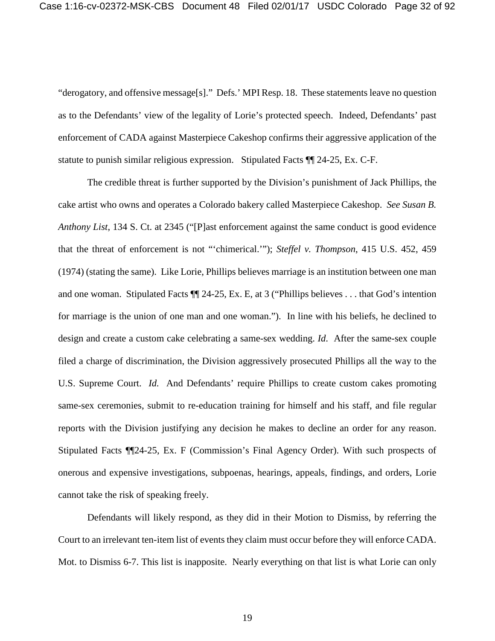"derogatory, and offensive message[s]." Defs.' MPI Resp. 18. These statements leave no question as to the Defendants' view of the legality of Lorie's protected speech. Indeed, Defendants' past enforcement of CADA against Masterpiece Cakeshop confirms their aggressive application of the statute to punish similar religious expression. Stipulated Facts ¶¶ 24-25, Ex. C-F.

The credible threat is further supported by the Division's punishment of Jack Phillips, the cake artist who owns and operates a Colorado bakery called Masterpiece Cakeshop. *See Susan B. Anthony List*, 134 S. Ct. at 2345 ("[P]ast enforcement against the same conduct is good evidence that the threat of enforcement is not "'chimerical.'"); *Steffel v. Thompson*, 415 U.S. 452, 459 (1974) (stating the same). Like Lorie, Phillips believes marriage is an institution between one man and one woman. Stipulated Facts ¶¶ 24-25, Ex. E, at 3 ("Phillips believes . . . that God's intention for marriage is the union of one man and one woman."). In line with his beliefs, he declined to design and create a custom cake celebrating a same-sex wedding. *Id*. After the same-sex couple filed a charge of discrimination, the Division aggressively prosecuted Phillips all the way to the U.S. Supreme Court. *Id.* And Defendants' require Phillips to create custom cakes promoting same-sex ceremonies, submit to re-education training for himself and his staff, and file regular reports with the Division justifying any decision he makes to decline an order for any reason. Stipulated Facts ¶¶24-25, Ex. F (Commission's Final Agency Order). With such prospects of onerous and expensive investigations, subpoenas, hearings, appeals, findings, and orders, Lorie cannot take the risk of speaking freely.

Defendants will likely respond, as they did in their Motion to Dismiss, by referring the Court to an irrelevant ten-item list of events they claim must occur before they will enforce CADA. Mot. to Dismiss 6-7. This list is inapposite. Nearly everything on that list is what Lorie can only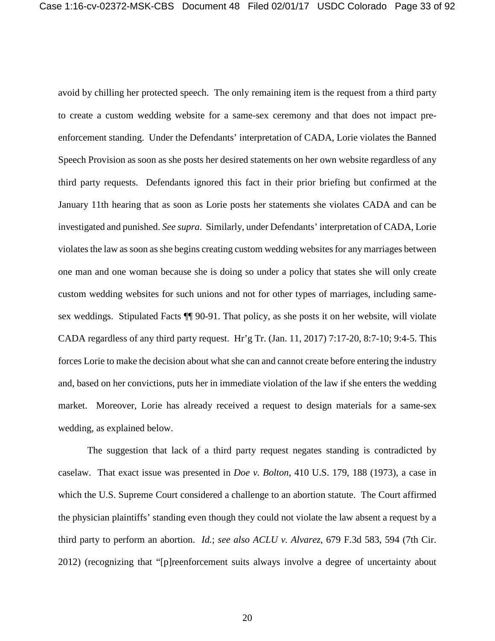avoid by chilling her protected speech. The only remaining item is the request from a third party to create a custom wedding website for a same-sex ceremony and that does not impact preenforcement standing. Under the Defendants' interpretation of CADA, Lorie violates the Banned Speech Provision as soon as she posts her desired statements on her own website regardless of any third party requests. Defendants ignored this fact in their prior briefing but confirmed at the January 11th hearing that as soon as Lorie posts her statements she violates CADA and can be investigated and punished. *See supra*. Similarly, under Defendants' interpretation of CADA, Lorie violates the law as soon as she begins creating custom wedding websites for any marriages between one man and one woman because she is doing so under a policy that states she will only create custom wedding websites for such unions and not for other types of marriages, including samesex weddings. Stipulated Facts ¶¶ 90-91. That policy, as she posts it on her website, will violate CADA regardless of any third party request. Hr'g Tr. (Jan. 11, 2017) 7:17-20, 8:7-10; 9:4-5. This forces Lorie to make the decision about what she can and cannot create before entering the industry and, based on her convictions, puts her in immediate violation of the law if she enters the wedding market. Moreover, Lorie has already received a request to design materials for a same-sex wedding, as explained below.

The suggestion that lack of a third party request negates standing is contradicted by caselaw. That exact issue was presented in *Doe v. Bolton*, 410 U.S. 179, 188 (1973), a case in which the U.S. Supreme Court considered a challenge to an abortion statute. The Court affirmed the physician plaintiffs' standing even though they could not violate the law absent a request by a third party to perform an abortion. *Id.*; *see also ACLU v. Alvarez*, 679 F.3d 583, 594 (7th Cir. 2012) (recognizing that "[p]reenforcement suits always involve a degree of uncertainty about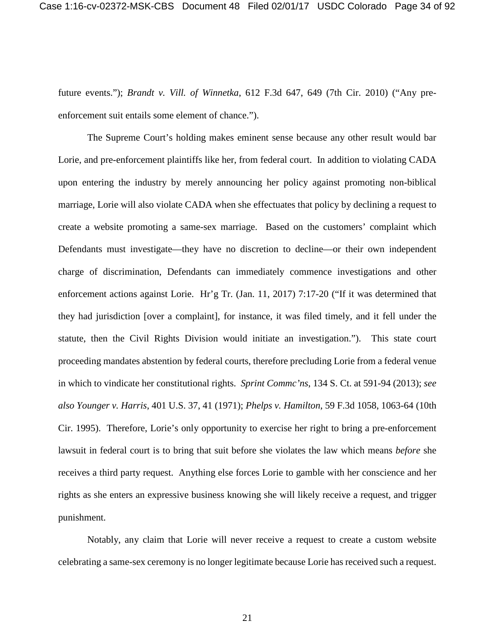future events."); *Brandt v. Vill. of Winnetka*, 612 F.3d 647, 649 (7th Cir. 2010) ("Any preenforcement suit entails some element of chance.").

The Supreme Court's holding makes eminent sense because any other result would bar Lorie, and pre-enforcement plaintiffs like her, from federal court. In addition to violating CADA upon entering the industry by merely announcing her policy against promoting non-biblical marriage, Lorie will also violate CADA when she effectuates that policy by declining a request to create a website promoting a same-sex marriage. Based on the customers' complaint which Defendants must investigate—they have no discretion to decline—or their own independent charge of discrimination, Defendants can immediately commence investigations and other enforcement actions against Lorie. Hr'g Tr. (Jan. 11, 2017) 7:17-20 ("If it was determined that they had jurisdiction [over a complaint], for instance, it was filed timely, and it fell under the statute, then the Civil Rights Division would initiate an investigation."). This state court proceeding mandates abstention by federal courts, therefore precluding Lorie from a federal venue in which to vindicate her constitutional rights. *Sprint Commc'ns*, 134 S. Ct. at 591-94 (2013); *see also Younger v. Harris*, 401 U.S. 37, 41 (1971); *Phelps v. Hamilton*, 59 F.3d 1058, 1063-64 (10th Cir. 1995). Therefore, Lorie's only opportunity to exercise her right to bring a pre-enforcement lawsuit in federal court is to bring that suit before she violates the law which means *before* she receives a third party request. Anything else forces Lorie to gamble with her conscience and her rights as she enters an expressive business knowing she will likely receive a request, and trigger punishment.

Notably, any claim that Lorie will never receive a request to create a custom website celebrating a same-sex ceremony is no longer legitimate because Lorie has received such a request.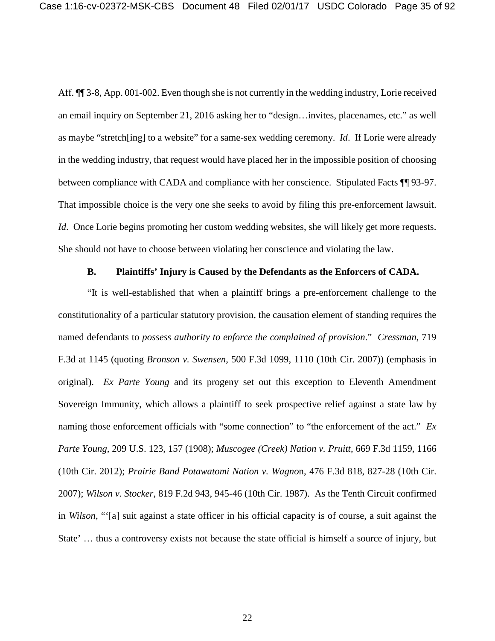Aff.  $\P$  3-8, App. 001-002. Even though she is not currently in the wedding industry, Lorie received an email inquiry on September 21, 2016 asking her to "design…invites, placenames, etc." as well as maybe "stretch[ing] to a website" for a same-sex wedding ceremony. *Id*. If Lorie were already in the wedding industry, that request would have placed her in the impossible position of choosing between compliance with CADA and compliance with her conscience. Stipulated Facts ¶ 93-97. That impossible choice is the very one she seeks to avoid by filing this pre-enforcement lawsuit. *Id.* Once Lorie begins promoting her custom wedding websites, she will likely get more requests. She should not have to choose between violating her conscience and violating the law.

#### **B. Plaintiffs' Injury is Caused by the Defendants as the Enforcers of CADA.**

"It is well-established that when a plaintiff brings a pre-enforcement challenge to the constitutionality of a particular statutory provision, the causation element of standing requires the named defendants to *possess authority to enforce the complained of provision*." *Cressman*, 719 F.3d at 1145 (quoting *Bronson v. Swensen*, 500 F.3d 1099, 1110 (10th Cir. 2007)) (emphasis in original). *Ex Parte Young* and its progeny set out this exception to Eleventh Amendment Sovereign Immunity, which allows a plaintiff to seek prospective relief against a state law by naming those enforcement officials with "some connection" to "the enforcement of the act." *Ex Parte Young*, 209 U.S. 123, 157 (1908); *Muscogee (Creek) Nation v. Pruitt*, 669 F.3d 1159, 1166 (10th Cir. 2012); *Prairie Band Potawatomi Nation v. Wagno*n, 476 F.3d 818, 827-28 (10th Cir. 2007); *Wilson v. Stocker*, 819 F.2d 943, 945-46 (10th Cir. 1987). As the Tenth Circuit confirmed in *Wilson*, "'[a] suit against a state officer in his official capacity is of course, a suit against the State' … thus a controversy exists not because the state official is himself a source of injury, but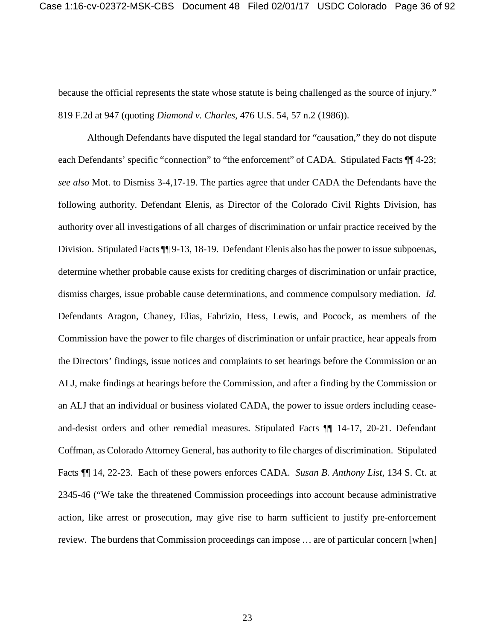because the official represents the state whose statute is being challenged as the source of injury." 819 F.2d at 947 (quoting *Diamond v. Charles*, 476 U.S. 54, 57 n.2 (1986)).

Although Defendants have disputed the legal standard for "causation," they do not dispute each Defendants' specific "connection" to "the enforcement" of CADA. Stipulated Facts  $\P$  4-23; *see also* Mot. to Dismiss 3-4,17-19. The parties agree that under CADA the Defendants have the following authority. Defendant Elenis, as Director of the Colorado Civil Rights Division, has authority over all investigations of all charges of discrimination or unfair practice received by the Division. Stipulated Facts  $\P\P$  9-13, 18-19. Defendant Elenis also has the power to issue subpoenas, determine whether probable cause exists for crediting charges of discrimination or unfair practice, dismiss charges, issue probable cause determinations, and commence compulsory mediation. *Id.* Defendants Aragon, Chaney, Elias, Fabrizio, Hess, Lewis, and Pocock, as members of the Commission have the power to file charges of discrimination or unfair practice, hear appeals from the Directors' findings, issue notices and complaints to set hearings before the Commission or an ALJ, make findings at hearings before the Commission, and after a finding by the Commission or an ALJ that an individual or business violated CADA, the power to issue orders including ceaseand-desist orders and other remedial measures. Stipulated Facts ¶¶ 14-17, 20-21. Defendant Coffman, as Colorado Attorney General, has authority to file charges of discrimination. Stipulated Facts ¶¶ 14, 22-23. Each of these powers enforces CADA. *Susan B. Anthony List*, 134 S. Ct. at 2345-46 ("We take the threatened Commission proceedings into account because administrative action, like arrest or prosecution, may give rise to harm sufficient to justify pre-enforcement review. The burdens that Commission proceedings can impose … are of particular concern [when]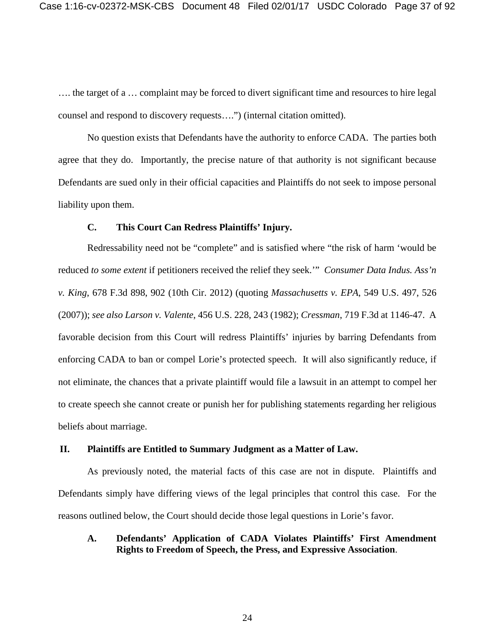…. the target of a … complaint may be forced to divert significant time and resources to hire legal counsel and respond to discovery requests….") (internal citation omitted).

No question exists that Defendants have the authority to enforce CADA. The parties both agree that they do. Importantly, the precise nature of that authority is not significant because Defendants are sued only in their official capacities and Plaintiffs do not seek to impose personal liability upon them.

#### **C. This Court Can Redress Plaintiffs' Injury.**

Redressability need not be "complete" and is satisfied where "the risk of harm 'would be reduced *to some extent* if petitioners received the relief they seek.'" *Consumer Data Indus. Ass'n v. King*, 678 F.3d 898, 902 (10th Cir. 2012) (quoting *Massachusetts v. EPA*, 549 U.S. 497, 526 (2007)); *see also Larson v. Valente*, 456 U.S. 228, 243 (1982); *Cressman*, 719 F.3d at 1146-47. A favorable decision from this Court will redress Plaintiffs' injuries by barring Defendants from enforcing CADA to ban or compel Lorie's protected speech. It will also significantly reduce, if not eliminate, the chances that a private plaintiff would file a lawsuit in an attempt to compel her to create speech she cannot create or punish her for publishing statements regarding her religious beliefs about marriage.

#### **II. Plaintiffs are Entitled to Summary Judgment as a Matter of Law.**

As previously noted, the material facts of this case are not in dispute. Plaintiffs and Defendants simply have differing views of the legal principles that control this case. For the reasons outlined below, the Court should decide those legal questions in Lorie's favor.

#### **A. Defendants' Application of CADA Violates Plaintiffs' First Amendment Rights to Freedom of Speech, the Press, and Expressive Association**.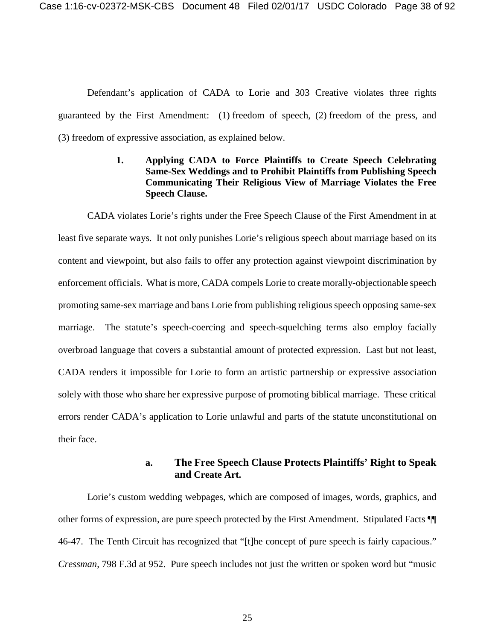Defendant's application of CADA to Lorie and 303 Creative violates three rights guaranteed by the First Amendment: (1) freedom of speech, (2) freedom of the press, and (3) freedom of expressive association, as explained below.

## **1. Applying CADA to Force Plaintiffs to Create Speech Celebrating Same-Sex Weddings and to Prohibit Plaintiffs from Publishing Speech Communicating Their Religious View of Marriage Violates the Free Speech Clause.**

CADA violates Lorie's rights under the Free Speech Clause of the First Amendment in at least five separate ways. It not only punishes Lorie's religious speech about marriage based on its content and viewpoint, but also fails to offer any protection against viewpoint discrimination by enforcement officials. What is more, CADA compels Lorie to create morally-objectionable speech promoting same-sex marriage and bans Lorie from publishing religious speech opposing same-sex marriage. The statute's speech-coercing and speech-squelching terms also employ facially overbroad language that covers a substantial amount of protected expression. Last but not least, CADA renders it impossible for Lorie to form an artistic partnership or expressive association solely with those who share her expressive purpose of promoting biblical marriage. These critical errors render CADA's application to Lorie unlawful and parts of the statute unconstitutional on their face.

# **a. The Free Speech Clause Protects Plaintiffs' Right to Speak and Create Art.**

Lorie's custom wedding webpages, which are composed of images, words, graphics, and other forms of expression, are pure speech protected by the First Amendment. Stipulated Facts ¶¶ 46-47. The Tenth Circuit has recognized that "[t]he concept of pure speech is fairly capacious." *Cressman*, 798 F.3d at 952. Pure speech includes not just the written or spoken word but "music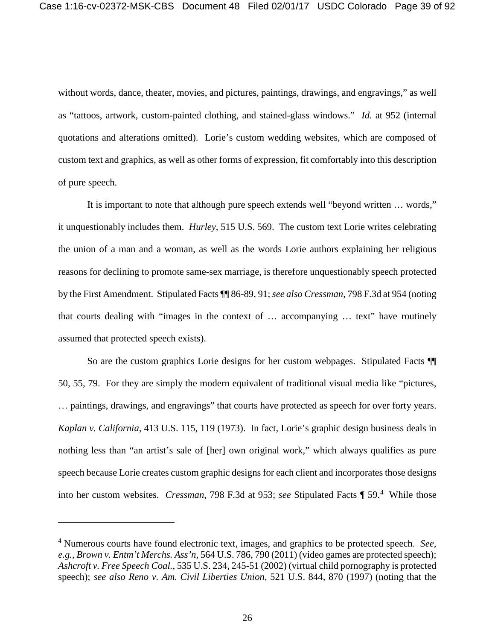without words, dance, theater, movies, and pictures, paintings, drawings, and engravings," as well as "tattoos, artwork, custom-painted clothing, and stained-glass windows." *Id.* at 952 (internal quotations and alterations omitted). Lorie's custom wedding websites, which are composed of custom text and graphics, as well as other forms of expression, fit comfortably into this description of pure speech.

It is important to note that although pure speech extends well "beyond written … words," it unquestionably includes them. *Hurley*, 515 U.S. 569. The custom text Lorie writes celebrating the union of a man and a woman, as well as the words Lorie authors explaining her religious reasons for declining to promote same-sex marriage, is therefore unquestionably speech protected by the First Amendment. Stipulated Facts ¶¶ 86-89, 91; *see also Cressman*, 798 F.3d at 954 (noting that courts dealing with "images in the context of … accompanying … text" have routinely assumed that protected speech exists).

So are the custom graphics Lorie designs for her custom webpages. Stipulated Facts ¶¶ 50, 55, 79. For they are simply the modern equivalent of traditional visual media like "pictures, … paintings, drawings, and engravings" that courts have protected as speech for over forty years. *Kaplan v. California*, 413 U.S. 115, 119 (1973). In fact, Lorie's graphic design business deals in nothing less than "an artist's sale of [her] own original work," which always qualifies as pure speech because Lorie creates custom graphic designs for each client and incorporates those designs into her custom websites. *Cressman*, 798 F.3d at 953; *see* Stipulated Facts ¶ 59.<sup>4</sup> While those

<sup>4</sup> Numerous courts have found electronic text, images, and graphics to be protected speech. *See, e.g., Brown v. Entm't Merchs. Ass'n*, 564 U.S. 786, 790 (2011) (video games are protected speech); *Ashcroft v. Free Speech Coal.*, 535 U.S. 234, 245-51 (2002) (virtual child pornography is protected speech); *see also Reno v. Am. Civil Liberties Union*, 521 U.S. 844, 870 (1997) (noting that the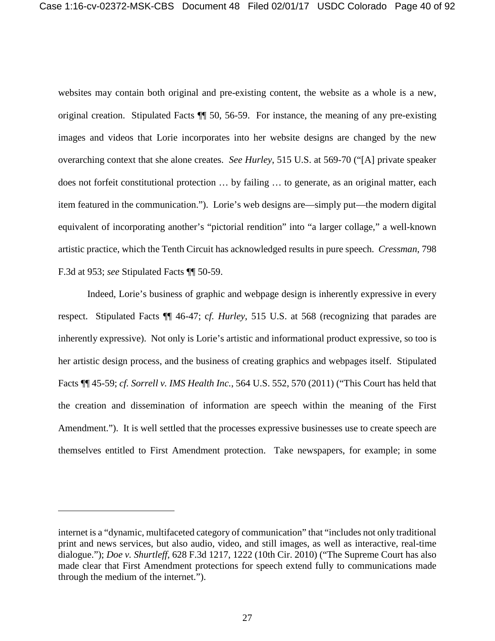websites may contain both original and pre-existing content, the website as a whole is a new, original creation. Stipulated Facts ¶¶ 50, 56-59. For instance, the meaning of any pre-existing images and videos that Lorie incorporates into her website designs are changed by the new overarching context that she alone creates. *See Hurley*, 515 U.S. at 569-70 ("[A] private speaker does not forfeit constitutional protection … by failing … to generate, as an original matter, each item featured in the communication."). Lorie's web designs are—simply put—the modern digital equivalent of incorporating another's "pictorial rendition" into "a larger collage," a well-known artistic practice, which the Tenth Circuit has acknowledged results in pure speech. *Cressman*, 798 F.3d at 953; *see* Stipulated Facts ¶¶ 50-59.

Indeed, Lorie's business of graphic and webpage design is inherently expressive in every respect. Stipulated Facts ¶¶ 46-47; c*f. Hurley*, 515 U.S. at 568 (recognizing that parades are inherently expressive). Not only is Lorie's artistic and informational product expressive, so too is her artistic design process, and the business of creating graphics and webpages itself. Stipulated Facts ¶¶ 45-59; *cf. Sorrell v. IMS Health Inc.*, 564 U.S. 552, 570 (2011) ("This Court has held that the creation and dissemination of information are speech within the meaning of the First Amendment."). It is well settled that the processes expressive businesses use to create speech are themselves entitled to First Amendment protection. Take newspapers, for example; in some

internet is a "dynamic, multifaceted category of communication" that "includes not only traditional print and news services, but also audio, video, and still images, as well as interactive, real-time dialogue."); *Doe v. Shurtleff*, 628 F.3d 1217, 1222 (10th Cir. 2010) ("The Supreme Court has also made clear that First Amendment protections for speech extend fully to communications made through the medium of the internet.").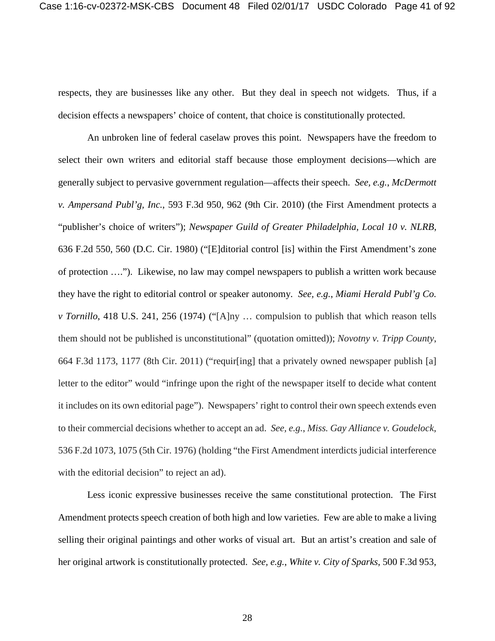respects, they are businesses like any other. But they deal in speech not widgets. Thus, if a decision effects a newspapers' choice of content, that choice is constitutionally protected.

An unbroken line of federal caselaw proves this point. Newspapers have the freedom to select their own writers and editorial staff because those employment decisions—which are generally subject to pervasive government regulation—affects their speech. *See, e.g.*, *McDermott v. Ampersand Publ'g, Inc.*, 593 F.3d 950, 962 (9th Cir. 2010) (the First Amendment protects a "publisher's choice of writers"); *Newspaper Guild of Greater Philadelphia, Local 10 v. NLRB*, 636 F.2d 550, 560 (D.C. Cir. 1980) ("[E]ditorial control [is] within the First Amendment's zone of protection …."). Likewise, no law may compel newspapers to publish a written work because they have the right to editorial control or speaker autonomy. *See, e.g.*, *Miami Herald Publ'g Co. v Tornillo*, 418 U.S. 241, 256 (1974) ("[A]ny … compulsion to publish that which reason tells them should not be published is unconstitutional" (quotation omitted)); *Novotny v. Tripp County*, 664 F.3d 1173, 1177 (8th Cir. 2011) ("requir[ing] that a privately owned newspaper publish [a] letter to the editor" would "infringe upon the right of the newspaper itself to decide what content it includes on its own editorial page"). Newspapers' right to control their own speech extends even to their commercial decisions whether to accept an ad. *See, e.g.*, *Miss. Gay Alliance v. Goudelock*, 536 F.2d 1073, 1075 (5th Cir. 1976) (holding "the First Amendment interdicts judicial interference with the editorial decision" to reject an ad).

Less iconic expressive businesses receive the same constitutional protection. The First Amendment protects speech creation of both high and low varieties. Few are able to make a living selling their original paintings and other works of visual art. But an artist's creation and sale of her original artwork is constitutionally protected. *See, e.g.*, *White v. City of Sparks*, 500 F.3d 953,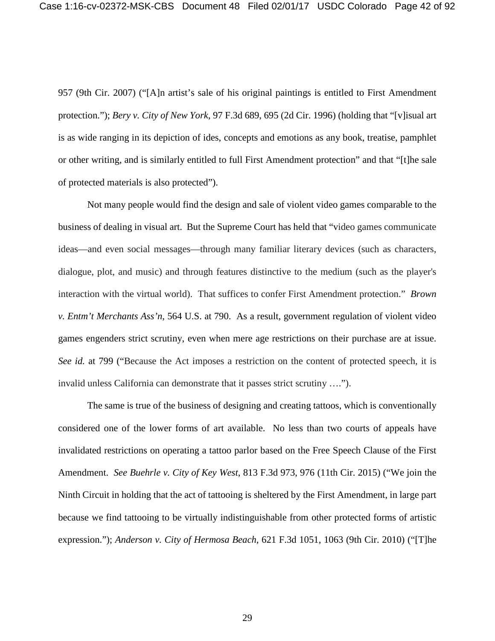957 (9th Cir. 2007) ("[A]n artist's sale of his original paintings is entitled to First Amendment protection."); *Bery v. City of New York*, 97 F.3d 689, 695 (2d Cir. 1996) (holding that "[v]isual art is as wide ranging in its depiction of ides, concepts and emotions as any book, treatise, pamphlet or other writing, and is similarly entitled to full First Amendment protection" and that "[t]he sale of protected materials is also protected").

Not many people would find the design and sale of violent video games comparable to the business of dealing in visual art. But the Supreme Court has held that "video games communicate ideas—and even social messages—through many familiar literary devices (such as characters, dialogue, plot, and music) and through features distinctive to the medium (such as the player's interaction with the virtual world). That suffices to confer First Amendment protection." *Brown v. Entm't Merchants Ass'n*, 564 U.S. at 790. As a result, government regulation of violent video games engenders strict scrutiny, even when mere age restrictions on their purchase are at issue. *See id.* at 799 ("Because the Act imposes a restriction on the content of protected speech, it is invalid unless California can demonstrate that it passes strict scrutiny ….").

The same is true of the business of designing and creating tattoos, which is conventionally considered one of the lower forms of art available. No less than two courts of appeals have invalidated restrictions on operating a tattoo parlor based on the Free Speech Clause of the First Amendment. *See Buehrle v. City of Key West*, 813 F.3d 973, 976 (11th Cir. 2015) ("We join the Ninth Circuit in holding that the act of tattooing is sheltered by the First Amendment, in large part because we find tattooing to be virtually indistinguishable from other protected forms of artistic expression."); *Anderson v. City of Hermosa Beach*, 621 F.3d 1051, 1063 (9th Cir. 2010) ("[T]he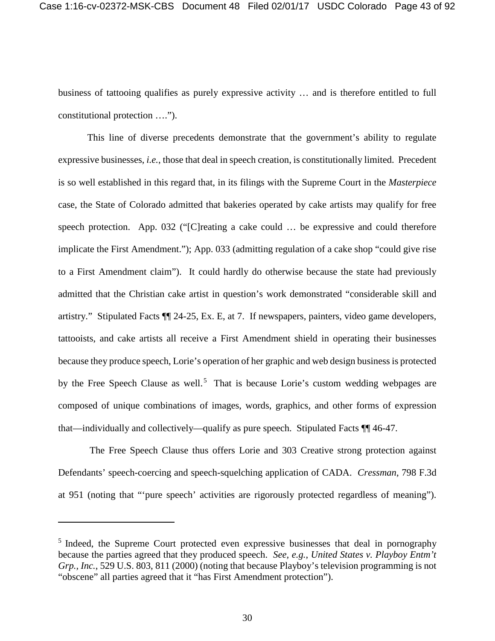business of tattooing qualifies as purely expressive activity … and is therefore entitled to full constitutional protection ….").

This line of diverse precedents demonstrate that the government's ability to regulate expressive businesses, *i.e.*, those that deal in speech creation, is constitutionally limited. Precedent is so well established in this regard that, in its filings with the Supreme Court in the *Masterpiece*  case, the State of Colorado admitted that bakeries operated by cake artists may qualify for free speech protection. App. 032 ("[C]reating a cake could … be expressive and could therefore implicate the First Amendment."); App. 033 (admitting regulation of a cake shop "could give rise to a First Amendment claim"). It could hardly do otherwise because the state had previously admitted that the Christian cake artist in question's work demonstrated "considerable skill and artistry." Stipulated Facts ¶¶ 24-25, Ex. E, at 7. If newspapers, painters, video game developers, tattooists, and cake artists all receive a First Amendment shield in operating their businesses because they produce speech, Lorie's operation of her graphic and web design business is protected by the Free Speech Clause as well.<sup>5</sup> That is because Lorie's custom wedding webpages are composed of unique combinations of images, words, graphics, and other forms of expression that—individually and collectively—qualify as pure speech. Stipulated Facts ¶¶ 46-47.

The Free Speech Clause thus offers Lorie and 303 Creative strong protection against Defendants' speech-coercing and speech-squelching application of CADA. *Cressman*, 798 F.3d at 951 (noting that "'pure speech' activities are rigorously protected regardless of meaning").

<sup>&</sup>lt;sup>5</sup> Indeed, the Supreme Court protected even expressive businesses that deal in pornography because the parties agreed that they produced speech. *See, e.g.*, *United States v. Playboy Entm't Grp., Inc.*, 529 U.S. 803, 811 (2000) (noting that because Playboy's television programming is not "obscene" all parties agreed that it "has First Amendment protection").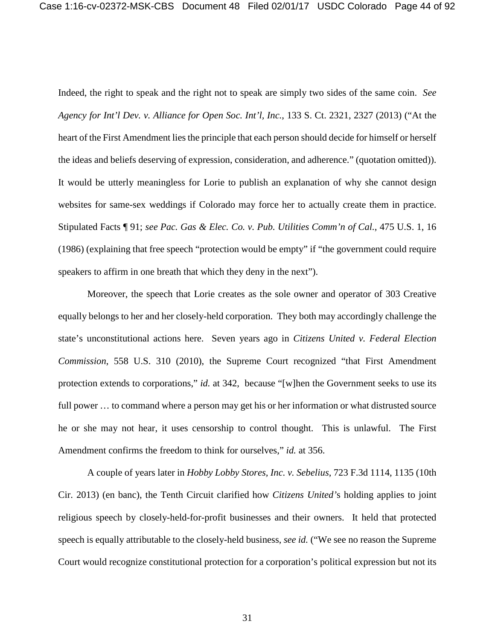Indeed, the right to speak and the right not to speak are simply two sides of the same coin. *See Agency for Int'l Dev. v. Alliance for Open Soc. Int'l, Inc.*, 133 S. Ct. 2321, 2327 (2013) ("At the heart of the First Amendment lies the principle that each person should decide for himself or herself the ideas and beliefs deserving of expression, consideration, and adherence." (quotation omitted)). It would be utterly meaningless for Lorie to publish an explanation of why she cannot design websites for same-sex weddings if Colorado may force her to actually create them in practice. Stipulated Facts ¶ 91; *see Pac. Gas & Elec. Co. v. Pub. Utilities Comm'n of Cal.*, 475 U.S. 1, 16 (1986) (explaining that free speech "protection would be empty" if "the government could require speakers to affirm in one breath that which they deny in the next").

Moreover, the speech that Lorie creates as the sole owner and operator of 303 Creative equally belongs to her and her closely-held corporation. They both may accordingly challenge the state's unconstitutional actions here. Seven years ago in *Citizens United v. Federal Election Commission*, 558 U.S. 310 (2010), the Supreme Court recognized "that First Amendment protection extends to corporations," *id.* at 342, because "[w]hen the Government seeks to use its full power ... to command where a person may get his or her information or what distrusted source he or she may not hear, it uses censorship to control thought. This is unlawful. The First Amendment confirms the freedom to think for ourselves," *id.* at 356.

A couple of years later in *Hobby Lobby Stores, Inc. v. Sebelius*, 723 F.3d 1114, 1135 (10th Cir. 2013) (en banc), the Tenth Circuit clarified how *Citizens United'*s holding applies to joint religious speech by closely-held-for-profit businesses and their owners. It held that protected speech is equally attributable to the closely-held business, *see id.* ("We see no reason the Supreme Court would recognize constitutional protection for a corporation's political expression but not its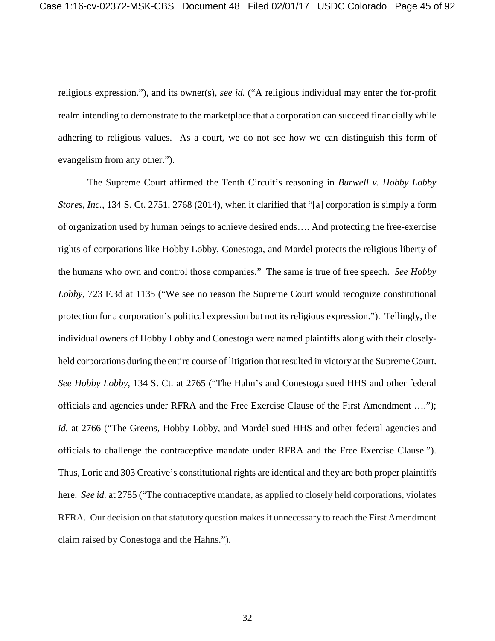religious expression."), and its owner(s), *see id.* ("A religious individual may enter the for-profit realm intending to demonstrate to the marketplace that a corporation can succeed financially while adhering to religious values. As a court, we do not see how we can distinguish this form of evangelism from any other.").

The Supreme Court affirmed the Tenth Circuit's reasoning in *Burwell v. Hobby Lobby Stores, Inc.*, 134 S. Ct. 2751, 2768 (2014), when it clarified that "[a] corporation is simply a form of organization used by human beings to achieve desired ends…. And protecting the free-exercise rights of corporations like Hobby Lobby, Conestoga, and Mardel protects the religious liberty of the humans who own and control those companies." The same is true of free speech. *See Hobby Lobby*, 723 F.3d at 1135 ("We see no reason the Supreme Court would recognize constitutional protection for a corporation's political expression but not its religious expression."). Tellingly, the individual owners of Hobby Lobby and Conestoga were named plaintiffs along with their closelyheld corporations during the entire course of litigation that resulted in victory at the Supreme Court. *See Hobby Lobby*, 134 S. Ct. at 2765 ("The Hahn's and Conestoga sued HHS and other federal officials and agencies under RFRA and the Free Exercise Clause of the First Amendment …."); *id.* at 2766 ("The Greens, Hobby Lobby, and Mardel sued HHS and other federal agencies and officials to challenge the contraceptive mandate under RFRA and the Free Exercise Clause."). Thus, Lorie and 303 Creative's constitutional rights are identical and they are both proper plaintiffs here. *See id.* at 2785 ("The contraceptive mandate, as applied to closely held corporations, violates RFRA. Our decision on that statutory question makes it unnecessary to reach the First Amendment claim raised by Conestoga and the Hahns.").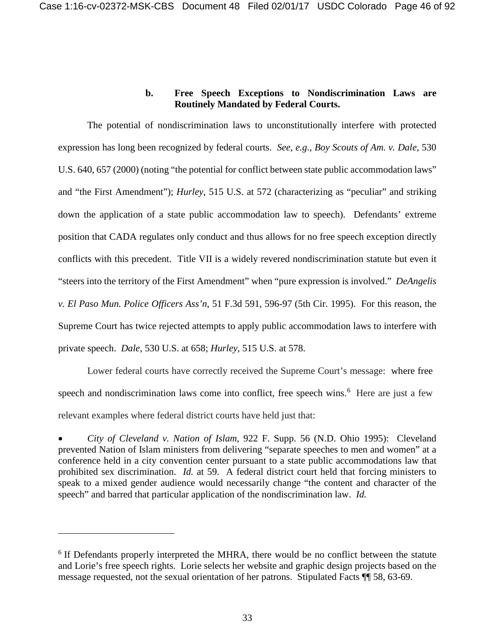## **b. Free Speech Exceptions to Nondiscrimination Laws are Routinely Mandated by Federal Courts.**

The potential of nondiscrimination laws to unconstitutionally interfere with protected expression has long been recognized by federal courts. *See, e.g.*, *Boy Scouts of Am. v. Dale*, 530 U.S. 640, 657 (2000) (noting "the potential for conflict between state public accommodation laws" and "the First Amendment"); *Hurley*, 515 U.S. at 572 (characterizing as "peculiar" and striking down the application of a state public accommodation law to speech). Defendants' extreme position that CADA regulates only conduct and thus allows for no free speech exception directly conflicts with this precedent. Title VII is a widely revered nondiscrimination statute but even it "steers into the territory of the First Amendment" when "pure expression is involved." *DeAngelis v. El Paso Mun. Police Officers Ass'n*, 51 F.3d 591, 596-97 (5th Cir. 1995). For this reason, the Supreme Court has twice rejected attempts to apply public accommodation laws to interfere with private speech. *Dale*, 530 U.S. at 658; *Hurley*, 515 U.S. at 578.

Lower federal courts have correctly received the Supreme Court's message: where free speech and nondiscrimination laws come into conflict, free speech wins.<sup>6</sup> Here are just a few relevant examples where federal district courts have held just that:

• *City of Cleveland v. Nation of Islam*, 922 F. Supp. 56 (N.D. Ohio 1995): Cleveland prevented Nation of Islam ministers from delivering "separate speeches to men and women" at a conference held in a city convention center pursuant to a state public accommodations law that prohibited sex discrimination. *Id.* at 59. A federal district court held that forcing ministers to speak to a mixed gender audience would necessarily change "the content and character of the speech" and barred that particular application of the nondiscrimination law. *Id.*

<sup>&</sup>lt;sup>6</sup> If Defendants properly interpreted the MHRA, there would be no conflict between the statute and Lorie's free speech rights. Lorie selects her website and graphic design projects based on the message requested, not the sexual orientation of her patrons. Stipulated Facts ¶¶ 58, 63-69.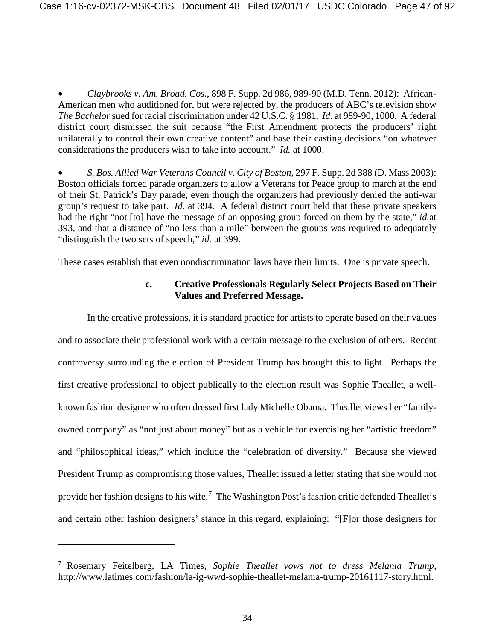• *Claybrooks v. Am. Broad. Cos.*, 898 F. Supp. 2d 986, 989-90 (M.D. Tenn. 2012): African-American men who auditioned for, but were rejected by, the producers of ABC's television show *The Bachelor*sued for racial discrimination under 42 U.S.C. § 1981. *Id.* at 989-90, 1000. A federal district court dismissed the suit because "the First Amendment protects the producers' right unilaterally to control their own creative content" and base their casting decisions "on whatever considerations the producers wish to take into account." *Id.* at 1000.

• *S. Bos. Allied War Veterans Council v. City of Boston*, 297 F. Supp. 2d 388 (D. Mass 2003): Boston officials forced parade organizers to allow a Veterans for Peace group to march at the end of their St. Patrick's Day parade, even though the organizers had previously denied the anti-war group's request to take part. *Id.* at 394. A federal district court held that these private speakers had the right "not [to] have the message of an opposing group forced on them by the state," *id.*at 393, and that a distance of "no less than a mile" between the groups was required to adequately "distinguish the two sets of speech," *id.* at 399.

These cases establish that even nondiscrimination laws have their limits. One is private speech.

## **c. Creative Professionals Regularly Select Projects Based on Their Values and Preferred Message.**

In the creative professions, it is standard practice for artists to operate based on their values and to associate their professional work with a certain message to the exclusion of others. Recent controversy surrounding the election of President Trump has brought this to light. Perhaps the first creative professional to object publically to the election result was Sophie Theallet, a wellknown fashion designer who often dressed first lady Michelle Obama. Theallet views her "familyowned company" as "not just about money" but as a vehicle for exercising her "artistic freedom" and "philosophical ideas," which include the "celebration of diversity." Because she viewed President Trump as compromising those values, Theallet issued a letter stating that she would not provide her fashion designs to his wife.<sup>7</sup> The Washington Post's fashion critic defended Theallet's and certain other fashion designers' stance in this regard, explaining: "[F]or those designers for

<sup>7</sup> Rosemary Feitelberg, LA Times, *Sophie Theallet vows not to dress Melania Trump*, http://www.latimes.com/fashion/la-ig-wwd-sophie-theallet-melania-trump-20161117-story.html.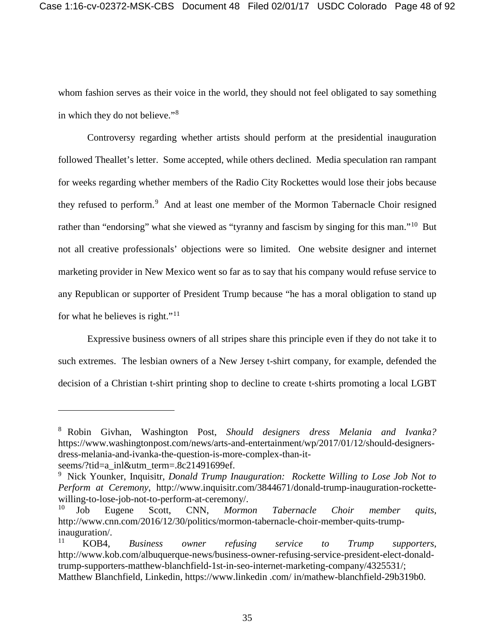whom fashion serves as their voice in the world, they should not feel obligated to say something in which they do not believe."<sup>8</sup>

Controversy regarding whether artists should perform at the presidential inauguration followed Theallet's letter. Some accepted, while others declined. Media speculation ran rampant for weeks regarding whether members of the Radio City Rockettes would lose their jobs because they refused to perform.<sup>9</sup> And at least one member of the Mormon Tabernacle Choir resigned rather than "endorsing" what she viewed as "tyranny and fascism by singing for this man."<sup>10</sup> But not all creative professionals' objections were so limited. One website designer and internet marketing provider in New Mexico went so far as to say that his company would refuse service to any Republican or supporter of President Trump because "he has a moral obligation to stand up for what he believes is right."<sup>11</sup>

Expressive business owners of all stripes share this principle even if they do not take it to such extremes. The lesbian owners of a New Jersey t-shirt company, for example, defended the decision of a Christian t-shirt printing shop to decline to create t-shirts promoting a local LGBT

<sup>8</sup> Robin Givhan, Washington Post, *Should designers dress Melania and Ivanka?*  https://www.washingtonpost.com/news/arts-and-entertainment/wp/2017/01/12/should-designersdress-melania-and-ivanka-the-question-is-more-complex-than-it-

seems/?tid=a\_inl&utm\_term=.8c21491699ef.

<sup>&</sup>lt;sup>9</sup> Nick Younker, Inquisitr, *Donald Trump Inauguration: Rockette Willing to Lose Job Not to Perform at Ceremony*, http://www.inquisitr.com/3844671/donald-trump-inauguration-rockettewilling-to-lose-job-not-to-perform-at-ceremony/.

<sup>10</sup> Job Eugene Scott, CNN, *Mormon Tabernacle Choir member quits*, http://www.cnn.com/2016/12/30/politics/mormon-tabernacle-choir-member-quits-trumpinauguration/.<br> $\frac{11}{\text{KORA}}$ 

<sup>11</sup> KOB4, *Business owner refusing service to Trump supporters*, http://www.kob.com/albuquerque-news/business-owner-refusing-service-president-elect-donaldtrump-supporters-matthew-blanchfield-1st-in-seo-internet-marketing-company/4325531/; Matthew Blanchfield, Linkedin, https://www.linkedin .com/ in/mathew-blanchfield-29b319b0.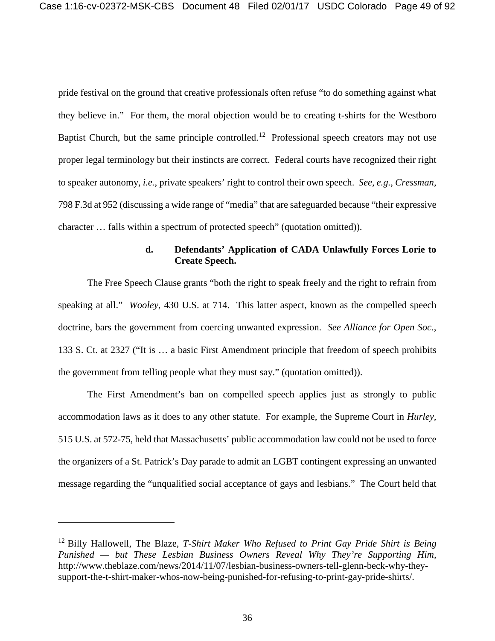pride festival on the ground that creative professionals often refuse "to do something against what they believe in." For them, the moral objection would be to creating t-shirts for the Westboro Baptist Church, but the same principle controlled.<sup>12</sup> Professional speech creators may not use proper legal terminology but their instincts are correct. Federal courts have recognized their right to speaker autonomy, *i.e.*, private speakers' right to control their own speech. *See, e.g.*, *Cressman*, 798 F.3d at 952 (discussing a wide range of "media" that are safeguarded because "their expressive character … falls within a spectrum of protected speech" (quotation omitted)).

## **d. Defendants' Application of CADA Unlawfully Forces Lorie to Create Speech.**

The Free Speech Clause grants "both the right to speak freely and the right to refrain from speaking at all." *Wooley*, 430 U.S. at 714. This latter aspect, known as the compelled speech doctrine, bars the government from coercing unwanted expression. *See Alliance for Open Soc.*, 133 S. Ct. at 2327 ("It is … a basic First Amendment principle that freedom of speech prohibits the government from telling people what they must say." (quotation omitted)).

The First Amendment's ban on compelled speech applies just as strongly to public accommodation laws as it does to any other statute. For example, the Supreme Court in *Hurley,*  515 U.S. at 572-75, held that Massachusetts' public accommodation law could not be used to force the organizers of a St. Patrick's Day parade to admit an LGBT contingent expressing an unwanted message regarding the "unqualified social acceptance of gays and lesbians." The Court held that

<sup>12</sup> Billy Hallowell, The Blaze, *T-Shirt Maker Who Refused to Print Gay Pride Shirt is Being Punished — but These Lesbian Business Owners Reveal Why They're Supporting Him,* http://www.theblaze.com/news/2014/11/07/lesbian-business-owners-tell-glenn-beck-why-theysupport-the-t-shirt-maker-whos-now-being-punished-for-refusing-to-print-gay-pride-shirts/.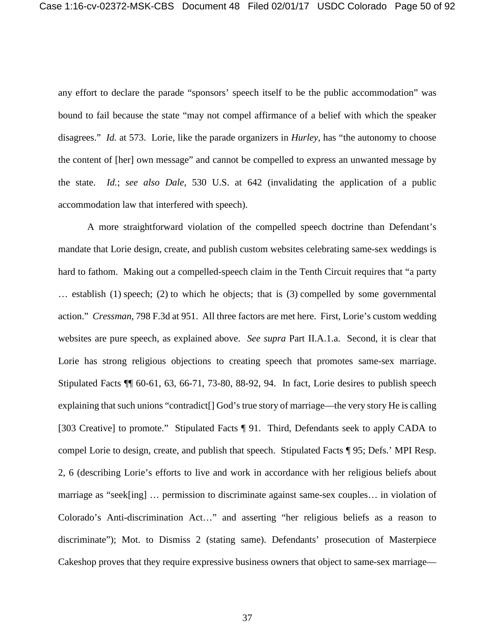any effort to declare the parade "sponsors' speech itself to be the public accommodation" was bound to fail because the state "may not compel affirmance of a belief with which the speaker disagrees." *Id.* at 573. Lorie, like the parade organizers in *Hurley*, has "the autonomy to choose the content of [her] own message" and cannot be compelled to express an unwanted message by the state. *Id.*; *see also Dale*, 530 U.S. at 642 (invalidating the application of a public accommodation law that interfered with speech).

A more straightforward violation of the compelled speech doctrine than Defendant's mandate that Lorie design, create, and publish custom websites celebrating same-sex weddings is hard to fathom. Making out a compelled-speech claim in the Tenth Circuit requires that "a party" … establish (1) speech; (2) to which he objects; that is (3) compelled by some governmental action." *Cressman*, 798 F.3d at 951. All three factors are met here. First, Lorie's custom wedding websites are pure speech, as explained above. *See supra* Part II.A.1.a. Second, it is clear that Lorie has strong religious objections to creating speech that promotes same-sex marriage. Stipulated Facts ¶¶ 60-61, 63, 66-71, 73-80, 88-92, 94. In fact, Lorie desires to publish speech explaining that such unions "contradict[] God's true story of marriage—the very story He is calling [303 Creative] to promote." Stipulated Facts ¶ 91. Third, Defendants seek to apply CADA to compel Lorie to design, create, and publish that speech. Stipulated Facts ¶ 95; Defs.' MPI Resp. 2, 6 (describing Lorie's efforts to live and work in accordance with her religious beliefs about marriage as "seek[ing] … permission to discriminate against same-sex couples… in violation of Colorado's Anti-discrimination Act…" and asserting "her religious beliefs as a reason to discriminate"); Mot. to Dismiss 2 (stating same). Defendants' prosecution of Masterpiece Cakeshop proves that they require expressive business owners that object to same-sex marriage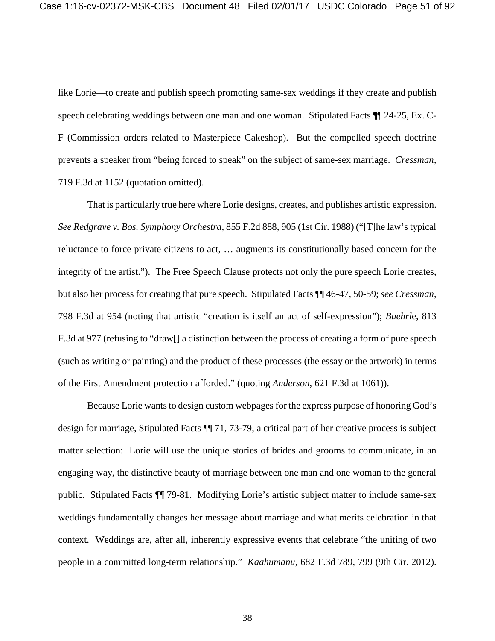like Lorie—to create and publish speech promoting same-sex weddings if they create and publish speech celebrating weddings between one man and one woman. Stipulated Facts ¶¶ 24-25, Ex. C-F (Commission orders related to Masterpiece Cakeshop). But the compelled speech doctrine prevents a speaker from "being forced to speak" on the subject of same-sex marriage. *Cressman,*  719 F.3d at 1152 (quotation omitted).

That is particularly true here where Lorie designs, creates, and publishes artistic expression. *See Redgrave v. Bos. Symphony Orchestra*, 855 F.2d 888, 905 (1st Cir. 1988) ("[T]he law's typical reluctance to force private citizens to act, … augments its constitutionally based concern for the integrity of the artist."). The Free Speech Clause protects not only the pure speech Lorie creates, but also her process for creating that pure speech. Stipulated Facts ¶¶ 46-47, 50-59; *see Cressman*, 798 F.3d at 954 (noting that artistic "creation is itself an act of self-expression"); *Buehrl*e, 813 F.3d at 977 (refusing to "draw[] a distinction between the process of creating a form of pure speech (such as writing or painting) and the product of these processes (the essay or the artwork) in terms of the First Amendment protection afforded." (quoting *Anderson*, 621 F.3d at 1061)).

Because Lorie wants to design custom webpages for the express purpose of honoring God's design for marriage, Stipulated Facts ¶¶ 71, 73-79, a critical part of her creative process is subject matter selection: Lorie will use the unique stories of brides and grooms to communicate, in an engaging way, the distinctive beauty of marriage between one man and one woman to the general public. Stipulated Facts ¶¶ 79-81. Modifying Lorie's artistic subject matter to include same-sex weddings fundamentally changes her message about marriage and what merits celebration in that context. Weddings are, after all, inherently expressive events that celebrate "the uniting of two people in a committed long-term relationship." *Kaahumanu*, 682 F.3d 789, 799 (9th Cir. 2012).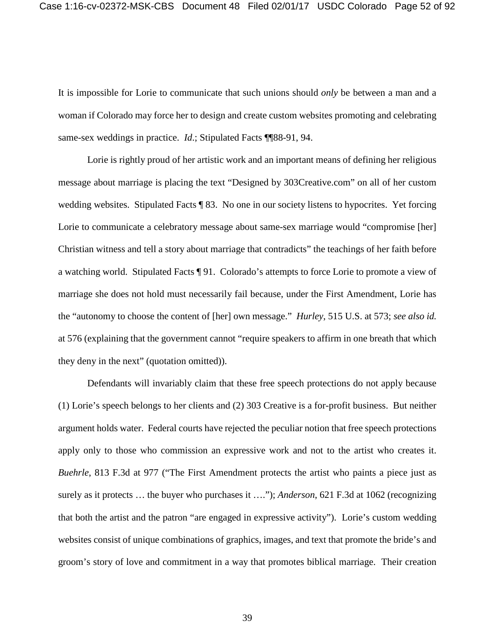It is impossible for Lorie to communicate that such unions should *only* be between a man and a woman if Colorado may force her to design and create custom websites promoting and celebrating same-sex weddings in practice. *Id*.; Stipulated Facts ¶¶88-91, 94.

Lorie is rightly proud of her artistic work and an important means of defining her religious message about marriage is placing the text "Designed by 303Creative.com" on all of her custom wedding websites. Stipulated Facts ¶ 83. No one in our society listens to hypocrites. Yet forcing Lorie to communicate a celebratory message about same-sex marriage would "compromise [her] Christian witness and tell a story about marriage that contradicts" the teachings of her faith before a watching world. Stipulated Facts ¶ 91. Colorado's attempts to force Lorie to promote a view of marriage she does not hold must necessarily fail because, under the First Amendment, Lorie has the "autonomy to choose the content of [her] own message." *Hurley*, 515 U.S. at 573; *see also id.* at 576 (explaining that the government cannot "require speakers to affirm in one breath that which they deny in the next" (quotation omitted)).

Defendants will invariably claim that these free speech protections do not apply because (1) Lorie's speech belongs to her clients and (2) 303 Creative is a for-profit business. But neither argument holds water. Federal courts have rejected the peculiar notion that free speech protections apply only to those who commission an expressive work and not to the artist who creates it. *Buehrle*, 813 F.3d at 977 ("The First Amendment protects the artist who paints a piece just as surely as it protects … the buyer who purchases it …."); *Anderson*, 621 F.3d at 1062 (recognizing that both the artist and the patron "are engaged in expressive activity"). Lorie's custom wedding websites consist of unique combinations of graphics, images, and text that promote the bride's and groom's story of love and commitment in a way that promotes biblical marriage. Their creation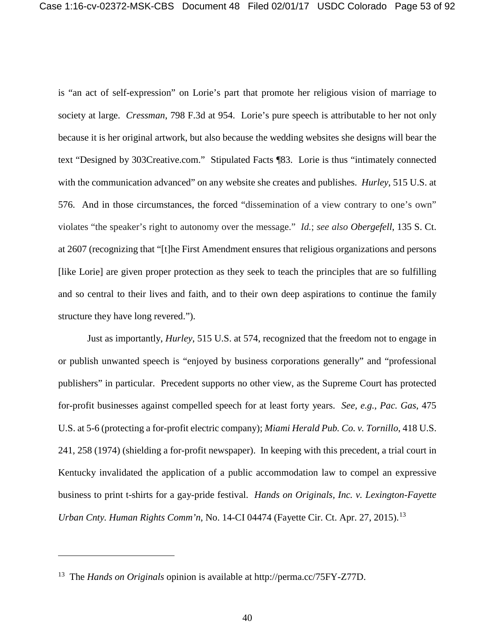is "an act of self-expression" on Lorie's part that promote her religious vision of marriage to society at large. *Cressman*, 798 F.3d at 954. Lorie's pure speech is attributable to her not only because it is her original artwork, but also because the wedding websites she designs will bear the text "Designed by 303Creative.com." Stipulated Facts ¶83. Lorie is thus "intimately connected with the communication advanced" on any website she creates and publishes. *Hurley*, 515 U.S. at 576. And in those circumstances, the forced "dissemination of a view contrary to one's own" violates "the speaker's right to autonomy over the message." *Id.*; *see also Obergefell*, 135 S. Ct. at 2607 (recognizing that "[t]he First Amendment ensures that religious organizations and persons [like Lorie] are given proper protection as they seek to teach the principles that are so fulfilling and so central to their lives and faith, and to their own deep aspirations to continue the family structure they have long revered.").

Just as importantly, *Hurley*, 515 U.S. at 574, recognized that the freedom not to engage in or publish unwanted speech is "enjoyed by business corporations generally" and "professional publishers" in particular. Precedent supports no other view, as the Supreme Court has protected for-profit businesses against compelled speech for at least forty years. *See, e.g.*, *Pac. Gas*, 475 U.S. at 5-6 (protecting a for-profit electric company); *Miami Herald Pub. Co. v. Tornillo*, 418 U.S. 241, 258 (1974) (shielding a for-profit newspaper). In keeping with this precedent, a trial court in Kentucky invalidated the application of a public accommodation law to compel an expressive business to print t-shirts for a gay-pride festival. *Hands on Originals, Inc. v. Lexington-Fayette Urban Cnty. Human Rights Comm'n, No.* 14-CI 04474 (Fayette Cir. Ct. Apr. 27, 2015).<sup>13</sup>

<sup>13</sup> The *Hands on Originals* opinion is available at http://perma.cc/75FY-Z77D.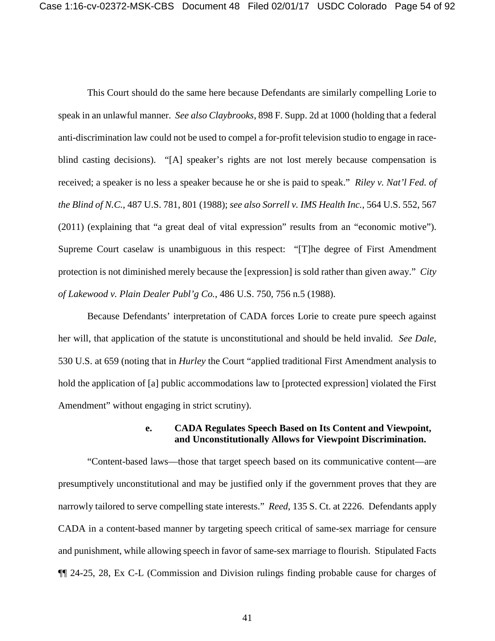This Court should do the same here because Defendants are similarly compelling Lorie to speak in an unlawful manner. *See also Claybrooks*, 898 F. Supp. 2d at 1000 (holding that a federal anti-discrimination law could not be used to compel a for-profit television studio to engage in raceblind casting decisions). "[A] speaker's rights are not lost merely because compensation is received; a speaker is no less a speaker because he or she is paid to speak." *Riley v. Nat'l Fed. of the Blind of N.C.*, 487 U.S. 781, 801 (1988); *see also Sorrell v. IMS Health Inc.*, 564 U.S. 552, 567 (2011) (explaining that "a great deal of vital expression" results from an "economic motive"). Supreme Court caselaw is unambiguous in this respect: "[T]he degree of First Amendment protection is not diminished merely because the [expression] is sold rather than given away." *City of Lakewood v. Plain Dealer Publ'g Co.*, 486 U.S. 750, 756 n.5 (1988).

Because Defendants' interpretation of CADA forces Lorie to create pure speech against her will, that application of the statute is unconstitutional and should be held invalid. *See Dale*, 530 U.S. at 659 (noting that in *Hurley* the Court "applied traditional First Amendment analysis to hold the application of [a] public accommodations law to [protected expression] violated the First Amendment" without engaging in strict scrutiny).

#### **e. CADA Regulates Speech Based on Its Content and Viewpoint, and Unconstitutionally Allows for Viewpoint Discrimination.**

"Content-based laws—those that target speech based on its communicative content—are presumptively unconstitutional and may be justified only if the government proves that they are narrowly tailored to serve compelling state interests." *Reed*, 135 S. Ct. at 2226. Defendants apply CADA in a content-based manner by targeting speech critical of same-sex marriage for censure and punishment, while allowing speech in favor of same-sex marriage to flourish. Stipulated Facts ¶¶ 24-25, 28, Ex C-L (Commission and Division rulings finding probable cause for charges of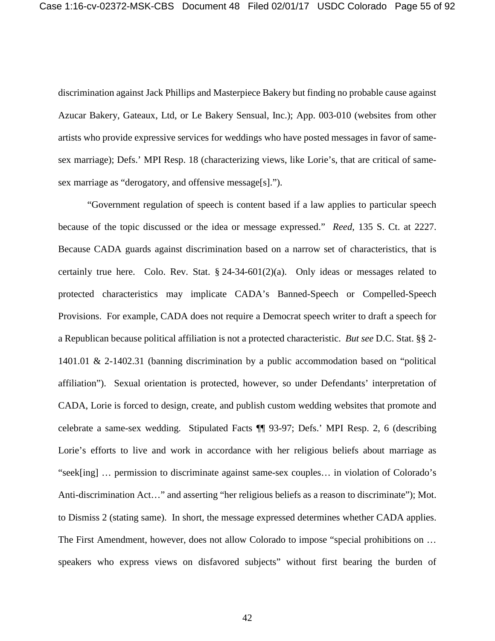discrimination against Jack Phillips and Masterpiece Bakery but finding no probable cause against Azucar Bakery, Gateaux, Ltd, or Le Bakery Sensual, Inc.); App. 003-010 (websites from other artists who provide expressive services for weddings who have posted messages in favor of samesex marriage); Defs.' MPI Resp. 18 (characterizing views, like Lorie's, that are critical of samesex marriage as "derogatory, and offensive message[s].").

"Government regulation of speech is content based if a law applies to particular speech because of the topic discussed or the idea or message expressed." *Reed*, 135 S. Ct. at 2227. Because CADA guards against discrimination based on a narrow set of characteristics, that is certainly true here. Colo. Rev. Stat.  $\S$  24-34-601(2)(a). Only ideas or messages related to protected characteristics may implicate CADA's Banned-Speech or Compelled-Speech Provisions. For example, CADA does not require a Democrat speech writer to draft a speech for a Republican because political affiliation is not a protected characteristic. *But see* D.C. Stat. §§ 2- 1401.01 & 2-1402.31 (banning discrimination by a public accommodation based on "political affiliation"). Sexual orientation is protected, however, so under Defendants' interpretation of CADA, Lorie is forced to design, create, and publish custom wedding websites that promote and celebrate a same-sex wedding. Stipulated Facts ¶¶ 93-97; Defs.' MPI Resp. 2, 6 (describing Lorie's efforts to live and work in accordance with her religious beliefs about marriage as "seek[ing] … permission to discriminate against same-sex couples… in violation of Colorado's Anti-discrimination Act…" and asserting "her religious beliefs as a reason to discriminate"); Mot. to Dismiss 2 (stating same). In short, the message expressed determines whether CADA applies. The First Amendment, however, does not allow Colorado to impose "special prohibitions on … speakers who express views on disfavored subjects" without first bearing the burden of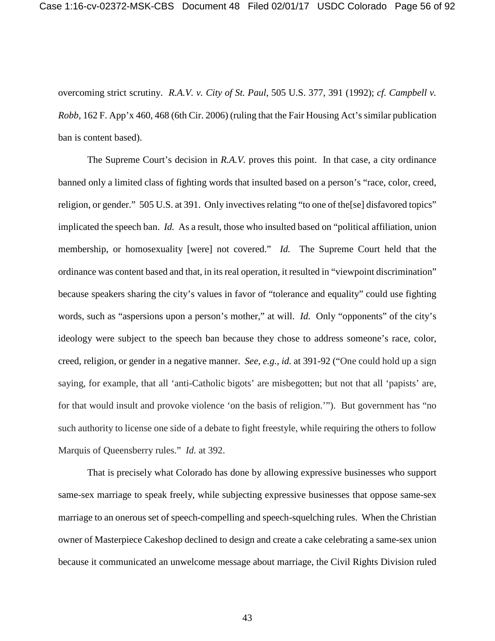overcoming strict scrutiny. *R.A.V. v. City of St. Paul*, 505 U.S. 377, 391 (1992); *cf. Campbell v. Robb*, 162 F. App'x 460, 468 (6th Cir. 2006) (ruling that the Fair Housing Act's similar publication ban is content based).

The Supreme Court's decision in *R.A.V.* proves this point. In that case, a city ordinance banned only a limited class of fighting words that insulted based on a person's "race, color, creed, religion, or gender." 505 U.S. at 391. Only invectives relating "to one of the[se] disfavored topics" implicated the speech ban. *Id.* As a result, those who insulted based on "political affiliation, union membership, or homosexuality [were] not covered." *Id.* The Supreme Court held that the ordinance was content based and that, in its real operation, it resulted in "viewpoint discrimination" because speakers sharing the city's values in favor of "tolerance and equality" could use fighting words, such as "aspersions upon a person's mother," at will. *Id.* Only "opponents" of the city's ideology were subject to the speech ban because they chose to address someone's race, color, creed, religion, or gender in a negative manner. *See, e.g.*, *id.* at 391-92 ("One could hold up a sign saying, for example, that all 'anti-Catholic bigots' are misbegotten; but not that all 'papists' are, for that would insult and provoke violence 'on the basis of religion.'"). But government has "no such authority to license one side of a debate to fight freestyle, while requiring the others to follow Marquis of Queensberry rules." *Id.* at 392.

That is precisely what Colorado has done by allowing expressive businesses who support same-sex marriage to speak freely, while subjecting expressive businesses that oppose same-sex marriage to an onerous set of speech-compelling and speech-squelching rules. When the Christian owner of Masterpiece Cakeshop declined to design and create a cake celebrating a same-sex union because it communicated an unwelcome message about marriage, the Civil Rights Division ruled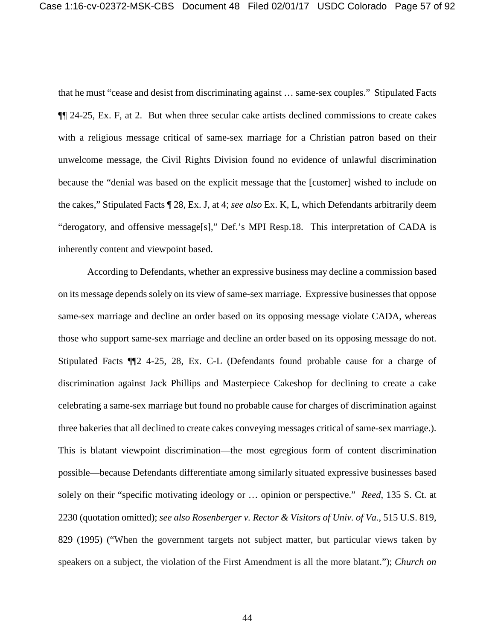that he must "cease and desist from discriminating against … same-sex couples." Stipulated Facts ¶¶ 24-25, Ex. F, at 2. But when three secular cake artists declined commissions to create cakes with a religious message critical of same-sex marriage for a Christian patron based on their unwelcome message, the Civil Rights Division found no evidence of unlawful discrimination because the "denial was based on the explicit message that the [customer] wished to include on the cakes," Stipulated Facts ¶ 28, Ex. J, at 4; *see also* Ex. K, L, which Defendants arbitrarily deem "derogatory, and offensive message[s]," Def.'s MPI Resp.18. This interpretation of CADA is inherently content and viewpoint based.

According to Defendants, whether an expressive business may decline a commission based on its message depends solely on its view of same-sex marriage. Expressive businesses that oppose same-sex marriage and decline an order based on its opposing message violate CADA, whereas those who support same-sex marriage and decline an order based on its opposing message do not. Stipulated Facts ¶¶2 4-25, 28, Ex. C-L (Defendants found probable cause for a charge of discrimination against Jack Phillips and Masterpiece Cakeshop for declining to create a cake celebrating a same-sex marriage but found no probable cause for charges of discrimination against three bakeries that all declined to create cakes conveying messages critical of same-sex marriage.). This is blatant viewpoint discrimination—the most egregious form of content discrimination possible—because Defendants differentiate among similarly situated expressive businesses based solely on their "specific motivating ideology or … opinion or perspective." *Reed*, 135 S. Ct. at 2230 (quotation omitted); *see also Rosenberger v. Rector & Visitors of Univ. of Va.*, 515 U.S. 819, 829 (1995) ("When the government targets not subject matter, but particular views taken by speakers on a subject, the violation of the First Amendment is all the more blatant."); *Church on*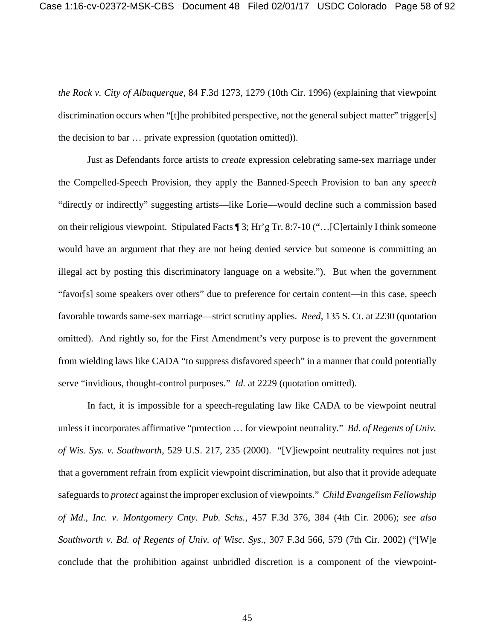*the Rock v. City of Albuquerque*, 84 F.3d 1273, 1279 (10th Cir. 1996) (explaining that viewpoint discrimination occurs when "[t]he prohibited perspective, not the general subject matter" trigger[s] the decision to bar … private expression (quotation omitted)).

Just as Defendants force artists to *create* expression celebrating same-sex marriage under the Compelled-Speech Provision, they apply the Banned-Speech Provision to ban any *speech* "directly or indirectly" suggesting artists—like Lorie—would decline such a commission based on their religious viewpoint. Stipulated Facts ¶ 3; Hr'g Tr. 8:7-10 ("…[C]ertainly I think someone would have an argument that they are not being denied service but someone is committing an illegal act by posting this discriminatory language on a website."). But when the government "favor[s] some speakers over others" due to preference for certain content—in this case, speech favorable towards same-sex marriage—strict scrutiny applies. *Reed*, 135 S. Ct. at 2230 (quotation omitted). And rightly so, for the First Amendment's very purpose is to prevent the government from wielding laws like CADA "to suppress disfavored speech" in a manner that could potentially serve "invidious, thought-control purposes." *Id.* at 2229 (quotation omitted).

In fact, it is impossible for a speech-regulating law like CADA to be viewpoint neutral unless it incorporates affirmative "protection … for viewpoint neutrality." *Bd. of Regents of Univ. of Wis. Sys. v. Southworth*, 529 U.S. 217, 235 (2000). "[V]iewpoint neutrality requires not just that a government refrain from explicit viewpoint discrimination, but also that it provide adequate safeguards to *protect* against the improper exclusion of viewpoints." *Child Evangelism Fellowship of Md., Inc. v. Montgomery Cnty. Pub. Schs.,* 457 F.3d 376, 384 (4th Cir. 2006); *see also Southworth v. Bd. of Regents of Univ. of Wisc. Sys.,* 307 F.3d 566, 579 (7th Cir. 2002) ("[W]e conclude that the prohibition against unbridled discretion is a component of the viewpoint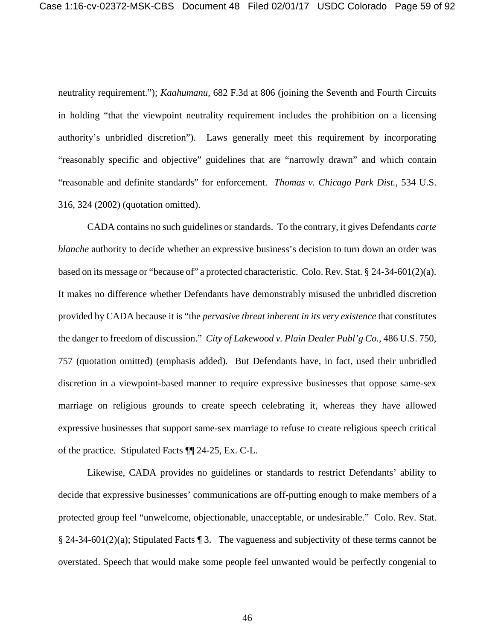neutrality requirement."); *Kaahumanu,* 682 F.3d at 806 (joining the Seventh and Fourth Circuits in holding "that the viewpoint neutrality requirement includes the prohibition on a licensing authority's unbridled discretion"). Laws generally meet this requirement by incorporating "reasonably specific and objective" guidelines that are "narrowly drawn" and which contain "reasonable and definite standards" for enforcement. *Thomas v. Chicago Park Dist.*, 534 U.S. 316, 324 (2002) (quotation omitted).

CADA contains no such guidelines or standards. To the contrary, it gives Defendants *carte blanche* authority to decide whether an expressive business's decision to turn down an order was based on its message or "because of" a protected characteristic. Colo. Rev. Stat. § 24-34-601(2)(a). It makes no difference whether Defendants have demonstrably misused the unbridled discretion provided by CADA because it is "the *pervasive threat inherent in its very existence* that constitutes the danger to freedom of discussion." *City of Lakewood v. Plain Dealer Publ'g Co.*, 486 U.S. 750, 757 (quotation omitted) (emphasis added). But Defendants have, in fact, used their unbridled discretion in a viewpoint-based manner to require expressive businesses that oppose same-sex marriage on religious grounds to create speech celebrating it, whereas they have allowed expressive businesses that support same-sex marriage to refuse to create religious speech critical of the practice. Stipulated Facts ¶¶ 24-25, Ex. C-L.

Likewise, CADA provides no guidelines or standards to restrict Defendants' ability to decide that expressive businesses' communications are off-putting enough to make members of a protected group feel "unwelcome, objectionable, unacceptable, or undesirable." Colo. Rev. Stat. § 24-34-601(2)(a); Stipulated Facts ¶ 3. The vagueness and subjectivity of these terms cannot be overstated. Speech that would make some people feel unwanted would be perfectly congenial to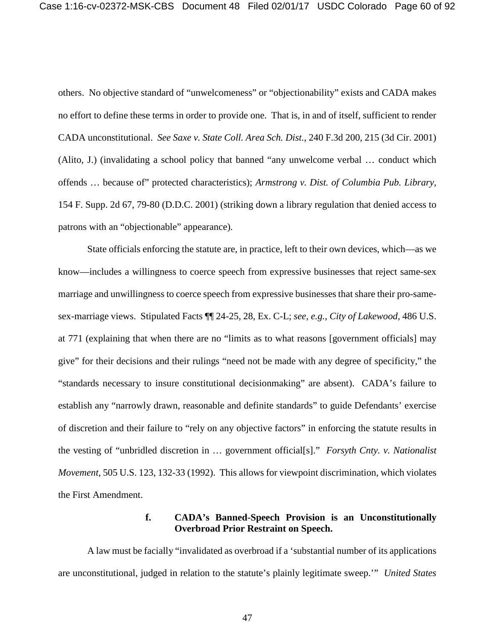others. No objective standard of "unwelcomeness" or "objectionability" exists and CADA makes no effort to define these terms in order to provide one. That is, in and of itself, sufficient to render CADA unconstitutional. *See Saxe v. State Coll. Area Sch. Dist.*, 240 F.3d 200, 215 (3d Cir. 2001) (Alito, J.) (invalidating a school policy that banned "any unwelcome verbal … conduct which offends … because of" protected characteristics); *Armstrong v. Dist. of Columbia Pub. Library*, 154 F. Supp. 2d 67, 79-80 (D.D.C. 2001) (striking down a library regulation that denied access to patrons with an "objectionable" appearance).

State officials enforcing the statute are, in practice, left to their own devices, which—as we know—includes a willingness to coerce speech from expressive businesses that reject same-sex marriage and unwillingness to coerce speech from expressive businesses that share their pro-samesex-marriage views. Stipulated Facts ¶¶ 24-25, 28, Ex. C-L; *see, e.g.*, *City of Lakewood*, 486 U.S. at 771 (explaining that when there are no "limits as to what reasons [government officials] may give" for their decisions and their rulings "need not be made with any degree of specificity," the "standards necessary to insure constitutional decisionmaking" are absent). CADA's failure to establish any "narrowly drawn, reasonable and definite standards" to guide Defendants' exercise of discretion and their failure to "rely on any objective factors" in enforcing the statute results in the vesting of "unbridled discretion in … government official[s]." *Forsyth Cnty. v. Nationalist Movement*, 505 U.S. 123, 132-33 (1992). This allows for viewpoint discrimination, which violates the First Amendment.

#### **f. CADA's Banned-Speech Provision is an Unconstitutionally Overbroad Prior Restraint on Speech.**

A law must be facially "invalidated as overbroad if a 'substantial number of its applications are unconstitutional, judged in relation to the statute's plainly legitimate sweep.'" *United States*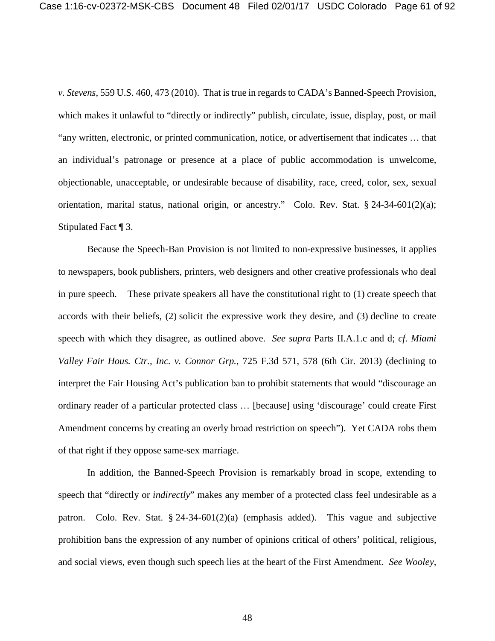*v. Stevens*, 559 U.S. 460, 473 (2010). That is true in regards to CADA's Banned-Speech Provision, which makes it unlawful to "directly or indirectly" publish, circulate, issue, display, post, or mail "any written, electronic, or printed communication, notice, or advertisement that indicates … that an individual's patronage or presence at a place of public accommodation is unwelcome, objectionable, unacceptable, or undesirable because of disability, race, creed, color, sex, sexual orientation, marital status, national origin, or ancestry." Colo. Rev. Stat. § 24-34-601(2)(a); Stipulated Fact ¶ 3.

Because the Speech-Ban Provision is not limited to non-expressive businesses, it applies to newspapers, book publishers, printers, web designers and other creative professionals who deal in pure speech. These private speakers all have the constitutional right to (1) create speech that accords with their beliefs, (2) solicit the expressive work they desire, and (3) decline to create speech with which they disagree, as outlined above. *See supra* Parts II.A.1.c and d; *cf. Miami Valley Fair Hous. Ctr., Inc. v. Connor Grp.*, 725 F.3d 571, 578 (6th Cir. 2013) (declining to interpret the Fair Housing Act's publication ban to prohibit statements that would "discourage an ordinary reader of a particular protected class … [because] using 'discourage' could create First Amendment concerns by creating an overly broad restriction on speech"). Yet CADA robs them of that right if they oppose same-sex marriage.

In addition, the Banned-Speech Provision is remarkably broad in scope, extending to speech that "directly or *indirectly*" makes any member of a protected class feel undesirable as a patron. Colo. Rev. Stat. § 24-34-601(2)(a) (emphasis added). This vague and subjective prohibition bans the expression of any number of opinions critical of others' political, religious, and social views, even though such speech lies at the heart of the First Amendment. *See Wooley*,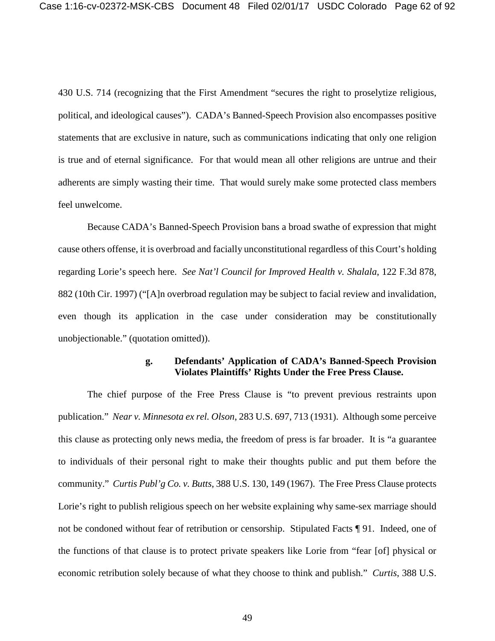430 U.S. 714 (recognizing that the First Amendment "secures the right to proselytize religious, political, and ideological causes"). CADA's Banned-Speech Provision also encompasses positive statements that are exclusive in nature, such as communications indicating that only one religion is true and of eternal significance. For that would mean all other religions are untrue and their adherents are simply wasting their time. That would surely make some protected class members feel unwelcome.

Because CADA's Banned-Speech Provision bans a broad swathe of expression that might cause others offense, it is overbroad and facially unconstitutional regardless of this Court's holding regarding Lorie's speech here. *See Nat'l Council for Improved Health v. Shalala*, 122 F.3d 878, 882 (10th Cir. 1997) ("[A]n overbroad regulation may be subject to facial review and invalidation, even though its application in the case under consideration may be constitutionally unobjectionable." (quotation omitted)).

#### **g. Defendants' Application of CADA's Banned-Speech Provision Violates Plaintiffs' Rights Under the Free Press Clause.**

The chief purpose of the Free Press Clause is "to prevent previous restraints upon publication." *Near v. Minnesota ex rel. Olson*, 283 U.S. 697, 713 (1931). Although some perceive this clause as protecting only news media, the freedom of press is far broader. It is "a guarantee to individuals of their personal right to make their thoughts public and put them before the community." *Curtis Publ'g Co. v. Butts*, 388 U.S. 130, 149 (1967). The Free Press Clause protects Lorie's right to publish religious speech on her website explaining why same-sex marriage should not be condoned without fear of retribution or censorship. Stipulated Facts ¶ 91. Indeed, one of the functions of that clause is to protect private speakers like Lorie from "fear [of] physical or economic retribution solely because of what they choose to think and publish." *Curtis*, 388 U.S.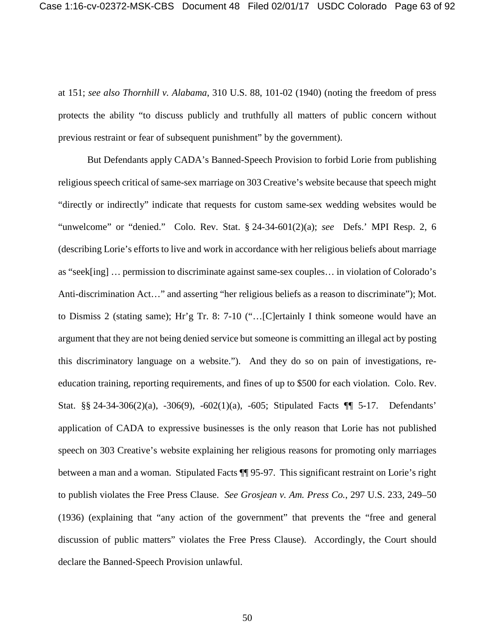at 151; *see also Thornhill v. Alabama*, 310 U.S. 88, 101-02 (1940) (noting the freedom of press protects the ability "to discuss publicly and truthfully all matters of public concern without previous restraint or fear of subsequent punishment" by the government).

But Defendants apply CADA's Banned-Speech Provision to forbid Lorie from publishing religious speech critical of same-sex marriage on 303 Creative's website because that speech might "directly or indirectly" indicate that requests for custom same-sex wedding websites would be "unwelcome" or "denied." Colo. Rev. Stat. § 24-34-601(2)(a); *see* Defs.' MPI Resp. 2, 6 (describing Lorie's efforts to live and work in accordance with her religious beliefs about marriage as "seek[ing] … permission to discriminate against same-sex couples… in violation of Colorado's Anti-discrimination Act…" and asserting "her religious beliefs as a reason to discriminate"); Mot. to Dismiss 2 (stating same); Hr'g Tr. 8: 7-10 ("…[C]ertainly I think someone would have an argument that they are not being denied service but someone is committing an illegal act by posting this discriminatory language on a website."). And they do so on pain of investigations, reeducation training, reporting requirements, and fines of up to \$500 for each violation. Colo. Rev. Stat. §§ 24-34-306(2)(a), -306(9), -602(1)(a), -605; Stipulated Facts ¶¶ 5-17. Defendants' application of CADA to expressive businesses is the only reason that Lorie has not published speech on 303 Creative's website explaining her religious reasons for promoting only marriages between a man and a woman. Stipulated Facts ¶¶ 95-97. This significant restraint on Lorie's right to publish violates the Free Press Clause. *See Grosjean v. Am. Press Co.*, 297 U.S. 233, 249–50 (1936) (explaining that "any action of the government" that prevents the "free and general discussion of public matters" violates the Free Press Clause). Accordingly, the Court should declare the Banned-Speech Provision unlawful.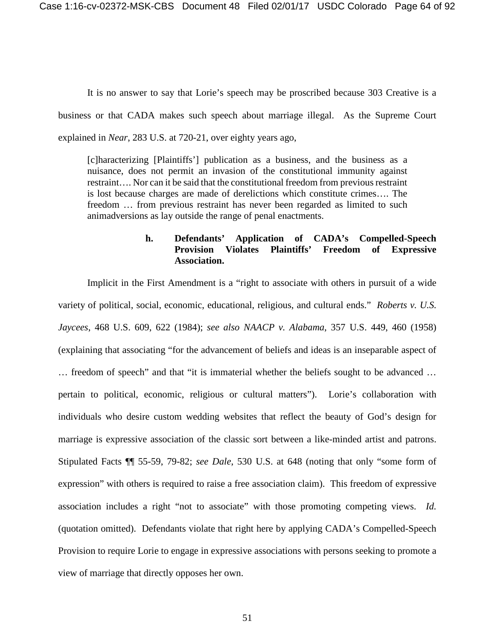It is no answer to say that Lorie's speech may be proscribed because 303 Creative is a business or that CADA makes such speech about marriage illegal. As the Supreme Court explained in *Near*, 283 U.S. at 720-21, over eighty years ago,

[c]haracterizing [Plaintiffs'] publication as a business, and the business as a nuisance, does not permit an invasion of the constitutional immunity against restraint…. Nor can it be said that the constitutional freedom from previous restraint is lost because charges are made of derelictions which constitute crimes…. The freedom … from previous restraint has never been regarded as limited to such animadversions as lay outside the range of penal enactments.

## **h. Defendants' Application of CADA's Compelled-Speech Provision Violates Plaintiffs' Freedom of Expressive Association.**

Implicit in the First Amendment is a "right to associate with others in pursuit of a wide variety of political, social, economic, educational, religious, and cultural ends." *Roberts v. U.S. Jaycees*, 468 U.S. 609, 622 (1984); *see also NAACP v. Alabama*, 357 U.S. 449, 460 (1958) (explaining that associating "for the advancement of beliefs and ideas is an inseparable aspect of … freedom of speech" and that "it is immaterial whether the beliefs sought to be advanced … pertain to political, economic, religious or cultural matters"). Lorie's collaboration with individuals who desire custom wedding websites that reflect the beauty of God's design for marriage is expressive association of the classic sort between a like-minded artist and patrons. Stipulated Facts ¶¶ 55-59, 79-82; *see Dale*, 530 U.S. at 648 (noting that only "some form of expression" with others is required to raise a free association claim). This freedom of expressive association includes a right "not to associate" with those promoting competing views. *Id.* (quotation omitted). Defendants violate that right here by applying CADA's Compelled-Speech Provision to require Lorie to engage in expressive associations with persons seeking to promote a view of marriage that directly opposes her own.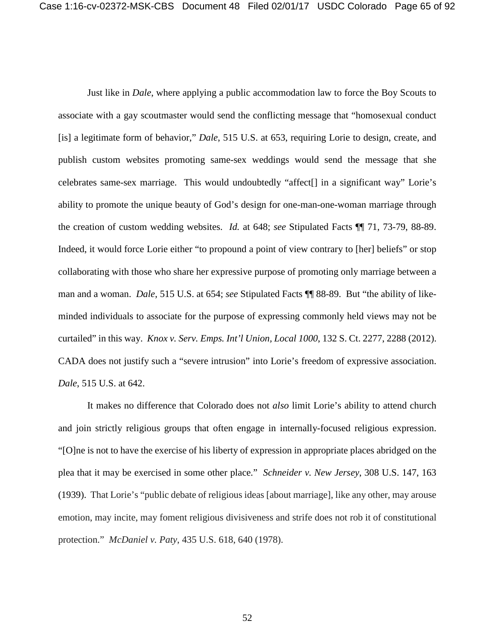Just like in *Dale*, where applying a public accommodation law to force the Boy Scouts to associate with a gay scoutmaster would send the conflicting message that "homosexual conduct [is] a legitimate form of behavior," *Dale*, 515 U.S. at 653, requiring Lorie to design, create, and publish custom websites promoting same-sex weddings would send the message that she celebrates same-sex marriage. This would undoubtedly "affect[] in a significant way" Lorie's ability to promote the unique beauty of God's design for one-man-one-woman marriage through the creation of custom wedding websites. *Id.* at 648; *see* Stipulated Facts ¶¶ 71, 73-79, 88-89. Indeed, it would force Lorie either "to propound a point of view contrary to [her] beliefs" or stop collaborating with those who share her expressive purpose of promoting only marriage between a man and a woman. *Dale*, 515 U.S. at 654; *see* Stipulated Facts ¶¶ 88-89. But "the ability of likeminded individuals to associate for the purpose of expressing commonly held views may not be curtailed" in this way. *Knox v. Serv. Emps. Int'l Union, Local 1000*, 132 S. Ct. 2277, 2288 (2012). CADA does not justify such a "severe intrusion" into Lorie's freedom of expressive association. *Dale*, 515 U.S. at 642.

It makes no difference that Colorado does not *also* limit Lorie's ability to attend church and join strictly religious groups that often engage in internally-focused religious expression. "[O]ne is not to have the exercise of his liberty of expression in appropriate places abridged on the plea that it may be exercised in some other place." *Schneider v. New Jersey*, 308 U.S. 147, 163 (1939). That Lorie's "public debate of religious ideas [about marriage], like any other, may arouse emotion, may incite, may foment religious divisiveness and strife does not rob it of constitutional protection." *McDaniel v. Paty*, 435 U.S. 618, 640 (1978).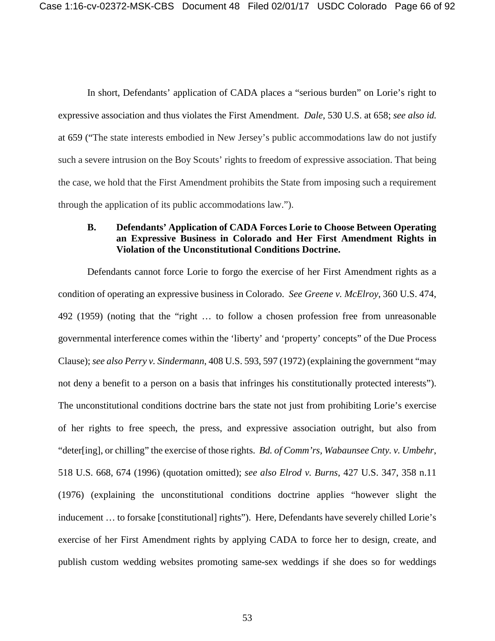In short, Defendants' application of CADA places a "serious burden" on Lorie's right to expressive association and thus violates the First Amendment. *Dale*, 530 U.S. at 658; *see also id.* at 659 ("The state interests embodied in New Jersey's public accommodations law do not justify such a severe intrusion on the Boy Scouts' rights to freedom of expressive association. That being the case, we hold that the First Amendment prohibits the State from imposing such a requirement through the application of its public accommodations law.").

#### **B. Defendants' Application of CADA Forces Lorie to Choose Between Operating an Expressive Business in Colorado and Her First Amendment Rights in Violation of the Unconstitutional Conditions Doctrine.**

Defendants cannot force Lorie to forgo the exercise of her First Amendment rights as a condition of operating an expressive business in Colorado. *See Greene v. McElroy*, 360 U.S. 474, 492 (1959) (noting that the "right … to follow a chosen profession free from unreasonable governmental interference comes within the 'liberty' and 'property' concepts" of the Due Process Clause); *see also Perry v. Sindermann*, 408 U.S. 593, 597 (1972) (explaining the government "may not deny a benefit to a person on a basis that infringes his constitutionally protected interests"). The unconstitutional conditions doctrine bars the state not just from prohibiting Lorie's exercise of her rights to free speech, the press, and expressive association outright, but also from "deter[ing], or chilling" the exercise of those rights. *Bd. of Comm'rs, Wabaunsee Cnty. v. Umbehr*, 518 U.S. 668, 674 (1996) (quotation omitted); *see also Elrod v. Burns*, 427 U.S. 347, 358 n.11 (1976) (explaining the unconstitutional conditions doctrine applies "however slight the inducement … to forsake [constitutional] rights"). Here, Defendants have severely chilled Lorie's exercise of her First Amendment rights by applying CADA to force her to design, create, and publish custom wedding websites promoting same-sex weddings if she does so for weddings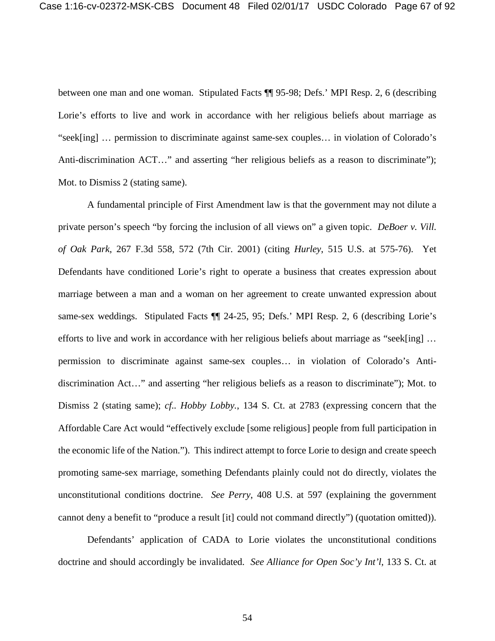between one man and one woman. Stipulated Facts ¶¶ 95-98; Defs.' MPI Resp. 2, 6 (describing Lorie's efforts to live and work in accordance with her religious beliefs about marriage as "seek[ing] … permission to discriminate against same-sex couples… in violation of Colorado's Anti-discrimination ACT..." and asserting "her religious beliefs as a reason to discriminate"); Mot. to Dismiss 2 (stating same).

A fundamental principle of First Amendment law is that the government may not dilute a private person's speech "by forcing the inclusion of all views on" a given topic. *DeBoer v. Vill. of Oak Park*, 267 F.3d 558, 572 (7th Cir. 2001) (citing *Hurley*, 515 U.S. at 575-76). Yet Defendants have conditioned Lorie's right to operate a business that creates expression about marriage between a man and a woman on her agreement to create unwanted expression about same-sex weddings. Stipulated Facts  $\P$  24-25, 95; Defs.' MPI Resp. 2, 6 (describing Lorie's efforts to live and work in accordance with her religious beliefs about marriage as "seek[ing] … permission to discriminate against same-sex couples… in violation of Colorado's Antidiscrimination Act…" and asserting "her religious beliefs as a reason to discriminate"); Mot. to Dismiss 2 (stating same); *cf.. Hobby Lobby.*, 134 S. Ct. at 2783 (expressing concern that the Affordable Care Act would "effectively exclude [some religious] people from full participation in the economic life of the Nation."). This indirect attempt to force Lorie to design and create speech promoting same-sex marriage, something Defendants plainly could not do directly, violates the unconstitutional conditions doctrine. *See Perry*, 408 U.S. at 597 (explaining the government cannot deny a benefit to "produce a result [it] could not command directly") (quotation omitted)).

Defendants' application of CADA to Lorie violates the unconstitutional conditions doctrine and should accordingly be invalidated. *See Alliance for Open Soc'y Int'l*, 133 S. Ct. at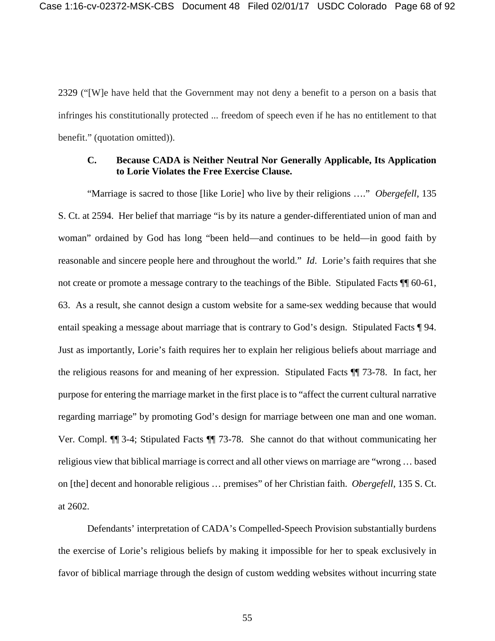2329 ("[W]e have held that the Government may not deny a benefit to a person on a basis that infringes his constitutionally protected ... freedom of speech even if he has no entitlement to that benefit." (quotation omitted)).

## **C. Because CADA is Neither Neutral Nor Generally Applicable, Its Application to Lorie Violates the Free Exercise Clause.**

"Marriage is sacred to those [like Lorie] who live by their religions …." *Obergefell*, 135 S. Ct. at 2594. Her belief that marriage "is by its nature a gender-differentiated union of man and woman" ordained by God has long "been held—and continues to be held—in good faith by reasonable and sincere people here and throughout the world." *Id*. Lorie's faith requires that she not create or promote a message contrary to the teachings of the Bible. Stipulated Facts  $\P$  60-61, 63. As a result, she cannot design a custom website for a same-sex wedding because that would entail speaking a message about marriage that is contrary to God's design. Stipulated Facts ¶ 94. Just as importantly, Lorie's faith requires her to explain her religious beliefs about marriage and the religious reasons for and meaning of her expression. Stipulated Facts ¶¶ 73-78. In fact, her purpose for entering the marriage market in the first place is to "affect the current cultural narrative regarding marriage" by promoting God's design for marriage between one man and one woman. Ver. Compl. ¶¶ 3-4; Stipulated Facts ¶¶ 73-78. She cannot do that without communicating her religious view that biblical marriage is correct and all other views on marriage are "wrong … based on [the] decent and honorable religious … premises" of her Christian faith. *Obergefell*, 135 S. Ct. at 2602.

Defendants' interpretation of CADA's Compelled-Speech Provision substantially burdens the exercise of Lorie's religious beliefs by making it impossible for her to speak exclusively in favor of biblical marriage through the design of custom wedding websites without incurring state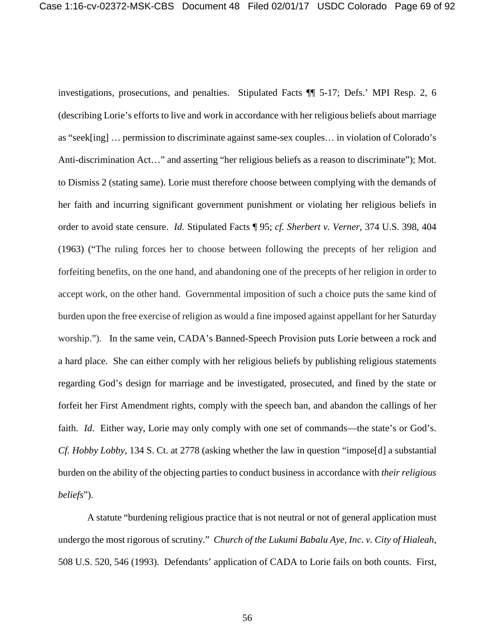investigations, prosecutions, and penalties. Stipulated Facts ¶¶ 5-17; Defs.' MPI Resp. 2, 6 (describing Lorie's efforts to live and work in accordance with her religious beliefs about marriage as "seek[ing] … permission to discriminate against same-sex couples… in violation of Colorado's Anti-discrimination Act…" and asserting "her religious beliefs as a reason to discriminate"); Mot. to Dismiss 2 (stating same). Lorie must therefore choose between complying with the demands of her faith and incurring significant government punishment or violating her religious beliefs in order to avoid state censure. *Id.* Stipulated Facts ¶ 95; *cf. Sherbert v. Verner*, 374 U.S. 398, 404 (1963) ("The ruling forces her to choose between following the precepts of her religion and forfeiting benefits, on the one hand, and abandoning one of the precepts of her religion in order to accept work, on the other hand. Governmental imposition of such a choice puts the same kind of burden upon the free exercise of religion as would a fine imposed against appellant for her Saturday worship."). In the same vein, CADA's Banned-Speech Provision puts Lorie between a rock and a hard place. She can either comply with her religious beliefs by publishing religious statements regarding God's design for marriage and be investigated, prosecuted, and fined by the state or forfeit her First Amendment rights, comply with the speech ban, and abandon the callings of her faith. *Id.* Either way, Lorie may only comply with one set of commands—the state's or God's. *Cf. Hobby Lobby*, 134 S. Ct. at 2778 (asking whether the law in question "impose[d] a substantial burden on the ability of the objecting parties to conduct business in accordance with *their religious beliefs*").

A statute "burdening religious practice that is not neutral or not of general application must undergo the most rigorous of scrutiny." *Church of the Lukumi Babalu Aye, Inc. v. City of Hialeah*, 508 U.S. 520, 546 (1993). Defendants' application of CADA to Lorie fails on both counts. First,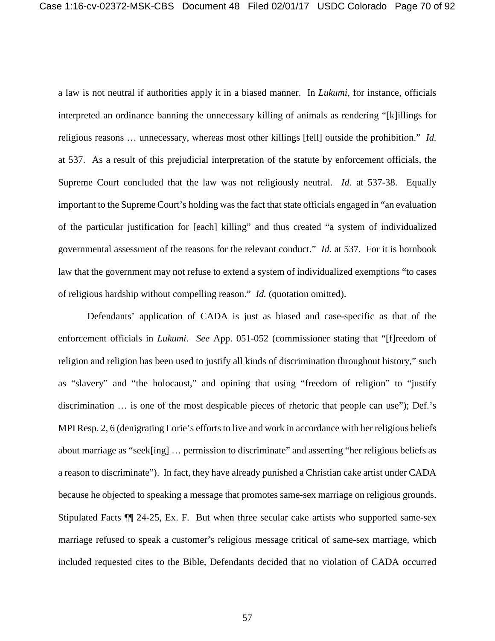a law is not neutral if authorities apply it in a biased manner. In *Lukumi,* for instance, officials interpreted an ordinance banning the unnecessary killing of animals as rendering "[k]illings for religious reasons … unnecessary, whereas most other killings [fell] outside the prohibition." *Id.* at 537.As a result of this prejudicial interpretation of the statute by enforcement officials, the Supreme Court concluded that the law was not religiously neutral. *Id.* at 537-38. Equally important to the Supreme Court's holding was the fact that state officials engaged in "an evaluation of the particular justification for [each] killing" and thus created "a system of individualized governmental assessment of the reasons for the relevant conduct." *Id.* at 537.For it is hornbook law that the government may not refuse to extend a system of individualized exemptions "to cases of religious hardship without compelling reason." *Id.* (quotation omitted).

Defendants' application of CADA is just as biased and case-specific as that of the enforcement officials in *Lukumi*. *See* App. 051-052 (commissioner stating that "[f]reedom of religion and religion has been used to justify all kinds of discrimination throughout history," such as "slavery" and "the holocaust," and opining that using "freedom of religion" to "justify discrimination … is one of the most despicable pieces of rhetoric that people can use"); Def.'s MPI Resp. 2, 6 (denigrating Lorie's efforts to live and work in accordance with her religious beliefs about marriage as "seek[ing] … permission to discriminate" and asserting "her religious beliefs as a reason to discriminate"). In fact, they have already punished a Christian cake artist under CADA because he objected to speaking a message that promotes same-sex marriage on religious grounds. Stipulated Facts ¶¶ 24-25, Ex. F. But when three secular cake artists who supported same-sex marriage refused to speak a customer's religious message critical of same-sex marriage, which included requested cites to the Bible, Defendants decided that no violation of CADA occurred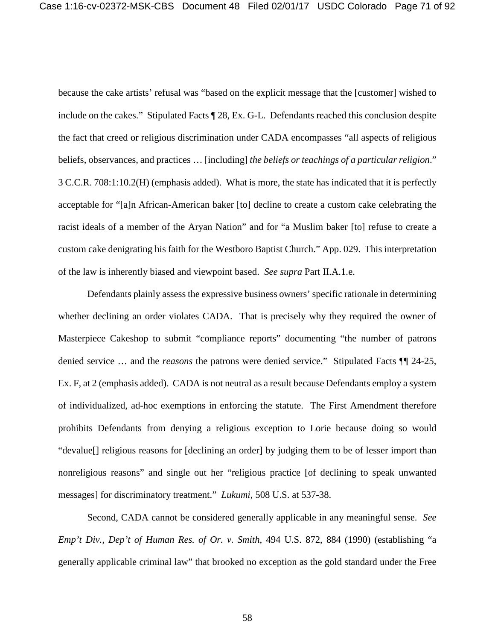because the cake artists' refusal was "based on the explicit message that the [customer] wished to include on the cakes." Stipulated Facts ¶ 28, Ex. G-L. Defendants reached this conclusion despite the fact that creed or religious discrimination under CADA encompasses "all aspects of religious beliefs, observances, and practices … [including] *the beliefs or teachings of a particular religion*." 3 C.C.R. 708:1:10.2(H) (emphasis added). What is more, the state has indicated that it is perfectly acceptable for "[a]n African-American baker [to] decline to create a custom cake celebrating the racist ideals of a member of the Aryan Nation" and for "a Muslim baker [to] refuse to create a custom cake denigrating his faith for the Westboro Baptist Church." App. 029. This interpretation of the law is inherently biased and viewpoint based. *See supra* Part II.A.1.e.

Defendants plainly assess the expressive business owners' specific rationale in determining whether declining an order violates CADA. That is precisely why they required the owner of Masterpiece Cakeshop to submit "compliance reports" documenting "the number of patrons denied service … and the *reasons* the patrons were denied service." Stipulated Facts ¶¶ 24-25, Ex. F, at 2 (emphasis added). CADA is not neutral as a result because Defendants employ a system of individualized, ad-hoc exemptions in enforcing the statute. The First Amendment therefore prohibits Defendants from denying a religious exception to Lorie because doing so would "devalue[] religious reasons for [declining an order] by judging them to be of lesser import than nonreligious reasons" and single out her "religious practice [of declining to speak unwanted messages] for discriminatory treatment." *Lukumi*, 508 U.S. at 537-38.

Second, CADA cannot be considered generally applicable in any meaningful sense. *See Emp't Div., Dep't of Human Res. of Or. v. Smith*, 494 U.S. 872, 884 (1990) (establishing "a generally applicable criminal law" that brooked no exception as the gold standard under the Free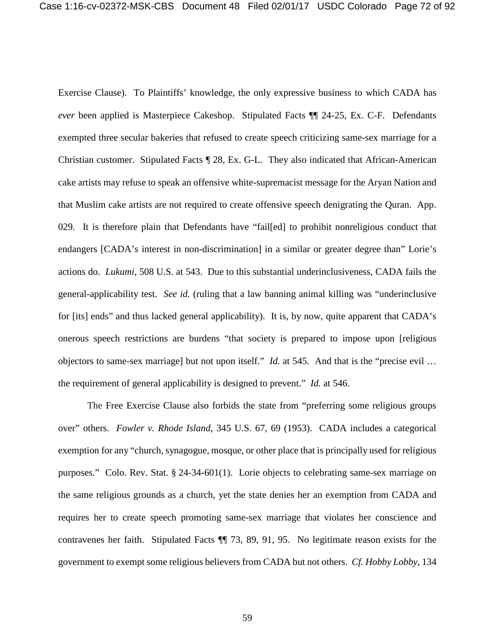Exercise Clause). To Plaintiffs' knowledge, the only expressive business to which CADA has *ever* been applied is Masterpiece Cakeshop. Stipulated Facts ¶¶ 24-25, Ex. C-F. Defendants exempted three secular bakeries that refused to create speech criticizing same-sex marriage for a Christian customer. Stipulated Facts ¶ 28, Ex. G-L. They also indicated that African-American cake artists may refuse to speak an offensive white-supremacist message for the Aryan Nation and that Muslim cake artists are not required to create offensive speech denigrating the Quran. App. 029. It is therefore plain that Defendants have "fail[ed] to prohibit nonreligious conduct that endangers [CADA's interest in non-discrimination] in a similar or greater degree than" Lorie's actions do. *Lukumi*, 508 U.S. at 543. Due to this substantial underinclusiveness, CADA fails the general-applicability test. *See id.* (ruling that a law banning animal killing was "underinclusive for [its] ends" and thus lacked general applicability).It is, by now, quite apparent that CADA's onerous speech restrictions are burdens "that society is prepared to impose upon [religious objectors to same-sex marriage] but not upon itself." *Id.* at 545. And that is the "precise evil … the requirement of general applicability is designed to prevent." *Id.* at 546.

The Free Exercise Clause also forbids the state from "preferring some religious groups over" others. *Fowler v. Rhode Island*, 345 U.S. 67, 69 (1953). CADA includes a categorical exemption for any "church, synagogue, mosque, or other place that is principally used for religious purposes." Colo. Rev. Stat. § 24-34-601(1). Lorie objects to celebrating same-sex marriage on the same religious grounds as a church, yet the state denies her an exemption from CADA and requires her to create speech promoting same-sex marriage that violates her conscience and contravenes her faith. Stipulated Facts ¶¶ 73, 89, 91, 95. No legitimate reason exists for the government to exempt some religious believers from CADA but not others. *Cf. Hobby Lobby*, 134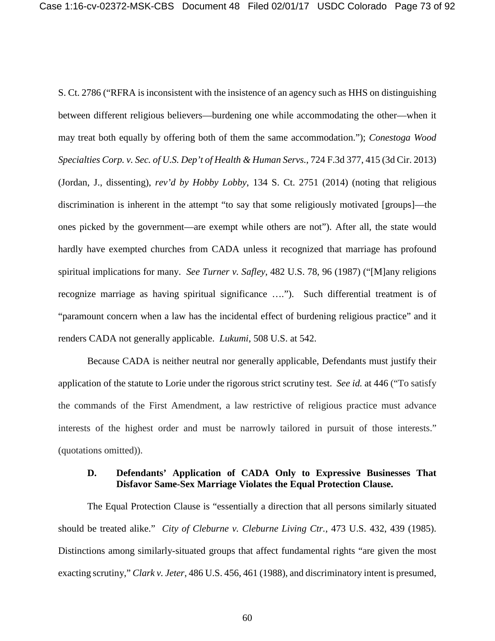S. Ct. 2786 ("RFRA is inconsistent with the insistence of an agency such as HHS on distinguishing between different religious believers—burdening one while accommodating the other—when it may treat both equally by offering both of them the same accommodation."); *Conestoga Wood Specialties Corp. v. Sec. of U.S. Dep't of Health & Human Servs.*, 724 F.3d 377, 415 (3d Cir. 2013) (Jordan, J., dissenting), *rev'd by Hobby Lobby*, 134 S. Ct. 2751 (2014) (noting that religious discrimination is inherent in the attempt "to say that some religiously motivated [groups]—the ones picked by the government—are exempt while others are not"). After all, the state would hardly have exempted churches from CADA unless it recognized that marriage has profound spiritual implications for many. *See Turner v. Safley*, 482 U.S. 78, 96 (1987) ("[M]any religions recognize marriage as having spiritual significance ….").Such differential treatment is of "paramount concern when a law has the incidental effect of burdening religious practice" and it renders CADA not generally applicable. *Lukumi*, 508 U.S. at 542.

Because CADA is neither neutral nor generally applicable, Defendants must justify their application of the statute to Lorie under the rigorous strict scrutiny test. *See id.* at 446 ("To satisfy the commands of the First Amendment, a law restrictive of religious practice must advance interests of the highest order and must be narrowly tailored in pursuit of those interests." (quotations omitted)).

## **D. Defendants' Application of CADA Only to Expressive Businesses That Disfavor Same-Sex Marriage Violates the Equal Protection Clause.**

The Equal Protection Clause is "essentially a direction that all persons similarly situated should be treated alike." *City of Cleburne v. Cleburne Living Ctr.*, 473 U.S. 432, 439 (1985). Distinctions among similarly-situated groups that affect fundamental rights "are given the most exacting scrutiny," *Clark v. Jeter*, 486 U.S. 456, 461 (1988), and discriminatory intent is presumed,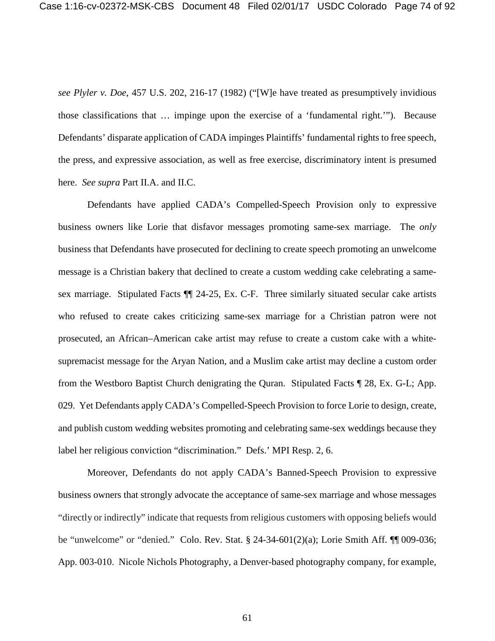*see Plyler v. Doe*, 457 U.S. 202, 216-17 (1982) ("[W]e have treated as presumptively invidious those classifications that … impinge upon the exercise of a 'fundamental right.'"). Because Defendants' disparate application of CADA impinges Plaintiffs' fundamental rights to free speech, the press, and expressive association, as well as free exercise, discriminatory intent is presumed here. *See supra* Part II.A. and II.C.

Defendants have applied CADA's Compelled-Speech Provision only to expressive business owners like Lorie that disfavor messages promoting same-sex marriage. The *only* business that Defendants have prosecuted for declining to create speech promoting an unwelcome message is a Christian bakery that declined to create a custom wedding cake celebrating a samesex marriage. Stipulated Facts ¶¶ 24-25, Ex. C-F. Three similarly situated secular cake artists who refused to create cakes criticizing same-sex marriage for a Christian patron were not prosecuted, an African–American cake artist may refuse to create a custom cake with a whitesupremacist message for the Aryan Nation, and a Muslim cake artist may decline a custom order from the Westboro Baptist Church denigrating the Quran. Stipulated Facts ¶ 28, Ex. G-L; App. 029. Yet Defendants apply CADA's Compelled-Speech Provision to force Lorie to design, create, and publish custom wedding websites promoting and celebrating same-sex weddings because they label her religious conviction "discrimination." Defs.' MPI Resp. 2, 6.

Moreover, Defendants do not apply CADA's Banned-Speech Provision to expressive business owners that strongly advocate the acceptance of same-sex marriage and whose messages "directly or indirectly" indicate that requests from religious customers with opposing beliefs would be "unwelcome" or "denied." Colo. Rev. Stat. § 24-34-601(2)(a); Lorie Smith Aff. ¶¶ 009-036; App. 003-010. Nicole Nichols Photography, a Denver-based photography company, for example,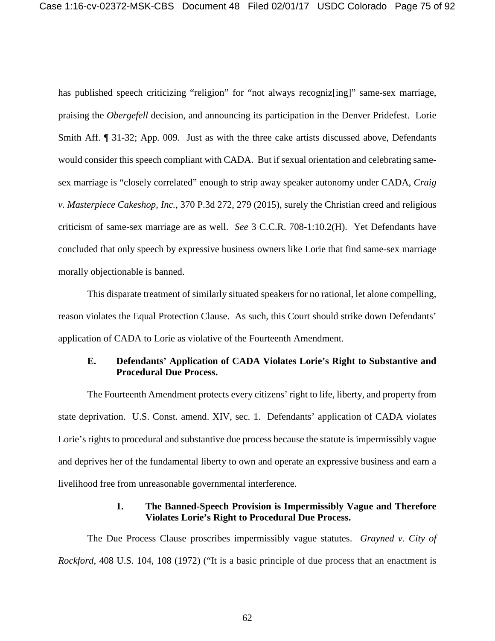has published speech criticizing "religion" for "not always recognizes in same-sex marriage, praising the *Obergefell* decision, and announcing its participation in the Denver Pridefest. Lorie Smith Aff. ¶ 31-32; App. 009. Just as with the three cake artists discussed above, Defendants would consider this speech compliant with CADA. But if sexual orientation and celebrating samesex marriage is "closely correlated" enough to strip away speaker autonomy under CADA, *Craig v. Masterpiece Cakeshop, Inc.*, 370 P.3d 272, 279 (2015), surely the Christian creed and religious criticism of same-sex marriage are as well. *See* 3 C.C.R. 708-1:10.2(H). Yet Defendants have concluded that only speech by expressive business owners like Lorie that find same-sex marriage morally objectionable is banned.

This disparate treatment of similarly situated speakers for no rational, let alone compelling, reason violates the Equal Protection Clause. As such, this Court should strike down Defendants' application of CADA to Lorie as violative of the Fourteenth Amendment.

# **E. Defendants' Application of CADA Violates Lorie's Right to Substantive and Procedural Due Process.**

The Fourteenth Amendment protects every citizens' right to life, liberty, and property from state deprivation. U.S. Const. amend. XIV, sec. 1. Defendants' application of CADA violates Lorie's rights to procedural and substantive due process because the statute is impermissibly vague and deprives her of the fundamental liberty to own and operate an expressive business and earn a livelihood free from unreasonable governmental interference.

### **1. The Banned-Speech Provision is Impermissibly Vague and Therefore Violates Lorie's Right to Procedural Due Process.**

The Due Process Clause proscribes impermissibly vague statutes. *Grayned v. City of Rockford*, 408 U.S. 104, 108 (1972) ("It is a basic principle of due process that an enactment is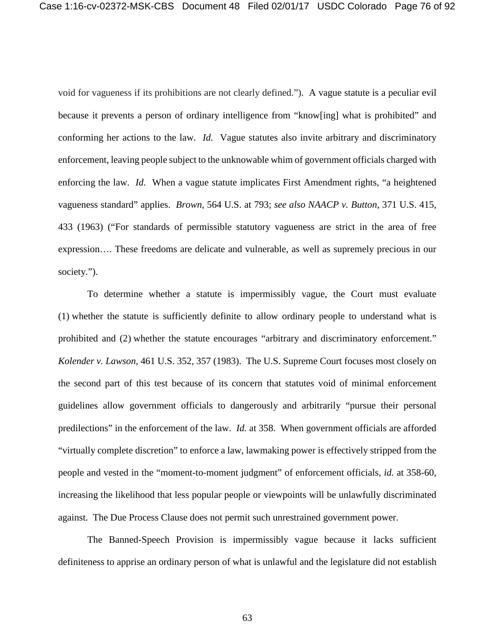void for vagueness if its prohibitions are not clearly defined."). A vague statute is a peculiar evil because it prevents a person of ordinary intelligence from "know[ing] what is prohibited" and conforming her actions to the law. *Id.* Vague statutes also invite arbitrary and discriminatory enforcement, leaving people subject to the unknowable whim of government officials charged with enforcing the law. *Id.* When a vague statute implicates First Amendment rights, "a heightened vagueness standard" applies. *Brown*, 564 U.S. at 793; *see also NAACP v. Button*, 371 U.S. 415, 433 (1963) ("For standards of permissible statutory vagueness are strict in the area of free expression…. These freedoms are delicate and vulnerable, as well as supremely precious in our society.").

To determine whether a statute is impermissibly vague, the Court must evaluate (1) whether the statute is sufficiently definite to allow ordinary people to understand what is prohibited and (2) whether the statute encourages "arbitrary and discriminatory enforcement." *Kolender v. Lawson*, 461 U.S. 352, 357 (1983). The U.S. Supreme Court focuses most closely on the second part of this test because of its concern that statutes void of minimal enforcement guidelines allow government officials to dangerously and arbitrarily "pursue their personal predilections" in the enforcement of the law. *Id.* at 358. When government officials are afforded "virtually complete discretion" to enforce a law, lawmaking power is effectively stripped from the people and vested in the "moment-to-moment judgment" of enforcement officials, *id.* at 358-60, increasing the likelihood that less popular people or viewpoints will be unlawfully discriminated against. The Due Process Clause does not permit such unrestrained government power.

The Banned-Speech Provision is impermissibly vague because it lacks sufficient definiteness to apprise an ordinary person of what is unlawful and the legislature did not establish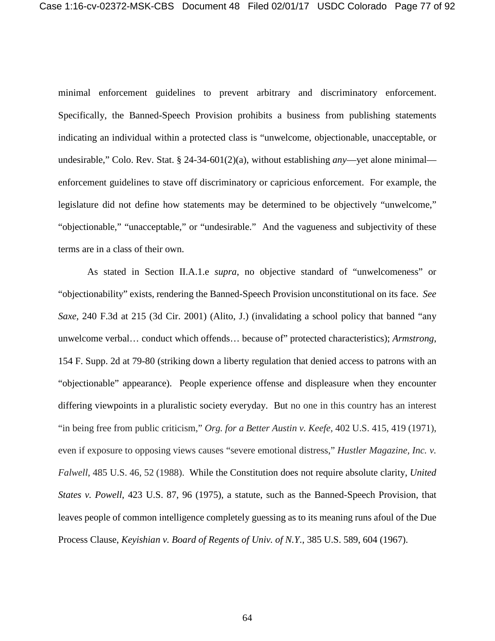minimal enforcement guidelines to prevent arbitrary and discriminatory enforcement. Specifically, the Banned-Speech Provision prohibits a business from publishing statements indicating an individual within a protected class is "unwelcome, objectionable, unacceptable, or undesirable," Colo. Rev. Stat. § 24-34-601(2)(a), without establishing *any*—yet alone minimal enforcement guidelines to stave off discriminatory or capricious enforcement. For example, the legislature did not define how statements may be determined to be objectively "unwelcome," "objectionable," "unacceptable," or "undesirable." And the vagueness and subjectivity of these terms are in a class of their own.

As stated in Section II.A.1.e *supra*, no objective standard of "unwelcomeness" or "objectionability" exists, rendering the Banned-Speech Provision unconstitutional on its face. *See Saxe,* 240 F.3d at 215 (3d Cir. 2001) (Alito, J.) (invalidating a school policy that banned "any unwelcome verbal… conduct which offends… because of" protected characteristics); *Armstrong*, 154 F. Supp. 2d at 79-80 (striking down a liberty regulation that denied access to patrons with an "objectionable" appearance). People experience offense and displeasure when they encounter differing viewpoints in a pluralistic society everyday. But no one in this country has an interest "in being free from public criticism," *Org. for a Better Austin v. Keefe*, 402 U.S. 415, 419 (1971), even if exposure to opposing views causes "severe emotional distress," *Hustler Magazine, Inc. v. Falwell*, 485 U.S. 46, 52 (1988). While the Constitution does not require absolute clarity, *United States v. Powell*, 423 U.S. 87, 96 (1975), a statute, such as the Banned-Speech Provision, that leaves people of common intelligence completely guessing as to its meaning runs afoul of the Due Process Clause, *Keyishian v. Board of Regents of Univ. of N.Y.*, 385 U.S. 589, 604 (1967).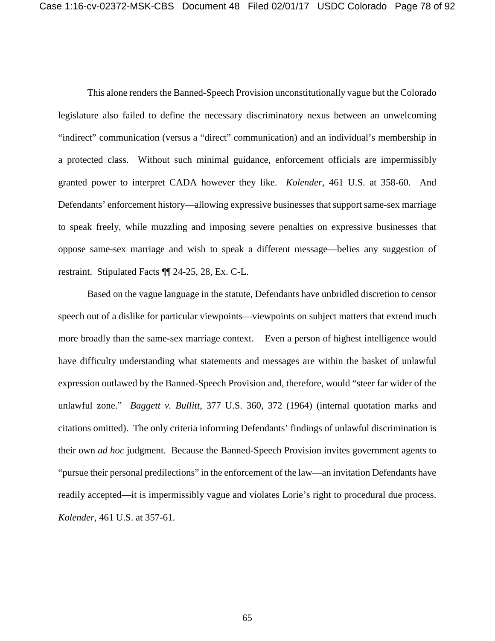This alone renders the Banned-Speech Provision unconstitutionally vague but the Colorado legislature also failed to define the necessary discriminatory nexus between an unwelcoming "indirect" communication (versus a "direct" communication) and an individual's membership in a protected class. Without such minimal guidance, enforcement officials are impermissibly granted power to interpret CADA however they like. *Kolender*, 461 U.S. at 358-60. And Defendants' enforcement history—allowing expressive businesses that support same-sex marriage to speak freely, while muzzling and imposing severe penalties on expressive businesses that oppose same-sex marriage and wish to speak a different message—belies any suggestion of restraint. Stipulated Facts ¶¶ 24-25, 28, Ex. C-L.

Based on the vague language in the statute, Defendants have unbridled discretion to censor speech out of a dislike for particular viewpoints—viewpoints on subject matters that extend much more broadly than the same-sex marriage context. Even a person of highest intelligence would have difficulty understanding what statements and messages are within the basket of unlawful expression outlawed by the Banned-Speech Provision and, therefore, would "steer far wider of the unlawful zone." *Baggett v. Bullitt*, 377 U.S. 360, 372 (1964) (internal quotation marks and citations omitted). The only criteria informing Defendants' findings of unlawful discrimination is their own *ad hoc* judgment. Because the Banned-Speech Provision invites government agents to "pursue their personal predilections" in the enforcement of the law—an invitation Defendants have readily accepted—it is impermissibly vague and violates Lorie's right to procedural due process. *Kolender*, 461 U.S. at 357-61.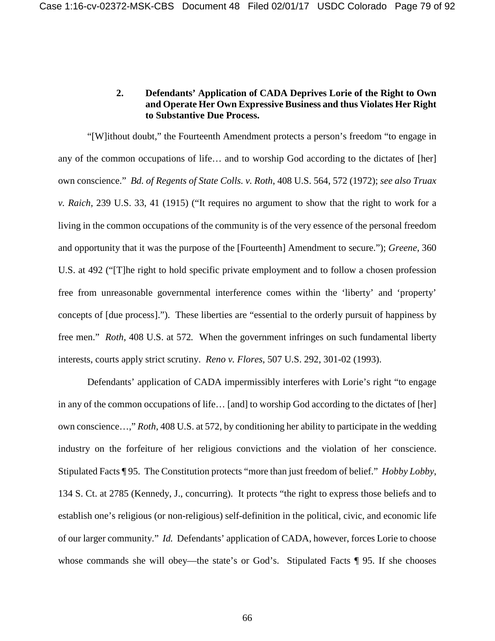## **2. Defendants' Application of CADA Deprives Lorie of the Right to Own and Operate Her Own Expressive Business and thus Violates Her Right to Substantive Due Process.**

"[W]ithout doubt," the Fourteenth Amendment protects a person's freedom "to engage in any of the common occupations of life… and to worship God according to the dictates of [her] own conscience." *Bd. of Regents of State Colls. v. Roth*, 408 U.S. 564, 572 (1972); *see also Truax v. Raich*, 239 U.S. 33, 41 (1915) ("It requires no argument to show that the right to work for a living in the common occupations of the community is of the very essence of the personal freedom and opportunity that it was the purpose of the [Fourteenth] Amendment to secure."); *Greene*, 360 U.S. at 492 ("[T]he right to hold specific private employment and to follow a chosen profession free from unreasonable governmental interference comes within the 'liberty' and 'property' concepts of [due process]."). These liberties are "essential to the orderly pursuit of happiness by free men." *Roth*, 408 U.S. at 572*.* When the government infringes on such fundamental liberty interests, courts apply strict scrutiny. *Reno v. Flores*, 507 U.S. 292, 301-02 (1993).

Defendants' application of CADA impermissibly interferes with Lorie's right "to engage in any of the common occupations of life… [and] to worship God according to the dictates of [her] own conscience…," *Roth*, 408 U.S. at 572, by conditioning her ability to participate in the wedding industry on the forfeiture of her religious convictions and the violation of her conscience. Stipulated Facts ¶ 95. The Constitution protects "more than just freedom of belief." *Hobby Lobby*, 134 S. Ct. at 2785 (Kennedy, J., concurring). It protects "the right to express those beliefs and to establish one's religious (or non-religious) self-definition in the political, civic, and economic life of our larger community." *Id.* Defendants' application of CADA, however, forces Lorie to choose whose commands she will obey—the state's or God's. Stipulated Facts ¶ 95. If she chooses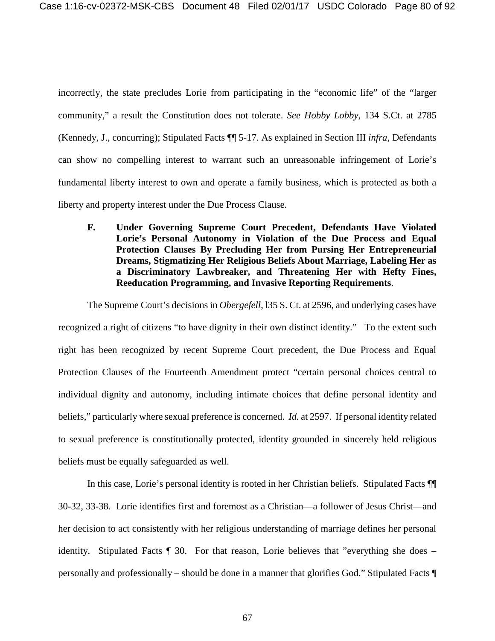incorrectly, the state precludes Lorie from participating in the "economic life" of the "larger community," a result the Constitution does not tolerate. *See Hobby Lobby*, 134 S.Ct. at 2785 (Kennedy, J., concurring); Stipulated Facts ¶¶ 5-17. As explained in Section III *infra*, Defendants can show no compelling interest to warrant such an unreasonable infringement of Lorie's fundamental liberty interest to own and operate a family business, which is protected as both a liberty and property interest under the Due Process Clause.

**F. Under Governing Supreme Court Precedent, Defendants Have Violated Lorie's Personal Autonomy in Violation of the Due Process and Equal Protection Clauses By Precluding Her from Pursing Her Entrepreneurial Dreams, Stigmatizing Her Religious Beliefs About Marriage, Labeling Her as a Discriminatory Lawbreaker, and Threatening Her with Hefty Fines, Reeducation Programming, and Invasive Reporting Requirements**.

The Supreme Court's decisions in *Obergefell*, l35 S. Ct. at 2596, and underlying cases have recognized a right of citizens "to have dignity in their own distinct identity." To the extent such right has been recognized by recent Supreme Court precedent, the Due Process and Equal Protection Clauses of the Fourteenth Amendment protect "certain personal choices central to individual dignity and autonomy, including intimate choices that define personal identity and beliefs," particularly where sexual preference is concerned. *Id.* at 2597. If personal identity related to sexual preference is constitutionally protected, identity grounded in sincerely held religious beliefs must be equally safeguarded as well.

In this case, Lorie's personal identity is rooted in her Christian beliefs. Stipulated Facts ¶¶ 30-32, 33-38. Lorie identifies first and foremost as a Christian—a follower of Jesus Christ—and her decision to act consistently with her religious understanding of marriage defines her personal identity. Stipulated Facts ¶ 30. For that reason, Lorie believes that "everything she does – personally and professionally – should be done in a manner that glorifies God." Stipulated Facts ¶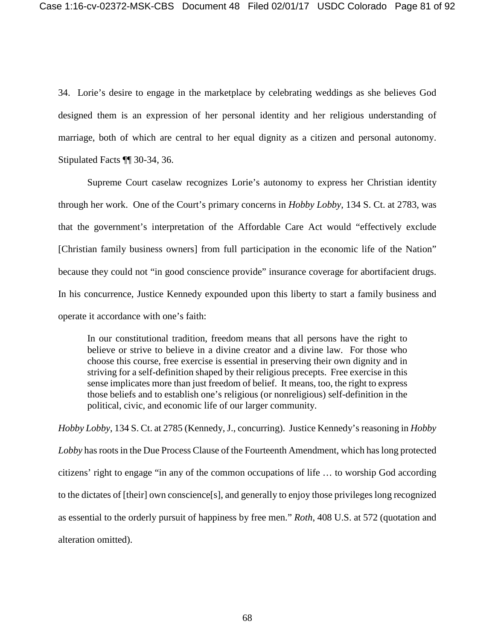34. Lorie's desire to engage in the marketplace by celebrating weddings as she believes God designed them is an expression of her personal identity and her religious understanding of marriage, both of which are central to her equal dignity as a citizen and personal autonomy. Stipulated Facts ¶¶ 30-34, 36.

Supreme Court caselaw recognizes Lorie's autonomy to express her Christian identity through her work. One of the Court's primary concerns in *Hobby Lobby*, 134 S. Ct. at 2783, was that the government's interpretation of the Affordable Care Act would "effectively exclude [Christian family business owners] from full participation in the economic life of the Nation" because they could not "in good conscience provide" insurance coverage for abortifacient drugs. In his concurrence, Justice Kennedy expounded upon this liberty to start a family business and operate it accordance with one's faith:

In our constitutional tradition, freedom means that all persons have the right to believe or strive to believe in a divine creator and a divine law. For those who choose this course, free exercise is essential in preserving their own dignity and in striving for a self-definition shaped by their religious precepts. Free exercise in this sense implicates more than just freedom of belief. It means, too, the right to express those beliefs and to establish one's religious (or nonreligious) self-definition in the political, civic, and economic life of our larger community.

*Hobby Lobby*, 134 S. Ct. at 2785 (Kennedy, J., concurring). Justice Kennedy's reasoning in *Hobby Lobby* has roots in the Due Process Clause of the Fourteenth Amendment, which has long protected citizens' right to engage "in any of the common occupations of life … to worship God according to the dictates of [their] own conscience[s], and generally to enjoy those privileges long recognized as essential to the orderly pursuit of happiness by free men." *Roth*, 408 U.S. at 572 (quotation and alteration omitted).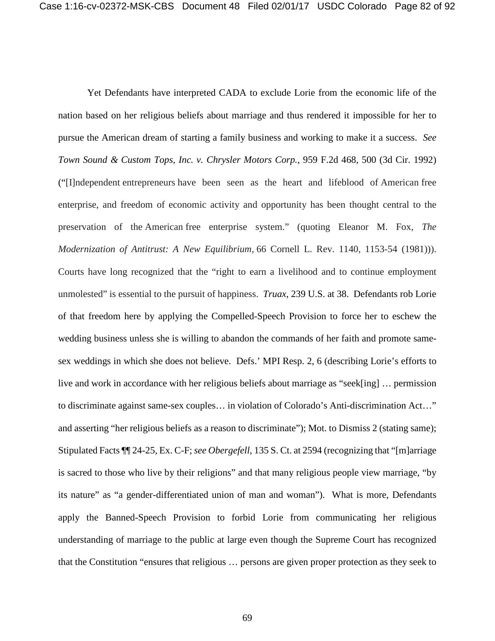Yet Defendants have interpreted CADA to exclude Lorie from the economic life of the nation based on her religious beliefs about marriage and thus rendered it impossible for her to pursue the American dream of starting a family business and working to make it a success. *See Town Sound & Custom Tops, Inc. v. Chrysler Motors Corp.*, 959 F.2d 468, 500 (3d Cir. 1992) ("[I]ndependent entrepreneurs have been seen as the heart and lifeblood of American free enterprise, and freedom of economic activity and opportunity has been thought central to the preservation of the American free enterprise system." (quoting Eleanor M. Fox, *The Modernization of Antitrust: A New Equilibrium,* 66 Cornell L. Rev. 1140, 1153-54 (1981))). Courts have long recognized that the "right to earn a livelihood and to continue employment unmolested" is essential to the pursuit of happiness. *Truax*, 239 U.S. at 38. Defendants rob Lorie of that freedom here by applying the Compelled-Speech Provision to force her to eschew the wedding business unless she is willing to abandon the commands of her faith and promote samesex weddings in which she does not believe. Defs.' MPI Resp. 2, 6 (describing Lorie's efforts to live and work in accordance with her religious beliefs about marriage as "seek[ing] … permission to discriminate against same-sex couples… in violation of Colorado's Anti-discrimination Act…" and asserting "her religious beliefs as a reason to discriminate"); Mot. to Dismiss 2 (stating same); Stipulated Facts ¶¶ 24-25, Ex. C-F; *see Obergefell*, 135 S. Ct. at 2594 (recognizing that "[m]arriage is sacred to those who live by their religions" and that many religious people view marriage, "by its nature" as "a gender-differentiated union of man and woman"). What is more, Defendants apply the Banned-Speech Provision to forbid Lorie from communicating her religious understanding of marriage to the public at large even though the Supreme Court has recognized that the Constitution "ensures that religious … persons are given proper protection as they seek to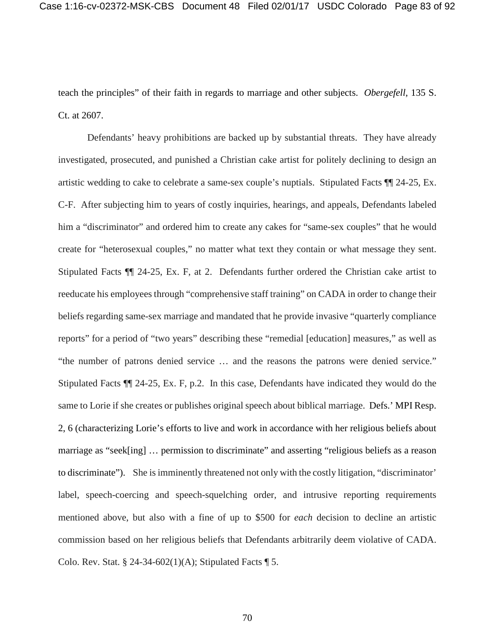teach the principles" of their faith in regards to marriage and other subjects. *Obergefell*, 135 S. Ct. at 2607.

Defendants' heavy prohibitions are backed up by substantial threats. They have already investigated, prosecuted, and punished a Christian cake artist for politely declining to design an artistic wedding to cake to celebrate a same-sex couple's nuptials. Stipulated Facts ¶¶ 24-25, Ex. C-F. After subjecting him to years of costly inquiries, hearings, and appeals, Defendants labeled him a "discriminator" and ordered him to create any cakes for "same-sex couples" that he would create for "heterosexual couples," no matter what text they contain or what message they sent. Stipulated Facts ¶¶ 24-25, Ex. F, at 2. Defendants further ordered the Christian cake artist to reeducate his employees through "comprehensive staff training" on CADA in order to change their beliefs regarding same-sex marriage and mandated that he provide invasive "quarterly compliance reports" for a period of "two years" describing these "remedial [education] measures," as well as "the number of patrons denied service … and the reasons the patrons were denied service." Stipulated Facts ¶¶ 24-25, Ex. F, p.2. In this case, Defendants have indicated they would do the same to Lorie if she creates or publishes original speech about biblical marriage. Defs.' MPI Resp. 2, 6 (characterizing Lorie's efforts to live and work in accordance with her religious beliefs about marriage as "seek[ing] … permission to discriminate" and asserting "religious beliefs as a reason to discriminate"). She is imminently threatened not only with the costly litigation, "discriminator' label, speech-coercing and speech-squelching order, and intrusive reporting requirements mentioned above, but also with a fine of up to \$500 for *each* decision to decline an artistic commission based on her religious beliefs that Defendants arbitrarily deem violative of CADA. Colo. Rev. Stat. § 24-34-602(1)(A); Stipulated Facts  $\P$  5.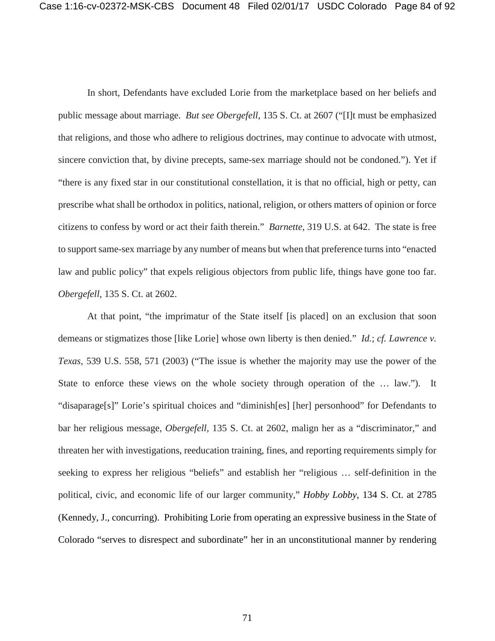In short, Defendants have excluded Lorie from the marketplace based on her beliefs and public message about marriage. *But see Obergefell*, 135 S. Ct. at 2607 ("[I]t must be emphasized that religions, and those who adhere to religious doctrines, may continue to advocate with utmost, sincere conviction that, by divine precepts, same-sex marriage should not be condoned."). Yet if "there is any fixed star in our constitutional constellation, it is that no official, high or petty, can prescribe what shall be orthodox in politics, national, religion, or others matters of opinion or force citizens to confess by word or act their faith therein." *Barnette*, 319 U.S. at 642. The state is free to support same-sex marriage by any number of means but when that preference turns into "enacted law and public policy" that expels religious objectors from public life, things have gone too far. *Obergefell*, 135 S. Ct. at 2602.

At that point, "the imprimatur of the State itself [is placed] on an exclusion that soon demeans or stigmatizes those [like Lorie] whose own liberty is then denied." *Id.*; *cf. Lawrence v. Texas*, 539 U.S. 558, 571 (2003) ("The issue is whether the majority may use the power of the State to enforce these views on the whole society through operation of the ... law."). It "disaparage[s]" Lorie's spiritual choices and "diminish[es] [her] personhood" for Defendants to bar her religious message, *Obergefell*, 135 S. Ct. at 2602, malign her as a "discriminator," and threaten her with investigations, reeducation training, fines, and reporting requirements simply for seeking to express her religious "beliefs" and establish her "religious … self-definition in the political, civic, and economic life of our larger community," *Hobby Lobby*, 134 S. Ct. at 2785 (Kennedy, J., concurring). Prohibiting Lorie from operating an expressive business in the State of Colorado "serves to disrespect and subordinate" her in an unconstitutional manner by rendering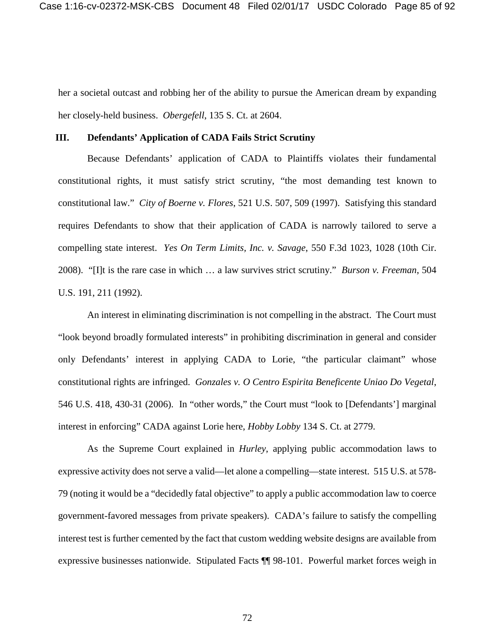her a societal outcast and robbing her of the ability to pursue the American dream by expanding her closely-held business. *Obergefell*, 135 S. Ct. at 2604.

#### **III. Defendants' Application of CADA Fails Strict Scrutiny**

Because Defendants' application of CADA to Plaintiffs violates their fundamental constitutional rights, it must satisfy strict scrutiny, "the most demanding test known to constitutional law." *City of Boerne v. Flores*, 521 U.S. 507, 509 (1997). Satisfying this standard requires Defendants to show that their application of CADA is narrowly tailored to serve a compelling state interest. *Yes On Term Limits, Inc. v. Savage*, 550 F.3d 1023, 1028 (10th Cir. 2008). "[I]t is the rare case in which … a law survives strict scrutiny." *Burson v. Freeman*, 504 U.S. 191, 211 (1992).

An interest in eliminating discrimination is not compelling in the abstract. The Court must "look beyond broadly formulated interests" in prohibiting discrimination in general and consider only Defendants' interest in applying CADA to Lorie, "the particular claimant" whose constitutional rights are infringed. *Gonzales v. O Centro Espirita Beneficente Uniao Do Vegetal*, 546 U.S. 418, 430-31 (2006). In "other words," the Court must "look to [Defendants'] marginal interest in enforcing" CADA against Lorie here, *Hobby Lobby* 134 S. Ct. at 2779.

As the Supreme Court explained in *Hurley*, applying public accommodation laws to expressive activity does not serve a valid—let alone a compelling—state interest. 515 U.S. at 578- 79 (noting it would be a "decidedly fatal objective" to apply a public accommodation law to coerce government-favored messages from private speakers). CADA's failure to satisfy the compelling interest test is further cemented by the fact that custom wedding website designs are available from expressive businesses nationwide. Stipulated Facts ¶¶ 98-101. Powerful market forces weigh in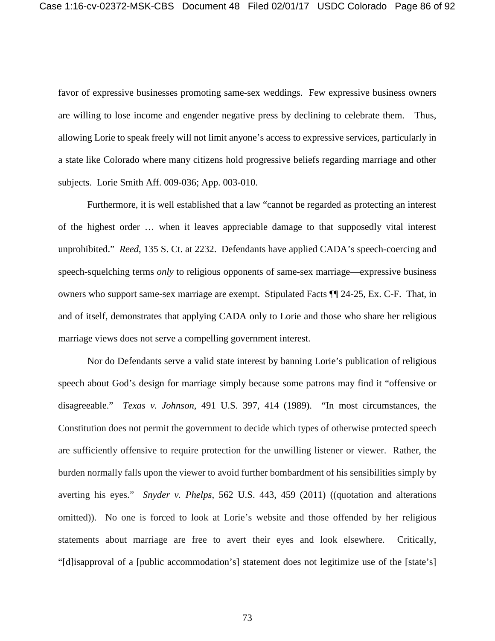favor of expressive businesses promoting same-sex weddings. Few expressive business owners are willing to lose income and engender negative press by declining to celebrate them. Thus, allowing Lorie to speak freely will not limit anyone's access to expressive services, particularly in a state like Colorado where many citizens hold progressive beliefs regarding marriage and other subjects. Lorie Smith Aff. 009-036; App. 003-010.

Furthermore, it is well established that a law "cannot be regarded as protecting an interest of the highest order … when it leaves appreciable damage to that supposedly vital interest unprohibited." *Reed*, 135 S. Ct. at 2232. Defendants have applied CADA's speech-coercing and speech-squelching terms *only* to religious opponents of same-sex marriage—expressive business owners who support same-sex marriage are exempt. Stipulated Facts ¶¶ 24-25, Ex. C-F. That, in and of itself, demonstrates that applying CADA only to Lorie and those who share her religious marriage views does not serve a compelling government interest.

Nor do Defendants serve a valid state interest by banning Lorie's publication of religious speech about God's design for marriage simply because some patrons may find it "offensive or disagreeable." *Texas v. Johnson*, 491 U.S. 397, 414 (1989). "In most circumstances, the Constitution does not permit the government to decide which types of otherwise protected speech are sufficiently offensive to require protection for the unwilling listener or viewer. Rather, the burden normally falls upon the viewer to avoid further bombardment of his sensibilities simply by averting his eyes." *Snyder v. Phelps*, 562 U.S. 443, 459 (2011) ((quotation and alterations omitted)). No one is forced to look at Lorie's website and those offended by her religious statements about marriage are free to avert their eyes and look elsewhere. Critically, "[d]isapproval of a [public accommodation's] statement does not legitimize use of the [state's]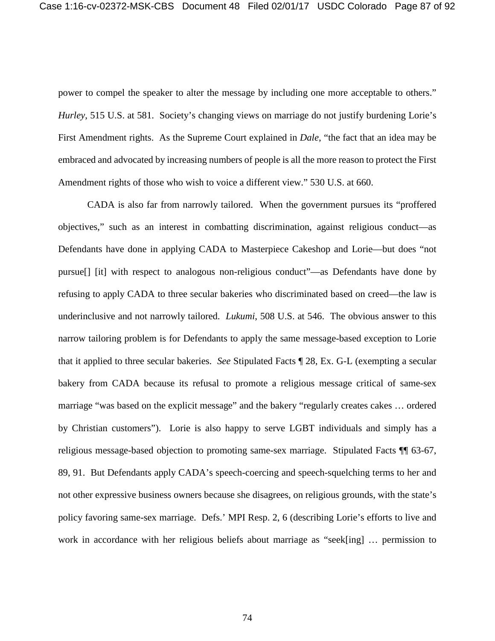power to compel the speaker to alter the message by including one more acceptable to others." *Hurley*, 515 U.S. at 581. Society's changing views on marriage do not justify burdening Lorie's First Amendment rights. As the Supreme Court explained in *Dale*, "the fact that an idea may be embraced and advocated by increasing numbers of people is all the more reason to protect the First Amendment rights of those who wish to voice a different view." 530 U.S. at 660.

CADA is also far from narrowly tailored. When the government pursues its "proffered objectives," such as an interest in combatting discrimination, against religious conduct—as Defendants have done in applying CADA to Masterpiece Cakeshop and Lorie—but does "not pursue[] [it] with respect to analogous non-religious conduct"—as Defendants have done by refusing to apply CADA to three secular bakeries who discriminated based on creed—the law is underinclusive and not narrowly tailored. *Lukumi*, 508 U.S. at 546. The obvious answer to this narrow tailoring problem is for Defendants to apply the same message-based exception to Lorie that it applied to three secular bakeries. *See* Stipulated Facts ¶ 28, Ex. G-L (exempting a secular bakery from CADA because its refusal to promote a religious message critical of same-sex marriage "was based on the explicit message" and the bakery "regularly creates cakes … ordered by Christian customers"). Lorie is also happy to serve LGBT individuals and simply has a religious message-based objection to promoting same-sex marriage. Stipulated Facts ¶¶ 63-67, 89, 91. But Defendants apply CADA's speech-coercing and speech-squelching terms to her and not other expressive business owners because she disagrees, on religious grounds, with the state's policy favoring same-sex marriage. Defs.' MPI Resp. 2, 6 (describing Lorie's efforts to live and work in accordance with her religious beliefs about marriage as "seek[ing] … permission to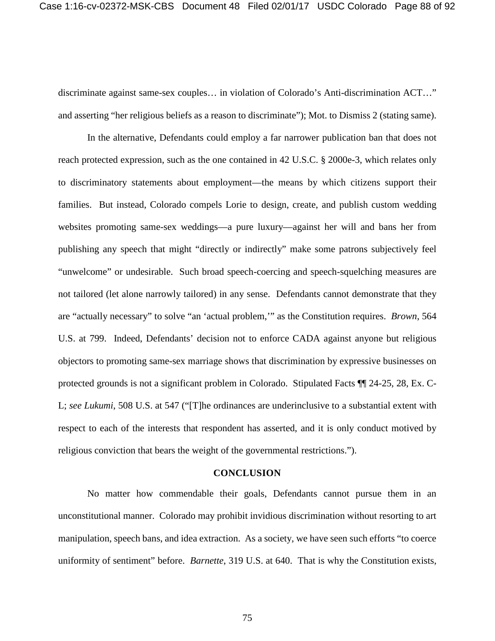discriminate against same-sex couples… in violation of Colorado's Anti-discrimination ACT…" and asserting "her religious beliefs as a reason to discriminate"); Mot. to Dismiss 2 (stating same).

In the alternative, Defendants could employ a far narrower publication ban that does not reach protected expression, such as the one contained in 42 U.S.C. § 2000e-3, which relates only to discriminatory statements about employment—the means by which citizens support their families. But instead, Colorado compels Lorie to design, create, and publish custom wedding websites promoting same-sex weddings—a pure luxury—against her will and bans her from publishing any speech that might "directly or indirectly" make some patrons subjectively feel "unwelcome" or undesirable. Such broad speech-coercing and speech-squelching measures are not tailored (let alone narrowly tailored) in any sense. Defendants cannot demonstrate that they are "actually necessary" to solve "an 'actual problem,'" as the Constitution requires. *Brown*, 564 U.S. at 799. Indeed, Defendants' decision not to enforce CADA against anyone but religious objectors to promoting same-sex marriage shows that discrimination by expressive businesses on protected grounds is not a significant problem in Colorado. Stipulated Facts ¶¶ 24-25, 28, Ex. C-L; *see Lukumi*, 508 U.S. at 547 ("[T]he ordinances are underinclusive to a substantial extent with respect to each of the interests that respondent has asserted, and it is only conduct motived by religious conviction that bears the weight of the governmental restrictions.").

#### **CONCLUSION**

No matter how commendable their goals, Defendants cannot pursue them in an unconstitutional manner. Colorado may prohibit invidious discrimination without resorting to art manipulation, speech bans, and idea extraction. As a society, we have seen such efforts "to coerce uniformity of sentiment" before. *Barnette*, 319 U.S. at 640. That is why the Constitution exists,

75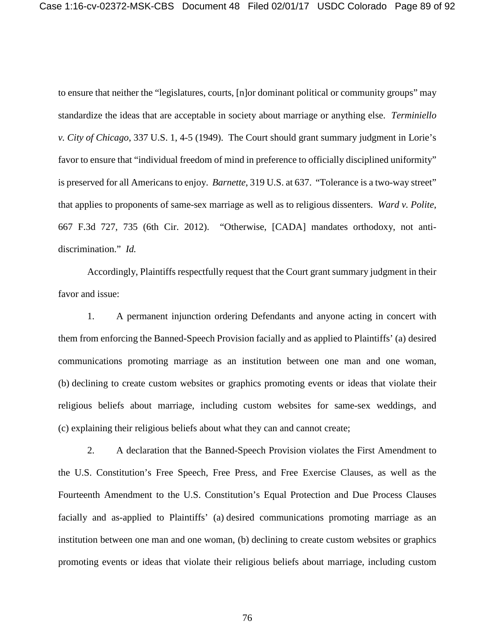to ensure that neither the "legislatures, courts, [n]or dominant political or community groups" may standardize the ideas that are acceptable in society about marriage or anything else. *Terminiello v. City of Chicago*, 337 U.S. 1, 4-5 (1949). The Court should grant summary judgment in Lorie's favor to ensure that "individual freedom of mind in preference to officially disciplined uniformity" is preserved for all Americans to enjoy. *Barnette*, 319 U.S. at 637. "Tolerance is a two-way street" that applies to proponents of same-sex marriage as well as to religious dissenters. *Ward v. Polite*, 667 F.3d 727, 735 (6th Cir. 2012). "Otherwise, [CADA] mandates orthodoxy, not antidiscrimination." *Id.*

Accordingly, Plaintiffs respectfully request that the Court grant summary judgment in their favor and issue:

1. A permanent injunction ordering Defendants and anyone acting in concert with them from enforcing the Banned-Speech Provision facially and as applied to Plaintiffs' (a) desired communications promoting marriage as an institution between one man and one woman, (b) declining to create custom websites or graphics promoting events or ideas that violate their religious beliefs about marriage, including custom websites for same-sex weddings, and (c) explaining their religious beliefs about what they can and cannot create;

2. A declaration that the Banned-Speech Provision violates the First Amendment to the U.S. Constitution's Free Speech, Free Press, and Free Exercise Clauses, as well as the Fourteenth Amendment to the U.S. Constitution's Equal Protection and Due Process Clauses facially and as-applied to Plaintiffs' (a) desired communications promoting marriage as an institution between one man and one woman, (b) declining to create custom websites or graphics promoting events or ideas that violate their religious beliefs about marriage, including custom

76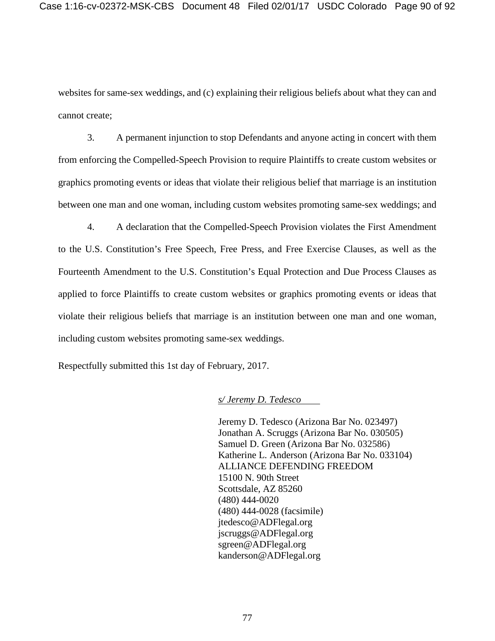websites for same-sex weddings, and (c) explaining their religious beliefs about what they can and cannot create;

3. A permanent injunction to stop Defendants and anyone acting in concert with them from enforcing the Compelled-Speech Provision to require Plaintiffs to create custom websites or graphics promoting events or ideas that violate their religious belief that marriage is an institution between one man and one woman, including custom websites promoting same-sex weddings; and

4. A declaration that the Compelled-Speech Provision violates the First Amendment to the U.S. Constitution's Free Speech, Free Press, and Free Exercise Clauses, as well as the Fourteenth Amendment to the U.S. Constitution's Equal Protection and Due Process Clauses as applied to force Plaintiffs to create custom websites or graphics promoting events or ideas that violate their religious beliefs that marriage is an institution between one man and one woman, including custom websites promoting same-sex weddings.

Respectfully submitted this 1st day of February, 2017.

## *s/ Jeremy D. Tedesco*

Jeremy D. Tedesco (Arizona Bar No. 023497) Jonathan A. Scruggs (Arizona Bar No. 030505) Samuel D. Green (Arizona Bar No. 032586) Katherine L. Anderson (Arizona Bar No. 033104) ALLIANCE DEFENDING FREEDOM 15100 N. 90th Street Scottsdale, AZ 85260 (480) 444-0020 (480) 444-0028 (facsimile) jtedesco@ADFlegal.org jscruggs@ADFlegal.org sgreen@ADFlegal.org kanderson@ADFlegal.org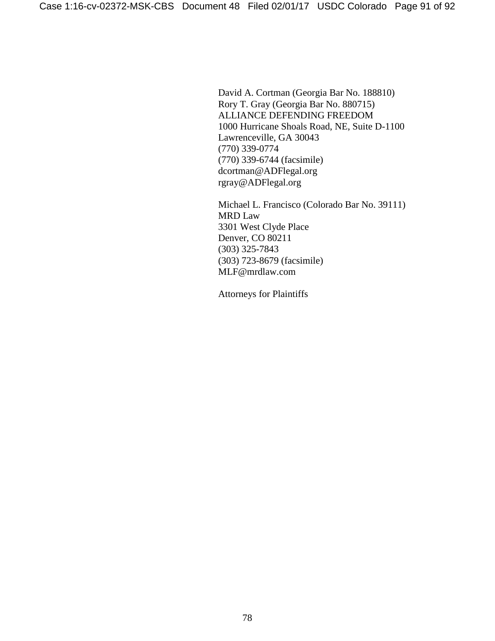David A. Cortman (Georgia Bar No. 188810) Rory T. Gray (Georgia Bar No. 880715) ALLIANCE DEFENDING FREEDOM 1000 Hurricane Shoals Road, NE, Suite D-1100 Lawrenceville, GA 30043 (770) 339-0774 (770) 339-6744 (facsimile) dcortman@ADFlegal.org rgray@ADFlegal.org

Michael L. Francisco (Colorado Bar No. 39111) MRD Law 3301 West Clyde Place Denver, CO 80211 (303) 325-7843 (303) 723-8679 (facsimile) MLF@mrdlaw.com

Attorneys for Plaintiffs